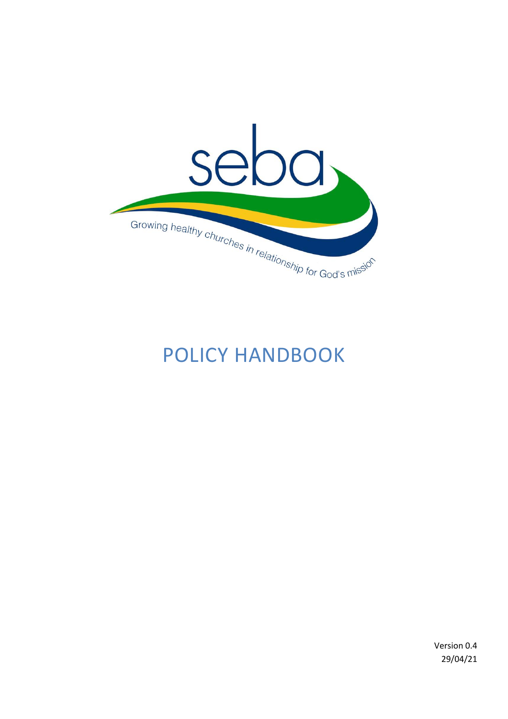

# POLICY HANDBOOK

Version 0.4 29/04/21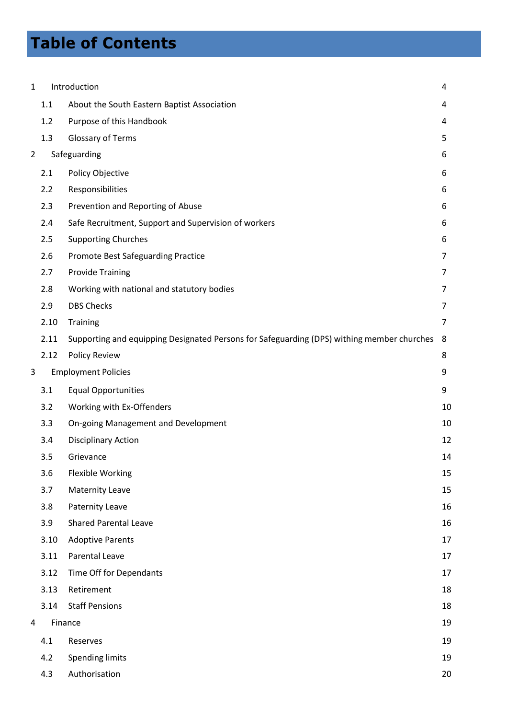# **Table of Contents**

| 1 |      | Introduction                                                                               | 4  |
|---|------|--------------------------------------------------------------------------------------------|----|
|   | 1.1  | About the South Eastern Baptist Association                                                | 4  |
|   | 1.2  | Purpose of this Handbook                                                                   | 4  |
|   | 1.3  | Glossary of Terms                                                                          | 5  |
| 2 |      | Safeguarding                                                                               | 6  |
|   | 2.1  | Policy Objective                                                                           | 6  |
|   | 2.2  | Responsibilities                                                                           | 6  |
|   | 2.3  | Prevention and Reporting of Abuse                                                          | 6  |
|   | 2.4  | Safe Recruitment, Support and Supervision of workers                                       | 6  |
|   | 2.5  | <b>Supporting Churches</b>                                                                 | 6  |
|   | 2.6  | Promote Best Safeguarding Practice                                                         | 7  |
|   | 2.7  | <b>Provide Training</b>                                                                    | 7  |
|   | 2.8  | Working with national and statutory bodies                                                 | 7  |
|   | 2.9  | <b>DBS Checks</b>                                                                          | 7  |
|   | 2.10 | Training                                                                                   | 7  |
|   | 2.11 | Supporting and equipping Designated Persons for Safeguarding (DPS) withing member churches | 8  |
|   | 2.12 | <b>Policy Review</b>                                                                       | 8  |
| 3 |      | <b>Employment Policies</b>                                                                 | 9  |
|   | 3.1  | <b>Equal Opportunities</b>                                                                 | 9  |
|   | 3.2  | Working with Ex-Offenders                                                                  | 10 |
|   | 3.3  | On-going Management and Development                                                        | 10 |
|   | 3.4  | <b>Disciplinary Action</b>                                                                 | 12 |
|   | 3.5  | Grievance                                                                                  | 14 |
|   | 3.6  | <b>Flexible Working</b>                                                                    | 15 |
|   | 3.7  | <b>Maternity Leave</b>                                                                     | 15 |
|   | 3.8  | Paternity Leave                                                                            | 16 |
|   | 3.9  | <b>Shared Parental Leave</b>                                                               | 16 |
|   | 3.10 | <b>Adoptive Parents</b>                                                                    | 17 |
|   | 3.11 | Parental Leave                                                                             | 17 |
|   | 3.12 | Time Off for Dependants                                                                    | 17 |
|   | 3.13 | Retirement                                                                                 | 18 |
|   | 3.14 | <b>Staff Pensions</b>                                                                      | 18 |
| 4 |      | Finance                                                                                    | 19 |
|   | 4.1  | Reserves                                                                                   | 19 |
|   | 4.2  | <b>Spending limits</b>                                                                     | 19 |
|   | 4.3  | Authorisation                                                                              | 20 |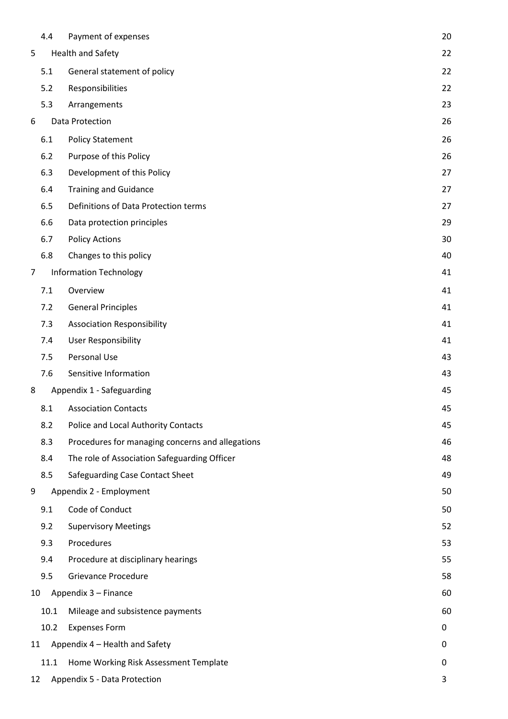|                | 4.4  | Payment of expenses                              | 20 |
|----------------|------|--------------------------------------------------|----|
| 5              |      | Health and Safety                                | 22 |
|                | 5.1  | General statement of policy                      | 22 |
|                | 5.2  | Responsibilities                                 | 22 |
|                | 5.3  | Arrangements                                     | 23 |
| 6              |      | Data Protection                                  | 26 |
|                | 6.1  | <b>Policy Statement</b>                          | 26 |
|                | 6.2  | Purpose of this Policy                           | 26 |
|                | 6.3  | Development of this Policy                       | 27 |
|                | 6.4  | <b>Training and Guidance</b>                     | 27 |
|                | 6.5  | Definitions of Data Protection terms             | 27 |
|                | 6.6  | Data protection principles                       | 29 |
|                | 6.7  | <b>Policy Actions</b>                            | 30 |
|                | 6.8  | Changes to this policy                           | 40 |
| $\overline{7}$ |      | <b>Information Technology</b>                    | 41 |
|                | 7.1  | Overview                                         | 41 |
|                | 7.2  | <b>General Principles</b>                        | 41 |
|                | 7.3  | <b>Association Responsibility</b>                | 41 |
|                | 7.4  | <b>User Responsibility</b>                       | 41 |
|                | 7.5  | Personal Use                                     | 43 |
|                | 7.6  | Sensitive Information                            | 43 |
| 8              |      | Appendix 1 - Safeguarding                        | 45 |
|                | 8.1  | <b>Association Contacts</b>                      | 45 |
|                | 8.2  | Police and Local Authority Contacts              | 45 |
|                | 8.3  | Procedures for managing concerns and allegations | 46 |
|                | 8.4  | The role of Association Safeguarding Officer     | 48 |
|                | 8.5  | Safeguarding Case Contact Sheet                  | 49 |
| 9              |      | Appendix 2 - Employment                          | 50 |
|                | 9.1  | Code of Conduct                                  | 50 |
|                | 9.2  | <b>Supervisory Meetings</b>                      | 52 |
|                | 9.3  | Procedures                                       | 53 |
|                | 9.4  | Procedure at disciplinary hearings               | 55 |
|                | 9.5  | <b>Grievance Procedure</b>                       | 58 |
| 10             |      | Appendix 3 - Finance                             | 60 |
|                | 10.1 | Mileage and subsistence payments                 | 60 |
|                | 10.2 | <b>Expenses Form</b>                             | 0  |
| 11             |      | Appendix 4 - Health and Safety                   | 0  |
|                | 11.1 | Home Working Risk Assessment Template            | 0  |
| 12             |      | Appendix 5 - Data Protection                     | 3  |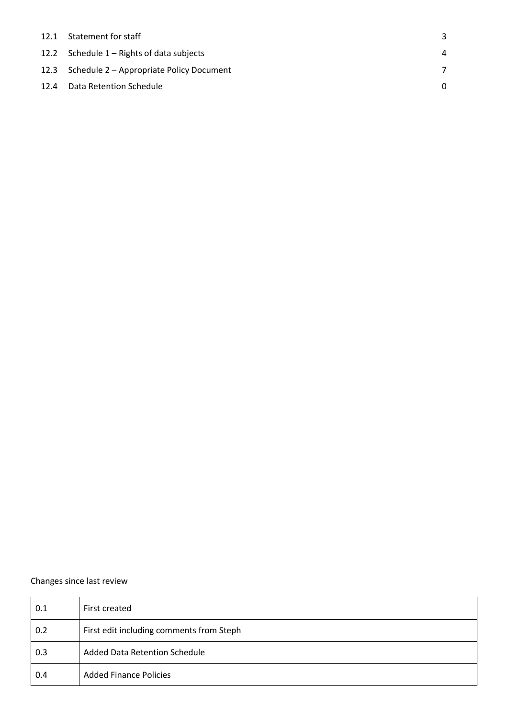|      | 12.1 Statement for staff                      |   |
|------|-----------------------------------------------|---|
|      | 12.2 Schedule $1 -$ Rights of data subjects   | 4 |
|      | 12.3 Schedule 2 – Appropriate Policy Document |   |
| 12.4 | <b>Data Retention Schedule</b>                |   |

### Changes since last review

| 0.1 | First created                            |
|-----|------------------------------------------|
| 0.2 | First edit including comments from Steph |
| 0.3 | <b>Added Data Retention Schedule</b>     |
| 0.4 | <b>Added Finance Policies</b>            |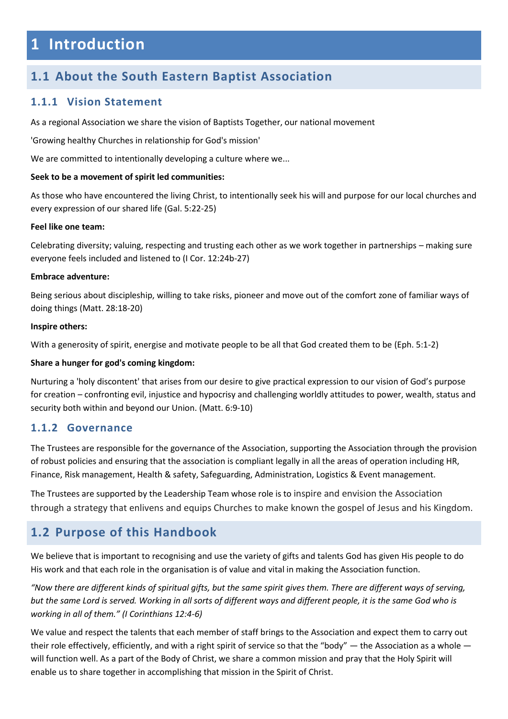# <span id="page-4-0"></span>**1 Introduction**

## <span id="page-4-1"></span>**1.1 About the South Eastern Baptist Association**

### **1.1.1 Vision Statement**

As a regional Association we share the vision of Baptists Together, our national movement

'Growing healthy Churches in relationship for God's mission'

We are committed to intentionally developing a culture where we...

### **Seek to be a movement of spirit led communities:**

As those who have encountered the living Christ, to intentionally seek his will and purpose for our local churches and every expression of our shared life (Gal. 5:22-25)

#### **Feel like one team:**

Celebrating diversity; valuing, respecting and trusting each other as we work together in partnerships – making sure everyone feels included and listened to (I Cor. 12:24b-27)

### **Embrace adventure:**

Being serious about discipleship, willing to take risks, pioneer and move out of the comfort zone of familiar ways of doing things (Matt. 28:18-20)

#### **Inspire others:**

With a generosity of spirit, energise and motivate people to be all that God created them to be (Eph. 5:1-2)

### **Share a hunger for god's coming kingdom:**

Nurturing a 'holy discontent' that arises from our desire to give practical expression to our vision of God's purpose for creation – confronting evil, injustice and hypocrisy and challenging worldly attitudes to power, wealth, status and security both within and beyond our Union. (Matt. 6:9-10)

### **1.1.2 Governance**

The Trustees are responsible for the governance of the Association, supporting the Association through the provision of robust policies and ensuring that the association is compliant legally in all the areas of operation including HR, Finance, Risk management, Health & safety, Safeguarding, Administration, Logistics & Event management.

The Trustees are supported by the Leadership Team whose role is to inspire and envision the Association through a strategy that enlivens and equips Churches to make known the gospel of Jesus and his Kingdom.

## <span id="page-4-2"></span>**1.2 Purpose of this Handbook**

We believe that is important to recognising and use the variety of gifts and talents God has given His people to do His work and that each role in the organisation is of value and vital in making the Association function.

*"Now there are different kinds of spiritual gifts, but the same spirit gives them. There are different ways of serving, but the same Lord is served. Working in all sorts of different ways and different people, it is the same God who is working in all of them." (I Corinthians 12:4-6)* 

We value and respect the talents that each member of staff brings to the Association and expect them to carry out their role effectively, efficiently, and with a right spirit of service so that the "body"  $-$  the Association as a whole  $$ will function well. As a part of the Body of Christ, we share a common mission and pray that the Holy Spirit will enable us to share together in accomplishing that mission in the Spirit of Christ.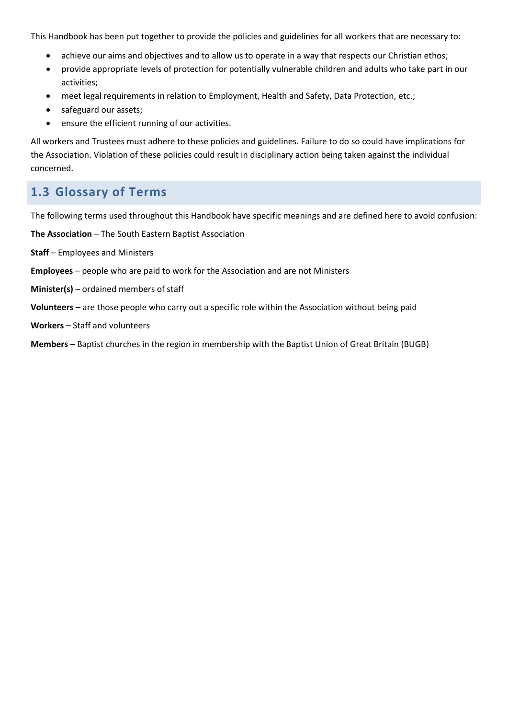This Handbook has been put together to provide the policies and guidelines for all workers that are necessary to:

- achieve our aims and objectives and to allow us to operate in a way that respects our Christian ethos;
- provide appropriate levels of protection for potentially vulnerable children and adults who take part in our activities;
- meet legal requirements in relation to Employment, Health and Safety, Data Protection, etc.;
- safeguard our assets;
- ensure the efficient running of our activities.

All workers and Trustees must adhere to these policies and guidelines. Failure to do so could have implications for the Association. Violation of these policies could result in disciplinary action being taken against the individual concerned.

# <span id="page-5-0"></span>**1.3 Glossary of Terms**

The following terms used throughout this Handbook have specific meanings and are defined here to avoid confusion:

**The Association** – The South Eastern Baptist Association

- **Staff**  Employees and Ministers
- **Employees** people who are paid to work for the Association and are not Ministers
- **Minister(s)** ordained members of staff
- **Volunteers** are those people who carry out a specific role within the Association without being paid
- **Workers** Staff and volunteers

**Members** – Baptist churches in the region in membership with the Baptist Union of Great Britain (BUGB)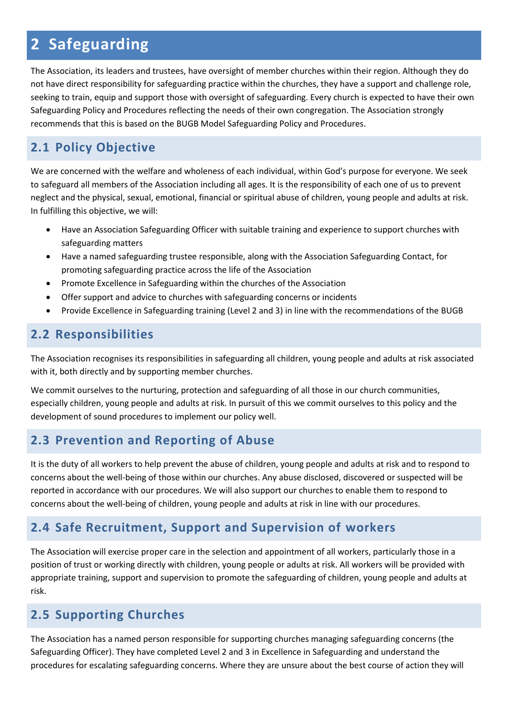# <span id="page-6-0"></span>**2 Safeguarding**

The Association, its leaders and trustees, have oversight of member churches within their region. Although they do not have direct responsibility for safeguarding practice within the churches, they have a support and challenge role, seeking to train, equip and support those with oversight of safeguarding. Every church is expected to have their own Safeguarding Policy and Procedures reflecting the needs of their own congregation. The Association strongly recommends that this is based on the BUGB Model Safeguarding Policy and Procedures.

# <span id="page-6-1"></span>**2.1 Policy Objective**

We are concerned with the welfare and wholeness of each individual, within God's purpose for everyone. We seek to safeguard all members of the Association including all ages. It is the responsibility of each one of us to prevent neglect and the physical, sexual, emotional, financial or spiritual abuse of children, young people and adults at risk. In fulfilling this objective, we will:

- Have an Association Safeguarding Officer with suitable training and experience to support churches with safeguarding matters
- Have a named safeguarding trustee responsible, along with the Association Safeguarding Contact, for promoting safeguarding practice across the life of the Association
- Promote Excellence in Safeguarding within the churches of the Association
- Offer support and advice to churches with safeguarding concerns or incidents
- Provide Excellence in Safeguarding training (Level 2 and 3) in line with the recommendations of the BUGB

# <span id="page-6-2"></span>**2.2 Responsibilities**

The Association recognises its responsibilities in safeguarding all children, young people and adults at risk associated with it, both directly and by supporting member churches.

We commit ourselves to the nurturing, protection and safeguarding of all those in our church communities, especially children, young people and adults at risk. In pursuit of this we commit ourselves to this policy and the development of sound procedures to implement our policy well.

# <span id="page-6-3"></span>**2.3 Prevention and Reporting of Abuse**

It is the duty of all workers to help prevent the abuse of children, young people and adults at risk and to respond to concerns about the well-being of those within our churches. Any abuse disclosed, discovered or suspected will be reported in accordance with our procedures. We will also support our churches to enable them to respond to concerns about the well-being of children, young people and adults at risk in line with our procedures.

# <span id="page-6-4"></span>**2.4 Safe Recruitment, Support and Supervision of workers**

The Association will exercise proper care in the selection and appointment of all workers, particularly those in a position of trust or working directly with children, young people or adults at risk. All workers will be provided with appropriate training, support and supervision to promote the safeguarding of children, young people and adults at risk.

# <span id="page-6-5"></span>**2.5 Supporting Churches**

The Association has a named person responsible for supporting churches managing safeguarding concerns (the Safeguarding Officer). They have completed Level 2 and 3 in Excellence in Safeguarding and understand the procedures for escalating safeguarding concerns. Where they are unsure about the best course of action they will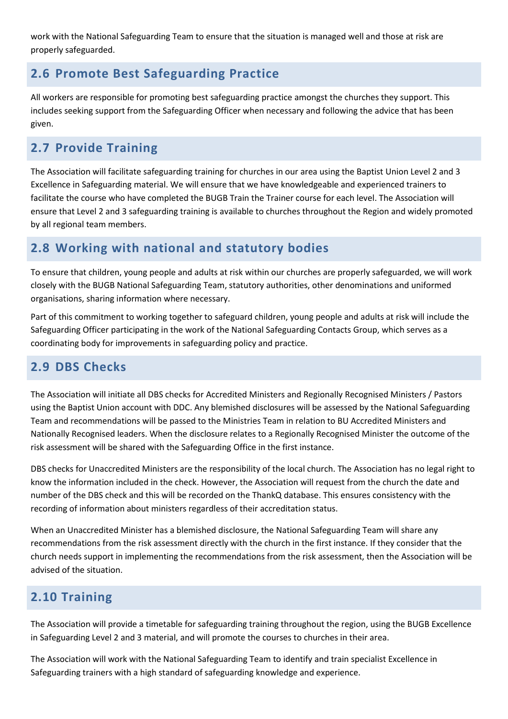work with the National Safeguarding Team to ensure that the situation is managed well and those at risk are properly safeguarded.

# <span id="page-7-0"></span>**2.6 Promote Best Safeguarding Practice**

All workers are responsible for promoting best safeguarding practice amongst the churches they support. This includes seeking support from the Safeguarding Officer when necessary and following the advice that has been given.

# <span id="page-7-1"></span>**2.7 Provide Training**

The Association will facilitate safeguarding training for churches in our area using the Baptist Union Level 2 and 3 Excellence in Safeguarding material. We will ensure that we have knowledgeable and experienced trainers to facilitate the course who have completed the BUGB Train the Trainer course for each level. The Association will ensure that Level 2 and 3 safeguarding training is available to churches throughout the Region and widely promoted by all regional team members.

# <span id="page-7-2"></span>**2.8 Working with national and statutory bodies**

To ensure that children, young people and adults at risk within our churches are properly safeguarded, we will work closely with the BUGB National Safeguarding Team, statutory authorities, other denominations and uniformed organisations, sharing information where necessary.

Part of this commitment to working together to safeguard children, young people and adults at risk will include the Safeguarding Officer participating in the work of the National Safeguarding Contacts Group, which serves as a coordinating body for improvements in safeguarding policy and practice.

# <span id="page-7-3"></span>**2.9 DBS Checks**

The Association will initiate all DBS checks for Accredited Ministers and Regionally Recognised Ministers / Pastors using the Baptist Union account with DDC. Any blemished disclosures will be assessed by the National Safeguarding Team and recommendations will be passed to the Ministries Team in relation to BU Accredited Ministers and Nationally Recognised leaders. When the disclosure relates to a Regionally Recognised Minister the outcome of the risk assessment will be shared with the Safeguarding Office in the first instance.

DBS checks for Unaccredited Ministers are the responsibility of the local church. The Association has no legal right to know the information included in the check. However, the Association will request from the church the date and number of the DBS check and this will be recorded on the ThankQ database. This ensures consistency with the recording of information about ministers regardless of their accreditation status.

When an Unaccredited Minister has a blemished disclosure, the National Safeguarding Team will share any recommendations from the risk assessment directly with the church in the first instance. If they consider that the church needs support in implementing the recommendations from the risk assessment, then the Association will be advised of the situation.

# <span id="page-7-4"></span>**2.10 Training**

The Association will provide a timetable for safeguarding training throughout the region, using the BUGB Excellence in Safeguarding Level 2 and 3 material, and will promote the courses to churches in their area.

The Association will work with the National Safeguarding Team to identify and train specialist Excellence in Safeguarding trainers with a high standard of safeguarding knowledge and experience.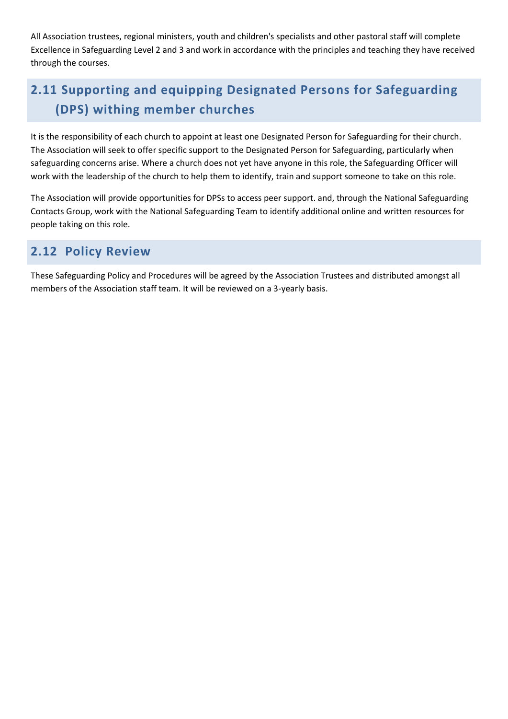All Association trustees, regional ministers, youth and children's specialists and other pastoral staff will complete Excellence in Safeguarding Level 2 and 3 and work in accordance with the principles and teaching they have received through the courses.

# <span id="page-8-0"></span>**2.11 Supporting and equipping Designated Persons for Safeguarding (DPS) withing member churches**

It is the responsibility of each church to appoint at least one Designated Person for Safeguarding for their church. The Association will seek to offer specific support to the Designated Person for Safeguarding, particularly when safeguarding concerns arise. Where a church does not yet have anyone in this role, the Safeguarding Officer will work with the leadership of the church to help them to identify, train and support someone to take on this role.

The Association will provide opportunities for DPSs to access peer support. and, through the National Safeguarding Contacts Group, work with the National Safeguarding Team to identify additional online and written resources for people taking on this role.

## <span id="page-8-1"></span>**2.12 Policy Review**

These Safeguarding Policy and Procedures will be agreed by the Association Trustees and distributed amongst all members of the Association staff team. It will be reviewed on a 3-yearly basis.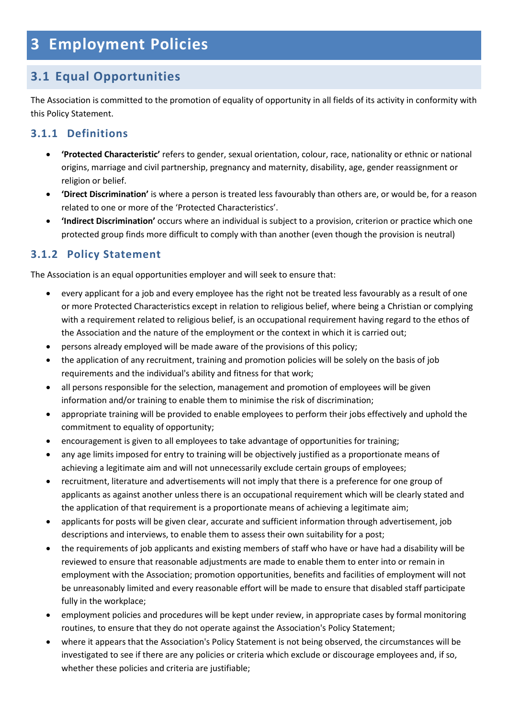# <span id="page-9-0"></span>**3 Employment Policies**

# <span id="page-9-1"></span>**3.1 Equal Opportunities**

The Association is committed to the promotion of equality of opportunity in all fields of its activity in conformity with this Policy Statement.

## **3.1.1 Definitions**

- **'Protected Characteristic'** refers to gender, sexual orientation, colour, race, nationality or ethnic or national origins, marriage and civil partnership, pregnancy and maternity, disability, age, gender reassignment or religion or belief.
- **'Direct Discrimination'** is where a person is treated less favourably than others are, or would be, for a reason related to one or more of the 'Protected Characteristics'.
- **'Indirect Discrimination'** occurs where an individual is subject to a provision, criterion or practice which one protected group finds more difficult to comply with than another (even though the provision is neutral)

## **3.1.2 Policy Statement**

The Association is an equal opportunities employer and will seek to ensure that:

- every applicant for a job and every employee has the right not be treated less favourably as a result of one or more Protected Characteristics except in relation to religious belief, where being a Christian or complying with a requirement related to religious belief, is an occupational requirement having regard to the ethos of the Association and the nature of the employment or the context in which it is carried out;
- persons already employed will be made aware of the provisions of this policy;
- the application of any recruitment, training and promotion policies will be solely on the basis of job requirements and the individual's ability and fitness for that work;
- all persons responsible for the selection, management and promotion of employees will be given information and/or training to enable them to minimise the risk of discrimination;
- appropriate training will be provided to enable employees to perform their jobs effectively and uphold the commitment to equality of opportunity;
- encouragement is given to all employees to take advantage of opportunities for training;
- any age limits imposed for entry to training will be objectively justified as a proportionate means of achieving a legitimate aim and will not unnecessarily exclude certain groups of employees;
- recruitment, literature and advertisements will not imply that there is a preference for one group of applicants as against another unless there is an occupational requirement which will be clearly stated and the application of that requirement is a proportionate means of achieving a legitimate aim;
- applicants for posts will be given clear, accurate and sufficient information through advertisement, job descriptions and interviews, to enable them to assess their own suitability for a post;
- the requirements of job applicants and existing members of staff who have or have had a disability will be reviewed to ensure that reasonable adjustments are made to enable them to enter into or remain in employment with the Association; promotion opportunities, benefits and facilities of employment will not be unreasonably limited and every reasonable effort will be made to ensure that disabled staff participate fully in the workplace;
- employment policies and procedures will be kept under review, in appropriate cases by formal monitoring routines, to ensure that they do not operate against the Association's Policy Statement;
- where it appears that the Association's Policy Statement is not being observed, the circumstances will be investigated to see if there are any policies or criteria which exclude or discourage employees and, if so, whether these policies and criteria are justifiable;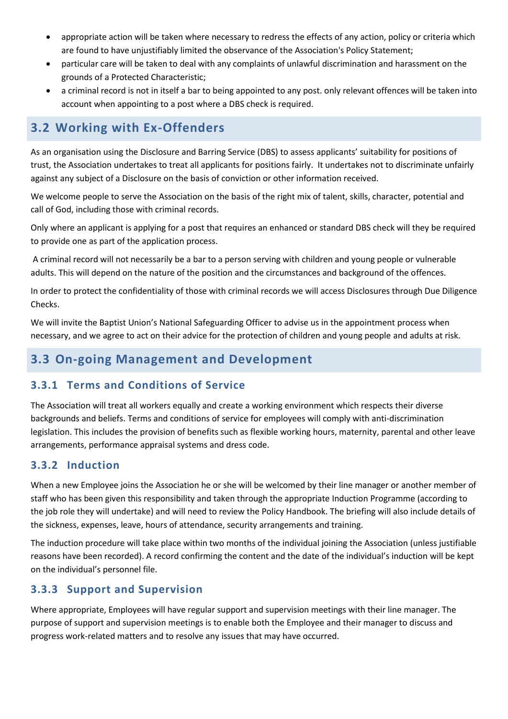- appropriate action will be taken where necessary to redress the effects of any action, policy or criteria which are found to have unjustifiably limited the observance of the Association's Policy Statement;
- particular care will be taken to deal with any complaints of unlawful discrimination and harassment on the grounds of a Protected Characteristic;
- a criminal record is not in itself a bar to being appointed to any post. only relevant offences will be taken into account when appointing to a post where a DBS check is required.

# <span id="page-10-0"></span>**3.2 Working with Ex-Offenders**

As an organisation using the Disclosure and Barring Service (DBS) to assess applicants' suitability for positions of trust, the Association undertakes to treat all applicants for positions fairly. It undertakes not to discriminate unfairly against any subject of a Disclosure on the basis of conviction or other information received.

We welcome people to serve the Association on the basis of the right mix of talent, skills, character, potential and call of God, including those with criminal records.

Only where an applicant is applying for a post that requires an enhanced or standard DBS check will they be required to provide one as part of the application process.

A criminal record will not necessarily be a bar to a person serving with children and young people or vulnerable adults. This will depend on the nature of the position and the circumstances and background of the offences.

In order to protect the confidentiality of those with criminal records we will access Disclosures through Due Diligence Checks.

We will invite the Baptist Union's National Safeguarding Officer to advise us in the appointment process when necessary, and we agree to act on their advice for the protection of children and young people and adults at risk.

## <span id="page-10-1"></span>**3.3 On-going Management and Development**

## **3.3.1 Terms and Conditions of Service**

The Association will treat all workers equally and create a working environment which respects their diverse backgrounds and beliefs. Terms and conditions of service for employees will comply with anti-discrimination legislation. This includes the provision of benefits such as flexible working hours, maternity, parental and other leave arrangements, performance appraisal systems and dress code.

## **3.3.2 Induction**

When a new Employee joins the Association he or she will be welcomed by their line manager or another member of staff who has been given this responsibility and taken through the appropriate Induction Programme (according to the job role they will undertake) and will need to review the Policy Handbook. The briefing will also include details of the sickness, expenses, leave, hours of attendance, security arrangements and training.

The induction procedure will take place within two months of the individual joining the Association (unless justifiable reasons have been recorded). A record confirming the content and the date of the individual's induction will be kept on the individual's personnel file.

## **3.3.3 Support and Supervision**

Where appropriate, Employees will have regular support and supervision meetings with their line manager. The purpose of support and supervision meetings is to enable both the Employee and their manager to discuss and progress work-related matters and to resolve any issues that may have occurred.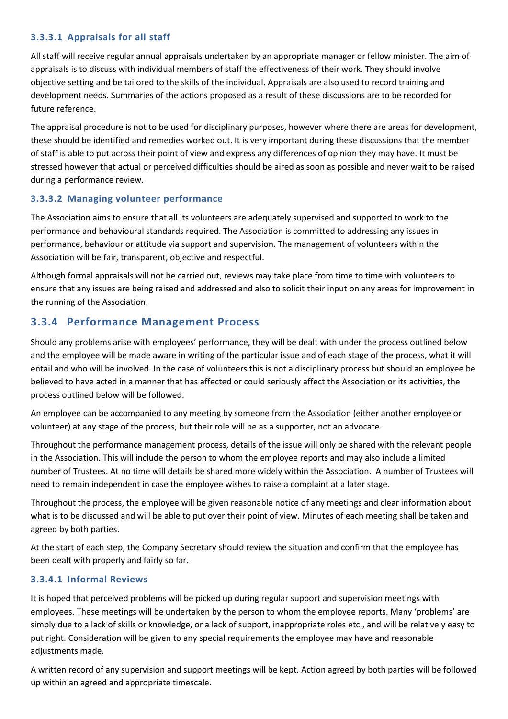### **3.3.3.1 Appraisals for all staff**

All staff will receive regular annual appraisals undertaken by an appropriate manager or fellow minister. The aim of appraisals is to discuss with individual members of staff the effectiveness of their work. They should involve objective setting and be tailored to the skills of the individual. Appraisals are also used to record training and development needs. Summaries of the actions proposed as a result of these discussions are to be recorded for future reference.

The appraisal procedure is not to be used for disciplinary purposes, however where there are areas for development, these should be identified and remedies worked out. It is very important during these discussions that the member of staff is able to put across their point of view and express any differences of opinion they may have. It must be stressed however that actual or perceived difficulties should be aired as soon as possible and never wait to be raised during a performance review.

### **3.3.3.2 Managing volunteer performance**

The Association aims to ensure that all its volunteers are adequately supervised and supported to work to the performance and behavioural standards required. The Association is committed to addressing any issues in performance, behaviour or attitude via support and supervision. The management of volunteers within the Association will be fair, transparent, objective and respectful.

Although formal appraisals will not be carried out, reviews may take place from time to time with volunteers to ensure that any issues are being raised and addressed and also to solicit their input on any areas for improvement in the running of the Association.

### **3.3.4 Performance Management Process**

Should any problems arise with employees' performance, they will be dealt with under the process outlined below and the employee will be made aware in writing of the particular issue and of each stage of the process, what it will entail and who will be involved. In the case of volunteers this is not a disciplinary process but should an employee be believed to have acted in a manner that has affected or could seriously affect the Association or its activities, the process outlined below will be followed.

An employee can be accompanied to any meeting by someone from the Association (either another employee or volunteer) at any stage of the process, but their role will be as a supporter, not an advocate.

Throughout the performance management process, details of the issue will only be shared with the relevant people in the Association. This will include the person to whom the employee reports and may also include a limited number of Trustees. At no time will details be shared more widely within the Association. A number of Trustees will need to remain independent in case the employee wishes to raise a complaint at a later stage.

Throughout the process, the employee will be given reasonable notice of any meetings and clear information about what is to be discussed and will be able to put over their point of view. Minutes of each meeting shall be taken and agreed by both parties.

At the start of each step, the Company Secretary should review the situation and confirm that the employee has been dealt with properly and fairly so far.

### **3.3.4.1 Informal Reviews**

It is hoped that perceived problems will be picked up during regular support and supervision meetings with employees. These meetings will be undertaken by the person to whom the employee reports. Many 'problems' are simply due to a lack of skills or knowledge, or a lack of support, inappropriate roles etc., and will be relatively easy to put right. Consideration will be given to any special requirements the employee may have and reasonable adjustments made.

A written record of any supervision and support meetings will be kept. Action agreed by both parties will be followed up within an agreed and appropriate timescale.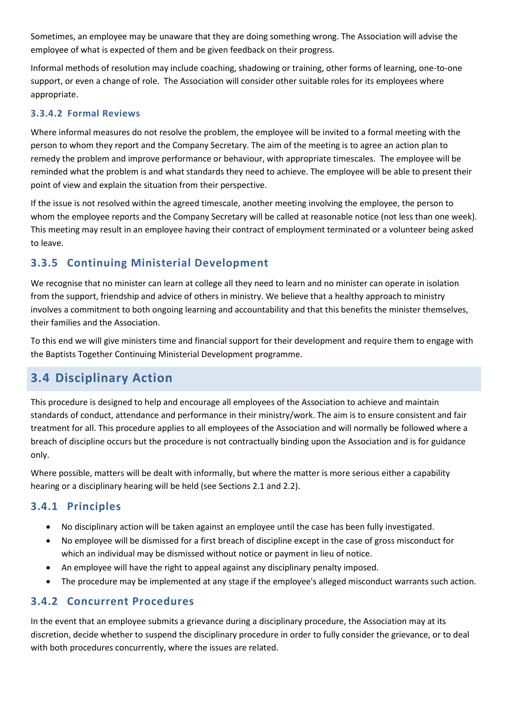Sometimes, an employee may be unaware that they are doing something wrong. The Association will advise the employee of what is expected of them and be given feedback on their progress.

Informal methods of resolution may include coaching, shadowing or training, other forms of learning, one-to-one support, or even a change of role. The Association will consider other suitable roles for its employees where appropriate.

### **3.3.4.2 Formal Reviews**

Where informal measures do not resolve the problem, the employee will be invited to a formal meeting with the person to whom they report and the Company Secretary. The aim of the meeting is to agree an action plan to remedy the problem and improve performance or behaviour, with appropriate timescales. The employee will be reminded what the problem is and what standards they need to achieve. The employee will be able to present their point of view and explain the situation from their perspective.

If the issue is not resolved within the agreed timescale, another meeting involving the employee, the person to whom the employee reports and the Company Secretary will be called at reasonable notice (not less than one week). This meeting may result in an employee having their contract of employment terminated or a volunteer being asked to leave.

## **3.3.5 Continuing Ministerial Development**

We recognise that no minister can learn at college all they need to learn and no minister can operate in isolation from the support, friendship and advice of others in ministry. We believe that a healthy approach to ministry involves a commitment to both ongoing learning and accountability and that this benefits the minister themselves, their families and the Association.

To this end we will give ministers time and financial support for their development and require them to engage with the Baptists Together Continuing Ministerial Development programme.

# <span id="page-12-0"></span>**3.4 Disciplinary Action**

This procedure is designed to help and encourage all employees of the Association to achieve and maintain standards of conduct, attendance and performance in their ministry/work. The aim is to ensure consistent and fair treatment for all. This procedure applies to all employees of the Association and will normally be followed where a breach of discipline occurs but the procedure is not contractually binding upon the Association and is for guidance only.

Where possible, matters will be dealt with informally, but where the matter is more serious either a capability hearing or a disciplinary hearing will be held (see Sections 2.1 and 2.2).

## **3.4.1 Principles**

- No disciplinary action will be taken against an employee until the case has been fully investigated.
- No employee will be dismissed for a first breach of discipline except in the case of gross misconduct for which an individual may be dismissed without notice or payment in lieu of notice.
- An employee will have the right to appeal against any disciplinary penalty imposed.
- The procedure may be implemented at any stage if the employee's alleged misconduct warrants such action.

## **3.4.2 Concurrent Procedures**

In the event that an employee submits a grievance during a disciplinary procedure, the Association may at its discretion, decide whether to suspend the disciplinary procedure in order to fully consider the grievance, or to deal with both procedures concurrently, where the issues are related.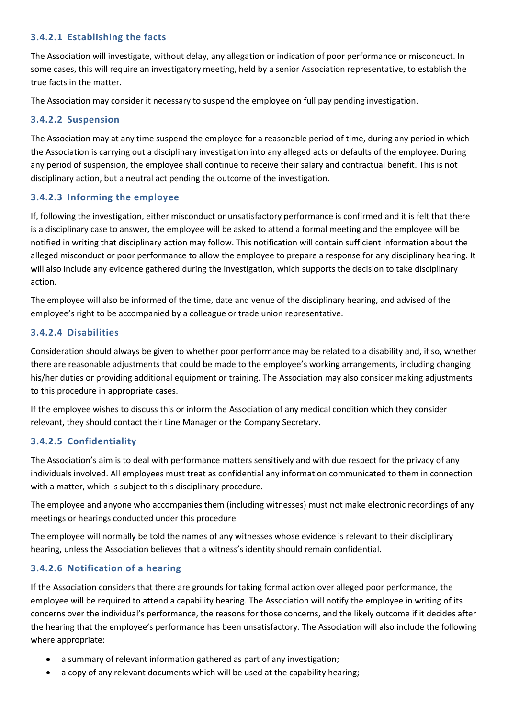### **3.4.2.1 Establishing the facts**

The Association will investigate, without delay, any allegation or indication of poor performance or misconduct. In some cases, this will require an investigatory meeting, held by a senior Association representative, to establish the true facts in the matter.

The Association may consider it necessary to suspend the employee on full pay pending investigation.

### **3.4.2.2 Suspension**

The Association may at any time suspend the employee for a reasonable period of time, during any period in which the Association is carrying out a disciplinary investigation into any alleged acts or defaults of the employee. During any period of suspension, the employee shall continue to receive their salary and contractual benefit. This is not disciplinary action, but a neutral act pending the outcome of the investigation.

### **3.4.2.3 Informing the employee**

If, following the investigation, either misconduct or unsatisfactory performance is confirmed and it is felt that there is a disciplinary case to answer, the employee will be asked to attend a formal meeting and the employee will be notified in writing that disciplinary action may follow. This notification will contain sufficient information about the alleged misconduct or poor performance to allow the employee to prepare a response for any disciplinary hearing. It will also include any evidence gathered during the investigation, which supports the decision to take disciplinary action.

The employee will also be informed of the time, date and venue of the disciplinary hearing, and advised of the employee's right to be accompanied by a colleague or trade union representative.

### **3.4.2.4 Disabilities**

Consideration should always be given to whether poor performance may be related to a disability and, if so, whether there are reasonable adjustments that could be made to the employee's working arrangements, including changing his/her duties or providing additional equipment or training. The Association may also consider making adjustments to this procedure in appropriate cases.

If the employee wishes to discuss this or inform the Association of any medical condition which they consider relevant, they should contact their Line Manager or the Company Secretary.

### **3.4.2.5 Confidentiality**

The Association's aim is to deal with performance matters sensitively and with due respect for the privacy of any individuals involved. All employees must treat as confidential any information communicated to them in connection with a matter, which is subject to this disciplinary procedure.

The employee and anyone who accompanies them (including witnesses) must not make electronic recordings of any meetings or hearings conducted under this procedure.

The employee will normally be told the names of any witnesses whose evidence is relevant to their disciplinary hearing, unless the Association believes that a witness's identity should remain confidential.

### **3.4.2.6 Notification of a hearing**

If the Association considers that there are grounds for taking formal action over alleged poor performance, the employee will be required to attend a capability hearing. The Association will notify the employee in writing of its concerns over the individual's performance, the reasons for those concerns, and the likely outcome if it decides after the hearing that the employee's performance has been unsatisfactory. The Association will also include the following where appropriate:

- a summary of relevant information gathered as part of any investigation;
- a copy of any relevant documents which will be used at the capability hearing;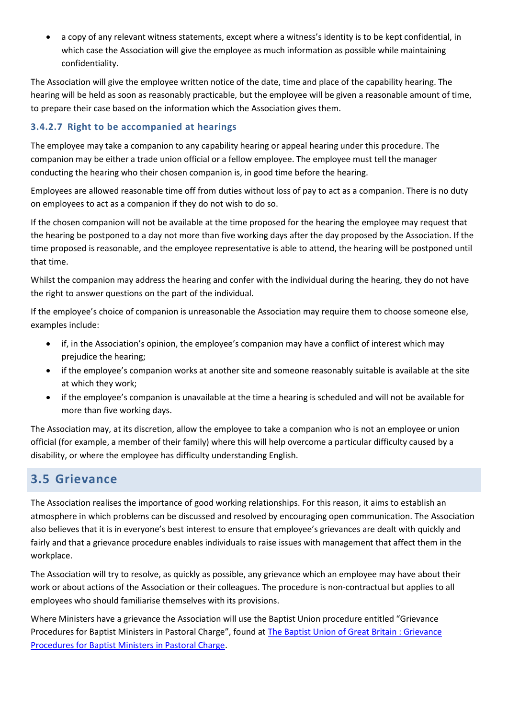• a copy of any relevant witness statements, except where a witness's identity is to be kept confidential, in which case the Association will give the employee as much information as possible while maintaining confidentiality.

The Association will give the employee written notice of the date, time and place of the capability hearing. The hearing will be held as soon as reasonably practicable, but the employee will be given a reasonable amount of time, to prepare their case based on the information which the Association gives them.

### **3.4.2.7 Right to be accompanied at hearings**

The employee may take a companion to any capability hearing or appeal hearing under this procedure. The companion may be either a trade union official or a fellow employee. The employee must tell the manager conducting the hearing who their chosen companion is, in good time before the hearing.

Employees are allowed reasonable time off from duties without loss of pay to act as a companion. There is no duty on employees to act as a companion if they do not wish to do so.

If the chosen companion will not be available at the time proposed for the hearing the employee may request that the hearing be postponed to a day not more than five working days after the day proposed by the Association. If the time proposed is reasonable, and the employee representative is able to attend, the hearing will be postponed until that time.

Whilst the companion may address the hearing and confer with the individual during the hearing, they do not have the right to answer questions on the part of the individual.

If the employee's choice of companion is unreasonable the Association may require them to choose someone else, examples include:

- if, in the Association's opinion, the employee's companion may have a conflict of interest which may prejudice the hearing;
- if the employee's companion works at another site and someone reasonably suitable is available at the site at which they work;
- if the employee's companion is unavailable at the time a hearing is scheduled and will not be available for more than five working days.

The Association may, at its discretion, allow the employee to take a companion who is not an employee or union official (for example, a member of their family) where this will help overcome a particular difficulty caused by a disability, or where the employee has difficulty understanding English.

# <span id="page-14-0"></span>**3.5 Grievance**

The Association realises the importance of good working relationships. For this reason, it aims to establish an atmosphere in which problems can be discussed and resolved by encouraging open communication. The Association also believes that it is in everyone's best interest to ensure that employee's grievances are dealt with quickly and fairly and that a grievance procedure enables individuals to raise issues with management that affect them in the workplace.

The Association will try to resolve, as quickly as possible, any grievance which an employee may have about their work or about actions of the Association or their colleagues. The procedure is non-contractual but applies to all employees who should familiarise themselves with its provisions.

Where Ministers have a grievance the Association will use the Baptist Union procedure entitled "Grievance Procedures for Baptist Ministers in Pastoral Charge", found at [The Baptist Union of Great Britain : Grievance](https://www.baptist.org.uk/Articles/368878/Grievance_Procedures_for.aspx)  [Procedures for Baptist Ministers in Pastoral Charge.](https://www.baptist.org.uk/Articles/368878/Grievance_Procedures_for.aspx)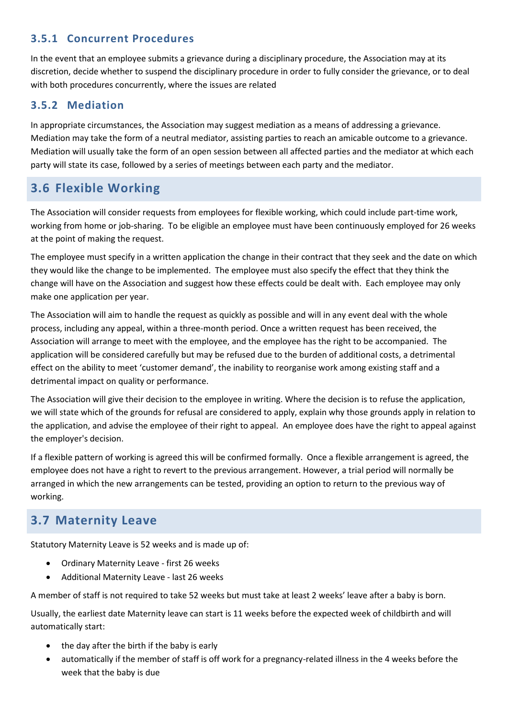## **3.5.1 Concurrent Procedures**

In the event that an employee submits a grievance during a disciplinary procedure, the Association may at its discretion, decide whether to suspend the disciplinary procedure in order to fully consider the grievance, or to deal with both procedures concurrently, where the issues are related

### **3.5.2 Mediation**

In appropriate circumstances, the Association may suggest mediation as a means of addressing a grievance. Mediation may take the form of a neutral mediator, assisting parties to reach an amicable outcome to a grievance. Mediation will usually take the form of an open session between all affected parties and the mediator at which each party will state its case, followed by a series of meetings between each party and the mediator.

## <span id="page-15-0"></span>**3.6 Flexible Working**

The Association will consider requests from employees for flexible working, which could include part-time work, working from home or job-sharing. To be eligible an employee must have been continuously employed for 26 weeks at the point of making the request.

The employee must specify in a written application the change in their contract that they seek and the date on which they would like the change to be implemented. The employee must also specify the effect that they think the change will have on the Association and suggest how these effects could be dealt with. Each employee may only make one application per year.

The Association will aim to handle the request as quickly as possible and will in any event deal with the whole process, including any appeal, within a three-month period. Once a written request has been received, the Association will arrange to meet with the employee, and the employee has the right to be accompanied. The application will be considered carefully but may be refused due to the burden of additional costs, a detrimental effect on the ability to meet 'customer demand', the inability to reorganise work among existing staff and a detrimental impact on quality or performance.

The Association will give their decision to the employee in writing. Where the decision is to refuse the application, we will state which of the grounds for refusal are considered to apply, explain why those grounds apply in relation to the application, and advise the employee of their right to appeal. An employee does have the right to appeal against the employer's decision.

If a flexible pattern of working is agreed this will be confirmed formally. Once a flexible arrangement is agreed, the employee does not have a right to revert to the previous arrangement. However, a trial period will normally be arranged in which the new arrangements can be tested, providing an option to return to the previous way of working.

# <span id="page-15-1"></span>**3.7 Maternity Leave**

Statutory Maternity Leave is 52 weeks and is made up of:

- Ordinary Maternity Leave first 26 weeks
- Additional Maternity Leave last 26 weeks

A member of staff is not required to take 52 weeks but must take at least 2 weeks' leave after a baby is born.

Usually, the earliest date Maternity leave can start is 11 weeks before the expected week of childbirth and will automatically start:

- the day after the birth if the baby is early
- automatically if the member of staff is off work for a pregnancy-related illness in the 4 weeks before the week that the baby is due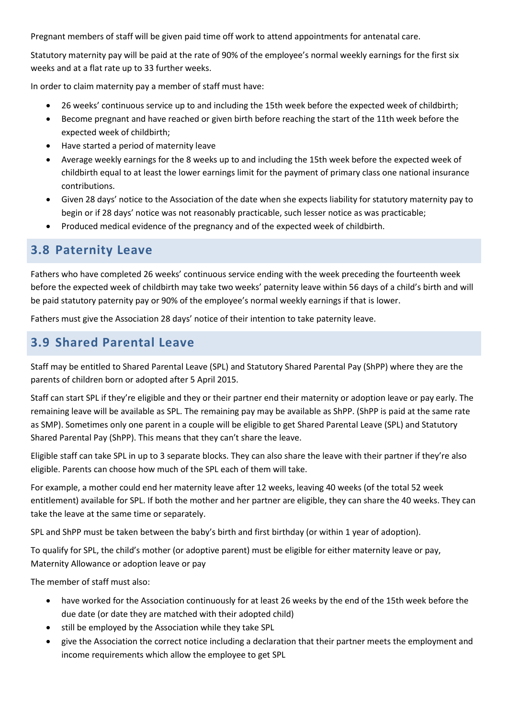Pregnant members of staff will be given paid time off work to attend appointments for antenatal care.

Statutory maternity pay will be paid at the rate of 90% of the employee's normal weekly earnings for the first six weeks and at a flat rate up to 33 further weeks.

In order to claim maternity pay a member of staff must have:

- 26 weeks' continuous service up to and including the 15th week before the expected week of childbirth;
- Become pregnant and have reached or given birth before reaching the start of the 11th week before the expected week of childbirth;
- Have started a period of maternity leave
- Average weekly earnings for the 8 weeks up to and including the 15th week before the expected week of childbirth equal to at least the lower earnings limit for the payment of primary class one national insurance contributions.
- Given 28 days' notice to the Association of the date when she expects liability for statutory maternity pay to begin or if 28 days' notice was not reasonably practicable, such lesser notice as was practicable;
- Produced medical evidence of the pregnancy and of the expected week of childbirth.

## <span id="page-16-0"></span>**3.8 Paternity Leave**

Fathers who have completed 26 weeks' continuous service ending with the week preceding the fourteenth week before the expected week of childbirth may take two weeks' paternity leave within 56 days of a child's birth and will be paid statutory paternity pay or 90% of the employee's normal weekly earnings if that is lower.

Fathers must give the Association 28 days' notice of their intention to take paternity leave.

## <span id="page-16-1"></span>**3.9 Shared Parental Leave**

Staff may be entitled to Shared Parental Leave (SPL) and Statutory Shared Parental Pay (ShPP) where they are the parents of children born or adopted after 5 April 2015.

Staff can start SPL if they're eligible and they or their partner end their maternity or adoption leave or pay early. The remaining leave will be available as SPL. The remaining pay may be available as ShPP. (ShPP is paid at the same rate as SMP). Sometimes only one parent in a couple will be eligible to get Shared Parental Leave (SPL) and Statutory Shared Parental Pay (ShPP). This means that they can't share the leave.

Eligible staff can take SPL in up to 3 separate blocks. They can also share the leave with their partner if they're also eligible. Parents can choose how much of the SPL each of them will take.

For example, a mother could end her maternity leave after 12 weeks, leaving 40 weeks (of the total 52 week entitlement) available for SPL. If both the mother and her partner are eligible, they can share the 40 weeks. They can take the leave at the same time or separately.

SPL and ShPP must be taken between the baby's birth and first birthday (or within 1 year of adoption).

To qualify for SPL, the child's mother (or adoptive parent) must be eligible for either maternity leave or pay, Maternity Allowance or adoption leave or pay

The member of staff must also:

- have worked for the Association continuously for at least 26 weeks by the end of the 15th week before the due date (or date they are matched with their adopted child)
- still be employed by the Association while they take SPL
- give the Association the correct notice including a declaration that their partner meets the employment and income requirements which allow the employee to get SPL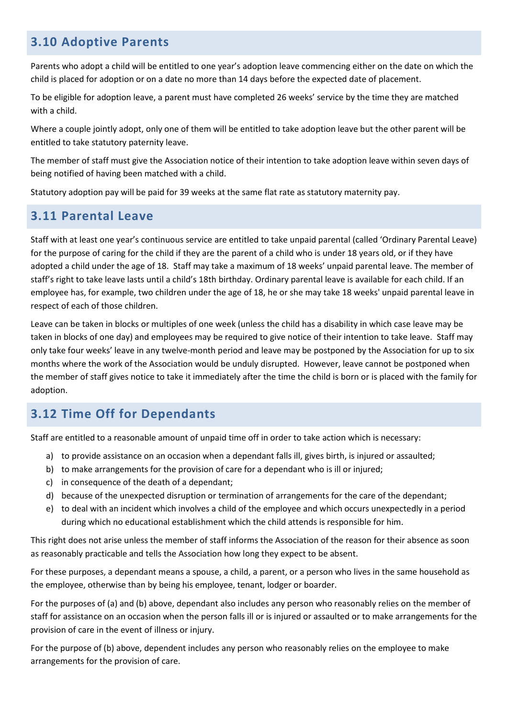# <span id="page-17-0"></span>**3.10 Adoptive Parents**

Parents who adopt a child will be entitled to one year's adoption leave commencing either on the date on which the child is placed for adoption or on a date no more than 14 days before the expected date of placement.

To be eligible for adoption leave, a parent must have completed 26 weeks' service by the time they are matched with a child.

Where a couple jointly adopt, only one of them will be entitled to take adoption leave but the other parent will be entitled to take statutory paternity leave.

The member of staff must give the Association notice of their intention to take adoption leave within seven days of being notified of having been matched with a child.

Statutory adoption pay will be paid for 39 weeks at the same flat rate as statutory maternity pay.

## <span id="page-17-1"></span>**3.11 Parental Leave**

Staff with at least one year's continuous service are entitled to take unpaid parental (called 'Ordinary Parental Leave) for the purpose of caring for the child if they are the parent of a child who is under 18 years old, or if they have adopted a child under the age of 18. Staff may take a maximum of 18 weeks' unpaid parental leave. The member of staff's right to take leave lasts until a child's 18th birthday. Ordinary parental leave is available for each child. If an employee has, for example, two children under the age of 18, he or she may take 18 weeks' unpaid parental leave in respect of each of those children.

Leave can be taken in blocks or multiples of one week (unless the child has a disability in which case leave may be taken in blocks of one day) and employees may be required to give notice of their intention to take leave. Staff may only take four weeks' leave in any twelve-month period and leave may be postponed by the Association for up to six months where the work of the Association would be unduly disrupted. However, leave cannot be postponed when the member of staff gives notice to take it immediately after the time the child is born or is placed with the family for adoption.

# <span id="page-17-2"></span>**3.12 Time Off for Dependants**

Staff are entitled to a reasonable amount of unpaid time off in order to take action which is necessary:

- a) to provide assistance on an occasion when a dependant falls ill, gives birth, is injured or assaulted;
- b) to make arrangements for the provision of care for a dependant who is ill or injured;
- c) in consequence of the death of a dependant;
- d) because of the unexpected disruption or termination of arrangements for the care of the dependant;
- e) to deal with an incident which involves a child of the employee and which occurs unexpectedly in a period during which no educational establishment which the child attends is responsible for him.

This right does not arise unless the member of staff informs the Association of the reason for their absence as soon as reasonably practicable and tells the Association how long they expect to be absent.

For these purposes, a dependant means a spouse, a child, a parent, or a person who lives in the same household as the employee, otherwise than by being his employee, tenant, lodger or boarder.

For the purposes of (a) and (b) above, dependant also includes any person who reasonably relies on the member of staff for assistance on an occasion when the person falls ill or is injured or assaulted or to make arrangements for the provision of care in the event of illness or injury.

For the purpose of (b) above, dependent includes any person who reasonably relies on the employee to make arrangements for the provision of care.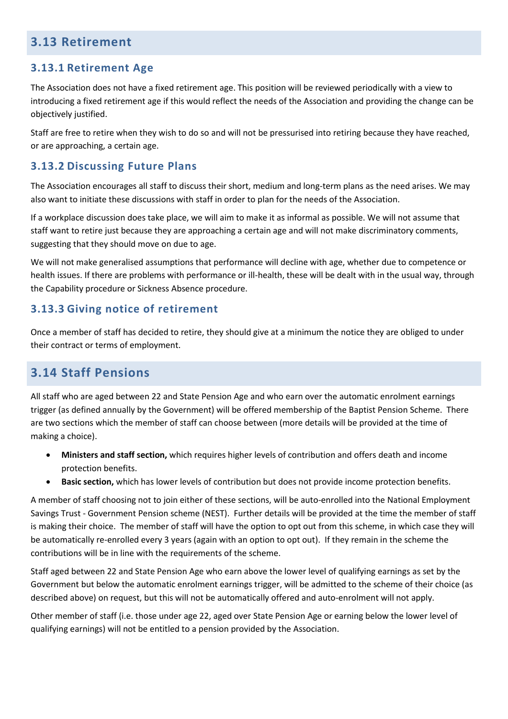## <span id="page-18-0"></span>**3.13 Retirement**

## **3.13.1 Retirement Age**

The Association does not have a fixed retirement age. This position will be reviewed periodically with a view to introducing a fixed retirement age if this would reflect the needs of the Association and providing the change can be objectively justified.

Staff are free to retire when they wish to do so and will not be pressurised into retiring because they have reached, or are approaching, a certain age.

### **3.13.2 Discussing Future Plans**

The Association encourages all staff to discuss their short, medium and long-term plans as the need arises. We may also want to initiate these discussions with staff in order to plan for the needs of the Association.

If a workplace discussion does take place, we will aim to make it as informal as possible. We will not assume that staff want to retire just because they are approaching a certain age and will not make discriminatory comments, suggesting that they should move on due to age.

We will not make generalised assumptions that performance will decline with age, whether due to competence or health issues. If there are problems with performance or ill-health, these will be dealt with in the usual way, through the Capability procedure or Sickness Absence procedure.

## **3.13.3 Giving notice of retirement**

Once a member of staff has decided to retire, they should give at a minimum the notice they are obliged to under their contract or terms of employment.

## <span id="page-18-1"></span>**3.14 Staff Pensions**

All staff who are aged between 22 and State Pension Age and who earn over the automatic enrolment earnings trigger (as defined annually by the Government) will be offered membership of the Baptist Pension Scheme. There are two sections which the member of staff can choose between (more details will be provided at the time of making a choice).

- **Ministers and staff section,** which requires higher levels of contribution and offers death and income protection benefits.
- **Basic section,** which has lower levels of contribution but does not provide income protection benefits.

A member of staff choosing not to join either of these sections, will be auto-enrolled into the National Employment Savings Trust - Government Pension scheme (NEST). Further details will be provided at the time the member of staff is making their choice. The member of staff will have the option to opt out from this scheme, in which case they will be automatically re-enrolled every 3 years (again with an option to opt out). If they remain in the scheme the contributions will be in line with the requirements of the scheme.

Staff aged between 22 and State Pension Age who earn above the lower level of qualifying earnings as set by the Government but below the automatic enrolment earnings trigger, will be admitted to the scheme of their choice (as described above) on request, but this will not be automatically offered and auto-enrolment will not apply.

Other member of staff (i.e. those under age 22, aged over State Pension Age or earning below the lower level of qualifying earnings) will not be entitled to a pension provided by the Association.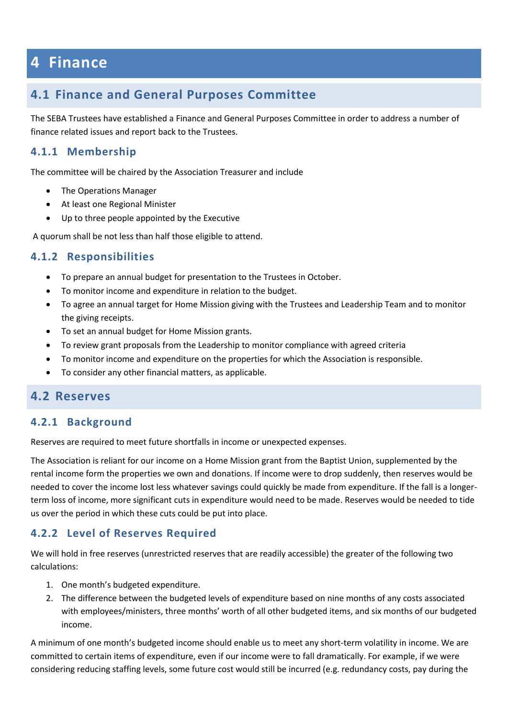# <span id="page-19-0"></span>**4 Finance**

## <span id="page-19-1"></span>**4.1 Finance and General Purposes Committee**

The SEBA Trustees have established a Finance and General Purposes Committee in order to address a number of finance related issues and report back to the Trustees.

### **4.1.1 Membership**

The committee will be chaired by the Association Treasurer and include

- The Operations Manager
- At least one Regional Minister
- Up to three people appointed by the Executive

A quorum shall be not less than half those eligible to attend.

### **4.1.2 Responsibilities**

- To prepare an annual budget for presentation to the Trustees in October.
- To monitor income and expenditure in relation to the budget.
- To agree an annual target for Home Mission giving with the Trustees and Leadership Team and to monitor the giving receipts.
- To set an annual budget for Home Mission grants.
- To review grant proposals from the Leadership to monitor compliance with agreed criteria
- To monitor income and expenditure on the properties for which the Association is responsible.
- To consider any other financial matters, as applicable.

## **4.2 Reserves**

### <span id="page-19-2"></span>**4.2.1 Background**

Reserves are required to meet future shortfalls in income or unexpected expenses.

The Association is reliant for our income on a Home Mission grant from the Baptist Union, supplemented by the rental income form the properties we own and donations. If income were to drop suddenly, then reserves would be needed to cover the income lost less whatever savings could quickly be made from expenditure. If the fall is a longerterm loss of income, more significant cuts in expenditure would need to be made. Reserves would be needed to tide us over the period in which these cuts could be put into place.

### **4.2.2 Level of Reserves Required**

We will hold in free reserves (unrestricted reserves that are readily accessible) the greater of the following two calculations:

- 1. One month's budgeted expenditure.
- 2. The difference between the budgeted levels of expenditure based on nine months of any costs associated with employees/ministers, three months' worth of all other budgeted items, and six months of our budgeted income.

A minimum of one month's budgeted income should enable us to meet any short-term volatility in income. We are committed to certain items of expenditure, even if our income were to fall dramatically. For example, if we were considering reducing staffing levels, some future cost would still be incurred (e.g. redundancy costs, pay during the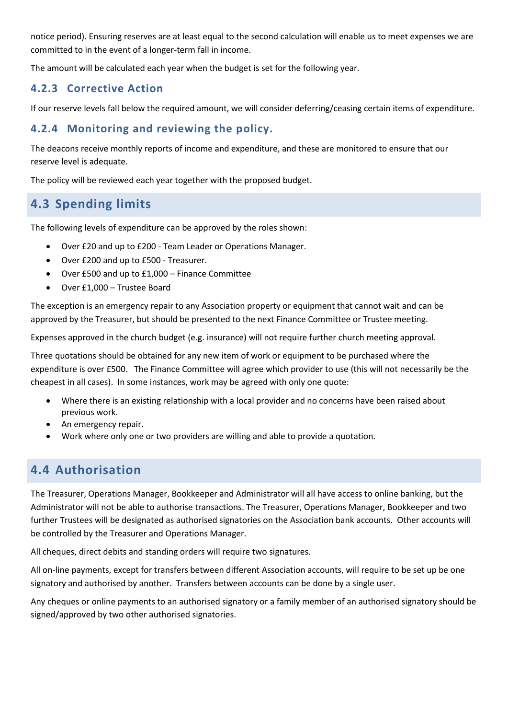notice period). Ensuring reserves are at least equal to the second calculation will enable us to meet expenses we are committed to in the event of a longer-term fall in income.

The amount will be calculated each year when the budget is set for the following year.

## **4.2.3 Corrective Action**

If our reserve levels fall below the required amount, we will consider deferring/ceasing certain items of expenditure.

## **4.2.4 Monitoring and reviewing the policy.**

The deacons receive monthly reports of income and expenditure, and these are monitored to ensure that our reserve level is adequate.

The policy will be reviewed each year together with the proposed budget.

# **4.3 Spending limits**

<span id="page-20-0"></span>The following levels of expenditure can be approved by the roles shown:

- Over £20 and up to £200 Team Leader or Operations Manager.
- Over £200 and up to £500 Treasurer.
- Over £500 and up to £1,000 Finance Committee
- Over £1,000 Trustee Board

The exception is an emergency repair to any Association property or equipment that cannot wait and can be approved by the Treasurer, but should be presented to the next Finance Committee or Trustee meeting.

Expenses approved in the church budget (e.g. insurance) will not require further church meeting approval.

Three quotations should be obtained for any new item of work or equipment to be purchased where the expenditure is over £500. The Finance Committee will agree which provider to use (this will not necessarily be the cheapest in all cases). In some instances, work may be agreed with only one quote:

- Where there is an existing relationship with a local provider and no concerns have been raised about previous work.
- An emergency repair.
- Work where only one or two providers are willing and able to provide a quotation.

# **4.4 Authorisation**

<span id="page-20-1"></span>The Treasurer, Operations Manager, Bookkeeper and Administrator will all have access to online banking, but the Administrator will not be able to authorise transactions. The Treasurer, Operations Manager, Bookkeeper and two further Trustees will be designated as authorised signatories on the Association bank accounts. Other accounts will be controlled by the Treasurer and Operations Manager.

All cheques, direct debits and standing orders will require two signatures.

All on-line payments, except for transfers between different Association accounts, will require to be set up be one signatory and authorised by another. Transfers between accounts can be done by a single user.

Any cheques or online payments to an authorised signatory or a family member of an authorised signatory should be signed/approved by two other authorised signatories.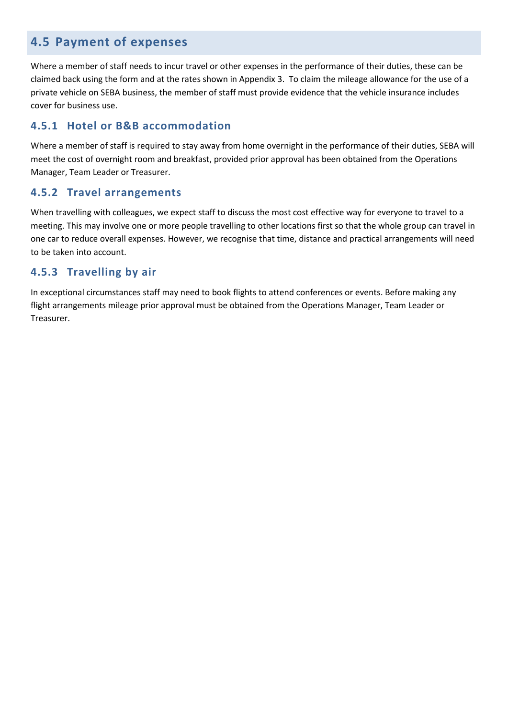## **4.5 Payment of expenses**

Where a member of staff needs to incur travel or other expenses in the performance of their duties, these can be claimed back using the form and at the rates shown in Appendix 3. To claim the mileage allowance for the use of a private vehicle on SEBA business, the member of staff must provide evidence that the vehicle insurance includes cover for business use.

## **4.5.1 Hotel or B&B accommodation**

Where a member of staff is required to stay away from home overnight in the performance of their duties, SEBA will meet the cost of overnight room and breakfast, provided prior approval has been obtained from the Operations Manager, Team Leader or Treasurer.

### **4.5.2 Travel arrangements**

When travelling with colleagues, we expect staff to discuss the most cost effective way for everyone to travel to a meeting. This may involve one or more people travelling to other locations first so that the whole group can travel in one car to reduce overall expenses. However, we recognise that time, distance and practical arrangements will need to be taken into account.

## **4.5.3 Travelling by air**

In exceptional circumstances staff may need to book flights to attend conferences or events. Before making any flight arrangements mileage prior approval must be obtained from the Operations Manager, Team Leader or Treasurer.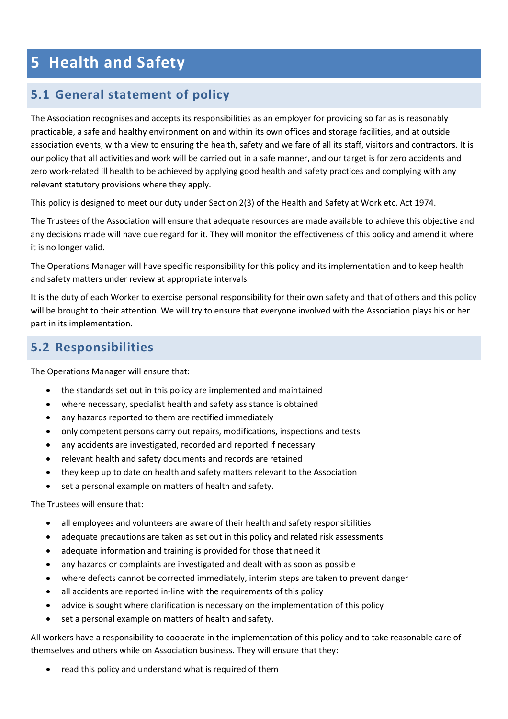# <span id="page-22-0"></span>**5 Health and Safety**

# <span id="page-22-1"></span>**5.1 General statement of policy**

The Association recognises and accepts its responsibilities as an employer for providing so far as is reasonably practicable, a safe and healthy environment on and within its own offices and storage facilities, and at outside association events, with a view to ensuring the health, safety and welfare of all its staff, visitors and contractors. It is our policy that all activities and work will be carried out in a safe manner, and our target is for zero accidents and zero work-related ill health to be achieved by applying good health and safety practices and complying with any relevant statutory provisions where they apply.

This policy is designed to meet our duty under Section 2(3) of the Health and Safety at Work etc. Act 1974.

The Trustees of the Association will ensure that adequate resources are made available to achieve this objective and any decisions made will have due regard for it. They will monitor the effectiveness of this policy and amend it where it is no longer valid.

The Operations Manager will have specific responsibility for this policy and its implementation and to keep health and safety matters under review at appropriate intervals.

It is the duty of each Worker to exercise personal responsibility for their own safety and that of others and this policy will be brought to their attention. We will try to ensure that everyone involved with the Association plays his or her part in its implementation.

## <span id="page-22-2"></span>**5.2 Responsibilities**

The Operations Manager will ensure that:

- the standards set out in this policy are implemented and maintained
- where necessary, specialist health and safety assistance is obtained
- any hazards reported to them are rectified immediately
- only competent persons carry out repairs, modifications, inspections and tests
- any accidents are investigated, recorded and reported if necessary
- relevant health and safety documents and records are retained
- they keep up to date on health and safety matters relevant to the Association
- set a personal example on matters of health and safety.

The Trustees will ensure that:

- all employees and volunteers are aware of their health and safety responsibilities
- adequate precautions are taken as set out in this policy and related risk assessments
- adequate information and training is provided for those that need it
- any hazards or complaints are investigated and dealt with as soon as possible
- where defects cannot be corrected immediately, interim steps are taken to prevent danger
- all accidents are reported in-line with the requirements of this policy
- advice is sought where clarification is necessary on the implementation of this policy
- set a personal example on matters of health and safety.

All workers have a responsibility to cooperate in the implementation of this policy and to take reasonable care of themselves and others while on Association business. They will ensure that they:

read this policy and understand what is required of them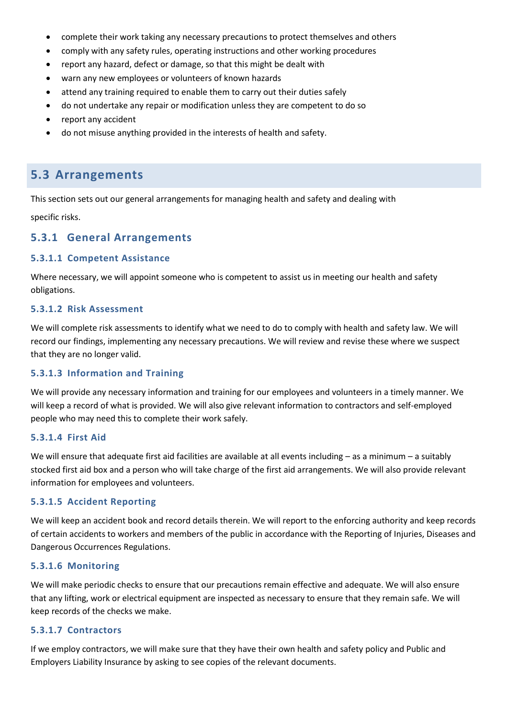- complete their work taking any necessary precautions to protect themselves and others
- comply with any safety rules, operating instructions and other working procedures
- report any hazard, defect or damage, so that this might be dealt with
- warn any new employees or volunteers of known hazards
- attend any training required to enable them to carry out their duties safely
- do not undertake any repair or modification unless they are competent to do so
- report any accident
- do not misuse anything provided in the interests of health and safety.

## <span id="page-23-0"></span>**5.3 Arrangements**

This section sets out our general arrangements for managing health and safety and dealing with

specific risks.

### **5.3.1 General Arrangements**

#### **5.3.1.1 Competent Assistance**

Where necessary, we will appoint someone who is competent to assist us in meeting our health and safety obligations.

#### **5.3.1.2 Risk Assessment**

We will complete risk assessments to identify what we need to do to comply with health and safety law. We will record our findings, implementing any necessary precautions. We will review and revise these where we suspect that they are no longer valid.

#### **5.3.1.3 Information and Training**

We will provide any necessary information and training for our employees and volunteers in a timely manner. We will keep a record of what is provided. We will also give relevant information to contractors and self-employed people who may need this to complete their work safely.

### **5.3.1.4 First Aid**

We will ensure that adequate first aid facilities are available at all events including – as a minimum – a suitably stocked first aid box and a person who will take charge of the first aid arrangements. We will also provide relevant information for employees and volunteers.

#### **5.3.1.5 Accident Reporting**

We will keep an accident book and record details therein. We will report to the enforcing authority and keep records of certain accidents to workers and members of the public in accordance with the Reporting of Injuries, Diseases and Dangerous Occurrences Regulations.

#### **5.3.1.6 Monitoring**

We will make periodic checks to ensure that our precautions remain effective and adequate. We will also ensure that any lifting, work or electrical equipment are inspected as necessary to ensure that they remain safe. We will keep records of the checks we make.

#### **5.3.1.7 Contractors**

If we employ contractors, we will make sure that they have their own health and safety policy and Public and Employers Liability Insurance by asking to see copies of the relevant documents.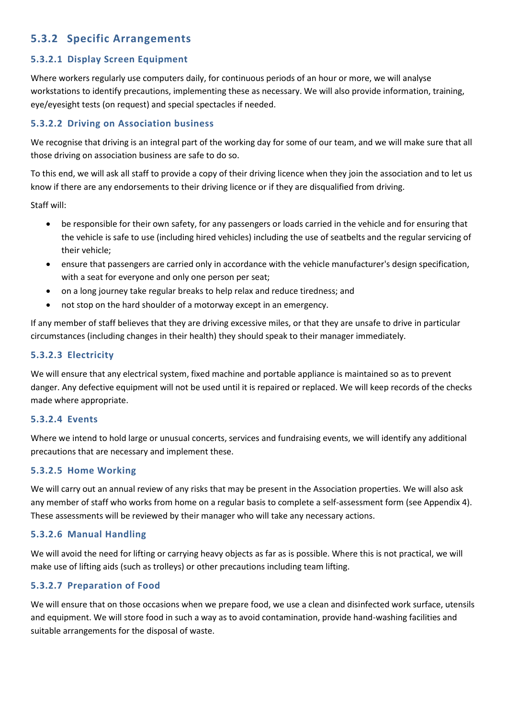## **5.3.2 Specific Arrangements**

### **5.3.2.1 Display Screen Equipment**

Where workers regularly use computers daily, for continuous periods of an hour or more, we will analyse workstations to identify precautions, implementing these as necessary. We will also provide information, training, eye/eyesight tests (on request) and special spectacles if needed.

### **5.3.2.2 Driving on Association business**

We recognise that driving is an integral part of the working day for some of our team, and we will make sure that all those driving on association business are safe to do so.

To this end, we will ask all staff to provide a copy of their driving licence when they join the association and to let us know if there are any endorsements to their driving licence or if they are disqualified from driving.

Staff will:

- be responsible for their own safety, for any passengers or loads carried in the vehicle and for ensuring that the vehicle is safe to use (including hired vehicles) including the use of seatbelts and the regular servicing of their vehicle;
- ensure that passengers are carried only in accordance with the vehicle manufacturer's design specification, with a seat for everyone and only one person per seat;
- on a long journey take regular breaks to help relax and reduce tiredness; and
- not stop on the hard shoulder of a motorway except in an emergency.

If any member of staff believes that they are driving excessive miles, or that they are unsafe to drive in particular circumstances (including changes in their health) they should speak to their manager immediately.

### **5.3.2.3 Electricity**

We will ensure that any electrical system, fixed machine and portable appliance is maintained so as to prevent danger. Any defective equipment will not be used until it is repaired or replaced. We will keep records of the checks made where appropriate.

### **5.3.2.4 Events**

Where we intend to hold large or unusual concerts, services and fundraising events, we will identify any additional precautions that are necessary and implement these.

### **5.3.2.5 Home Working**

We will carry out an annual review of any risks that may be present in the Association properties. We will also ask any member of staff who works from home on a regular basis to complete a self-assessment form (see Appendix 4). These assessments will be reviewed by their manager who will take any necessary actions.

### **5.3.2.6 Manual Handling**

We will avoid the need for lifting or carrying heavy objects as far as is possible. Where this is not practical, we will make use of lifting aids (such as trolleys) or other precautions including team lifting.

### **5.3.2.7 Preparation of Food**

We will ensure that on those occasions when we prepare food, we use a clean and disinfected work surface, utensils and equipment. We will store food in such a way as to avoid contamination, provide hand-washing facilities and suitable arrangements for the disposal of waste.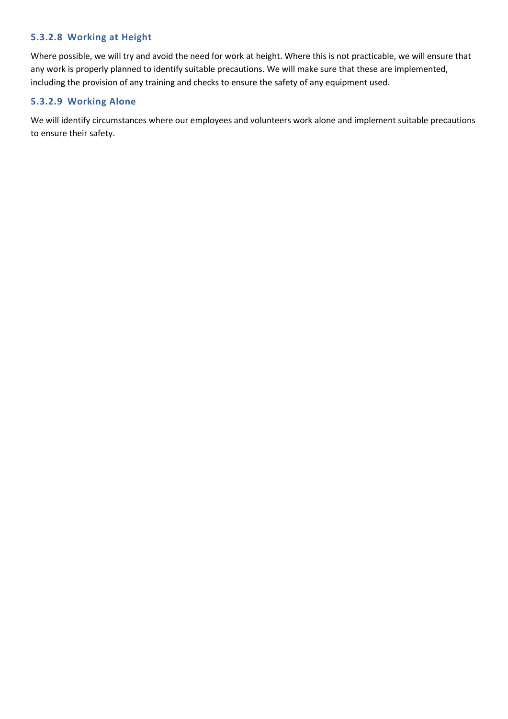### **5.3.2.8 Working at Height**

Where possible, we will try and avoid the need for work at height. Where this is not practicable, we will ensure that any work is properly planned to identify suitable precautions. We will make sure that these are implemented, including the provision of any training and checks to ensure the safety of any equipment used.

### **5.3.2.9 Working Alone**

We will identify circumstances where our employees and volunteers work alone and implement suitable precautions to ensure their safety.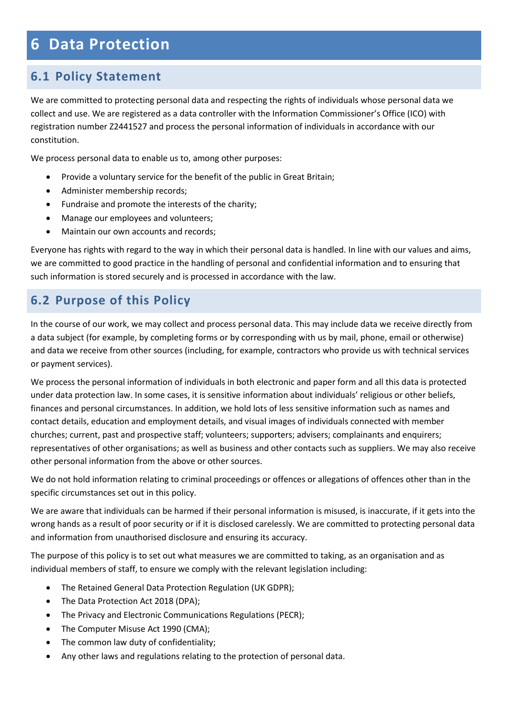# <span id="page-26-0"></span>**6 Data Protection**

# <span id="page-26-1"></span>**6.1 Policy Statement**

We are committed to protecting personal data and respecting the rights of individuals whose personal data we collect and use. We are registered as a data controller with the Information Commissioner's Office (ICO) with registration number Z2441527 and process the personal information of individuals in accordance with our constitution.

We process personal data to enable us to, among other purposes:

- Provide a voluntary service for the benefit of the public in Great Britain;
- Administer membership records;
- Fundraise and promote the interests of the charity;
- Manage our employees and volunteers;
- Maintain our own accounts and records;

Everyone has rights with regard to the way in which their personal data is handled. In line with our values and aims, we are committed to good practice in the handling of personal and confidential information and to ensuring that such information is stored securely and is processed in accordance with the law.

# <span id="page-26-2"></span>**6.2 Purpose of this Policy**

In the course of our work, we may collect and process personal data. This may include data we receive directly from a data subject (for example, by completing forms or by corresponding with us by mail, phone, email or otherwise) and data we receive from other sources (including, for example, contractors who provide us with technical services or payment services).

We process the personal information of individuals in both electronic and paper form and all this data is protected under data protection law. In some cases, it is sensitive information about individuals' religious or other beliefs, finances and personal circumstances. In addition, we hold lots of less sensitive information such as names and contact details, education and employment details, and visual images of individuals connected with member churches; current, past and prospective staff; volunteers; supporters; advisers; complainants and enquirers; representatives of other organisations; as well as business and other contacts such as suppliers. We may also receive other personal information from the above or other sources.

We do not hold information relating to criminal proceedings or offences or allegations of offences other than in the specific circumstances set out in this policy.

We are aware that individuals can be harmed if their personal information is misused, is inaccurate, if it gets into the wrong hands as a result of poor security or if it is disclosed carelessly. We are committed to protecting personal data and information from unauthorised disclosure and ensuring its accuracy.

The purpose of this policy is to set out what measures we are committed to taking, as an organisation and as individual members of staff, to ensure we comply with the relevant legislation including:

- The Retained General Data Protection Regulation (UK GDPR);
- The Data Protection Act 2018 (DPA);
- The Privacy and Electronic Communications Regulations (PECR);
- The Computer Misuse Act 1990 (CMA);
- The common law duty of confidentiality;
- Any other laws and regulations relating to the protection of personal data.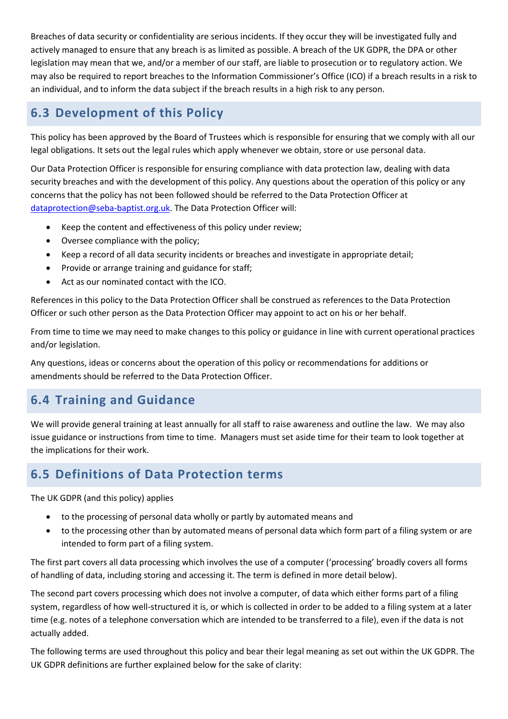Breaches of data security or confidentiality are serious incidents. If they occur they will be investigated fully and actively managed to ensure that any breach is as limited as possible. A breach of the UK GDPR, the DPA or other legislation may mean that we, and/or a member of our staff, are liable to prosecution or to regulatory action. We may also be required to report breaches to the Information Commissioner's Office (ICO) if a breach results in a risk to an individual, and to inform the data subject if the breach results in a high risk to any person.

# <span id="page-27-0"></span>**6.3 Development of this Policy**

This policy has been approved by the Board of Trustees which is responsible for ensuring that we comply with all our legal obligations. It sets out the legal rules which apply whenever we obtain, store or use personal data.

Our Data Protection Officer is responsible for ensuring compliance with data protection law, dealing with data security breaches and with the development of this policy. Any questions about the operation of this policy or any concerns that the policy has not been followed should be referred to the Data Protection Officer at [dataprotection@seba-baptist.org.uk.](mailto:dataprotection@seba-baptist.org.uk) The Data Protection Officer will:

- Keep the content and effectiveness of this policy under review;
- Oversee compliance with the policy;
- Keep a record of all data security incidents or breaches and investigate in appropriate detail;
- Provide or arrange training and guidance for staff;
- Act as our nominated contact with the ICO.

References in this policy to the Data Protection Officer shall be construed as references to the Data Protection Officer or such other person as the Data Protection Officer may appoint to act on his or her behalf.

From time to time we may need to make changes to this policy or guidance in line with current operational practices and/or legislation.

Any questions, ideas or concerns about the operation of this policy or recommendations for additions or amendments should be referred to the Data Protection Officer.

# <span id="page-27-1"></span>**6.4 Training and Guidance**

We will provide general training at least annually for all staff to raise awareness and outline the law. We may also issue guidance or instructions from time to time. Managers must set aside time for their team to look together at the implications for their work.

# <span id="page-27-2"></span>**6.5 Definitions of Data Protection terms**

The UK GDPR (and this policy) applies

- to the processing of personal data wholly or partly by automated means and
- to the processing other than by automated means of personal data which form part of a filing system or are intended to form part of a filing system.

The first part covers all data processing which involves the use of a computer ('processing' broadly covers all forms of handling of data, including storing and accessing it. The term is defined in more detail below).

The second part covers processing which does not involve a computer, of data which either forms part of a filing system, regardless of how well-structured it is, or which is collected in order to be added to a filing system at a later time (e.g. notes of a telephone conversation which are intended to be transferred to a file), even if the data is not actually added.

The following terms are used throughout this policy and bear their legal meaning as set out within the UK GDPR. The UK GDPR definitions are further explained below for the sake of clarity: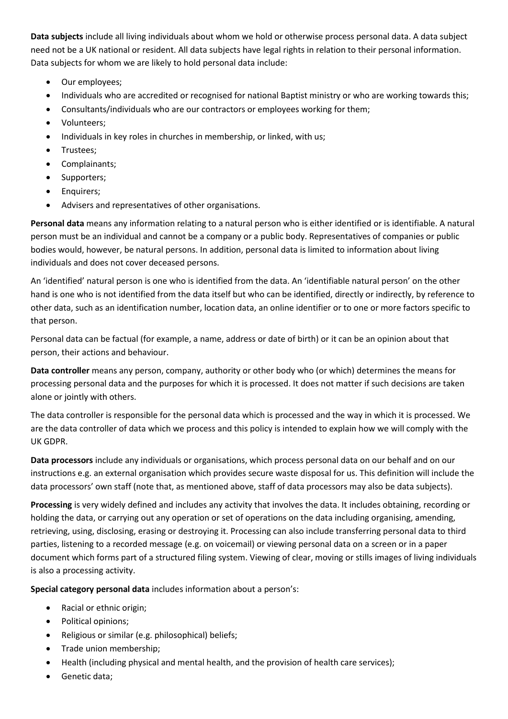**Data subjects** include all living individuals about whom we hold or otherwise process personal data. A data subject need not be a UK national or resident. All data subjects have legal rights in relation to their personal information. Data subjects for whom we are likely to hold personal data include:

- Our employees;
- Individuals who are accredited or recognised for national Baptist ministry or who are working towards this;
- Consultants/individuals who are our contractors or employees working for them;
- Volunteers;
- Individuals in key roles in churches in membership, or linked, with us;
- Trustees;
- Complainants;
- Supporters;
- Enquirers;
- Advisers and representatives of other organisations.

**Personal data** means any information relating to a natural person who is either identified or is identifiable. A natural person must be an individual and cannot be a company or a public body. Representatives of companies or public bodies would, however, be natural persons. In addition, personal data is limited to information about living individuals and does not cover deceased persons.

An 'identified' natural person is one who is identified from the data. An 'identifiable natural person' on the other hand is one who is not identified from the data itself but who can be identified, directly or indirectly, by reference to other data, such as an identification number, location data, an online identifier or to one or more factors specific to that person.

Personal data can be factual (for example, a name, address or date of birth) or it can be an opinion about that person, their actions and behaviour.

**Data controller** means any person, company, authority or other body who (or which) determines the means for processing personal data and the purposes for which it is processed. It does not matter if such decisions are taken alone or jointly with others.

The data controller is responsible for the personal data which is processed and the way in which it is processed. We are the data controller of data which we process and this policy is intended to explain how we will comply with the UK GDPR.

**Data processors** include any individuals or organisations, which process personal data on our behalf and on our instructions e.g. an external organisation which provides secure waste disposal for us. This definition will include the data processors' own staff (note that, as mentioned above, staff of data processors may also be data subjects).

**Processing** is very widely defined and includes any activity that involves the data. It includes obtaining, recording or holding the data, or carrying out any operation or set of operations on the data including organising, amending, retrieving, using, disclosing, erasing or destroying it. Processing can also include transferring personal data to third parties, listening to a recorded message (e.g. on voicemail) or viewing personal data on a screen or in a paper document which forms part of a structured filing system. Viewing of clear, moving or stills images of living individuals is also a processing activity.

**Special category personal data** includes information about a person's:

- Racial or ethnic origin;
- Political opinions;
- Religious or similar (e.g. philosophical) beliefs;
- Trade union membership;
- Health (including physical and mental health, and the provision of health care services);
- Genetic data;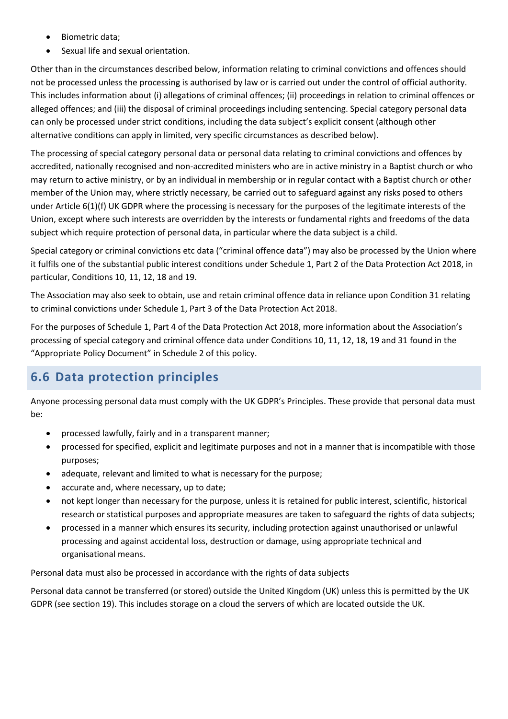- Biometric data;
- Sexual life and sexual orientation.

Other than in the circumstances described below, information relating to criminal convictions and offences should not be processed unless the processing is authorised by law or is carried out under the control of official authority. This includes information about (i) allegations of criminal offences; (ii) proceedings in relation to criminal offences or alleged offences; and (iii) the disposal of criminal proceedings including sentencing. Special category personal data can only be processed under strict conditions, including the data subject's explicit consent (although other alternative conditions can apply in limited, very specific circumstances as described below).

The processing of special category personal data or personal data relating to criminal convictions and offences by accredited, nationally recognised and non-accredited ministers who are in active ministry in a Baptist church or who may return to active ministry, or by an individual in membership or in regular contact with a Baptist church or other member of the Union may, where strictly necessary, be carried out to safeguard against any risks posed to others under Article 6(1)(f) UK GDPR where the processing is necessary for the purposes of the legitimate interests of the Union, except where such interests are overridden by the interests or fundamental rights and freedoms of the data subject which require protection of personal data, in particular where the data subject is a child.

Special category or criminal convictions etc data ("criminal offence data") may also be processed by the Union where it fulfils one of the substantial public interest conditions under Schedule 1, Part 2 of the Data Protection Act 2018, in particular, Conditions 10, 11, 12, 18 and 19.

The Association may also seek to obtain, use and retain criminal offence data in reliance upon Condition 31 relating to criminal convictions under Schedule 1, Part 3 of the Data Protection Act 2018.

For the purposes of Schedule 1, Part 4 of the Data Protection Act 2018, more information about the Association's processing of special category and criminal offence data under Conditions 10, 11, 12, 18, 19 and 31 found in the "Appropriate Policy Document" in Schedule 2 of this policy.

# <span id="page-29-0"></span>**6.6 Data protection principles**

Anyone processing personal data must comply with the UK GDPR's Principles. These provide that personal data must be:

- processed lawfully, fairly and in a transparent manner;
- processed for specified, explicit and legitimate purposes and not in a manner that is incompatible with those purposes;
- adequate, relevant and limited to what is necessary for the purpose;
- accurate and, where necessary, up to date;
- not kept longer than necessary for the purpose, unless it is retained for public interest, scientific, historical research or statistical purposes and appropriate measures are taken to safeguard the rights of data subjects;
- processed in a manner which ensures its security, including protection against unauthorised or unlawful processing and against accidental loss, destruction or damage, using appropriate technical and organisational means.

Personal data must also be processed in accordance with the rights of data subjects

Personal data cannot be transferred (or stored) outside the United Kingdom (UK) unless this is permitted by the UK GDPR (see section 19). This includes storage on a cloud the servers of which are located outside the UK.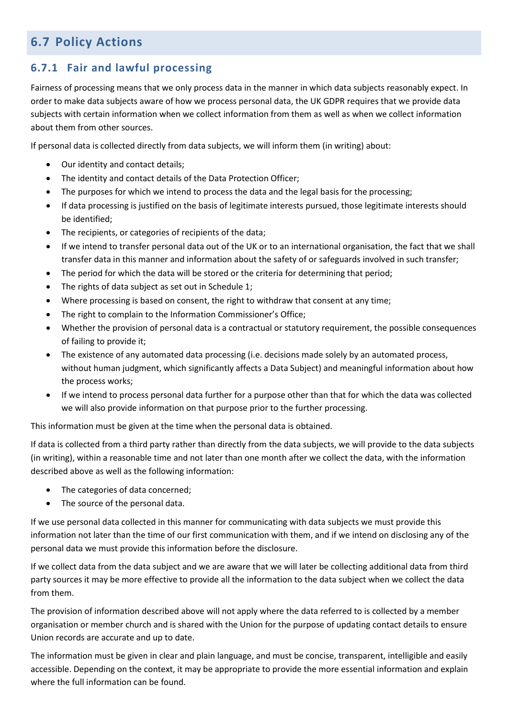# <span id="page-30-0"></span>**6.7 Policy Actions**

## **6.7.1 Fair and lawful processing**

Fairness of processing means that we only process data in the manner in which data subjects reasonably expect. In order to make data subjects aware of how we process personal data, the UK GDPR requires that we provide data subjects with certain information when we collect information from them as well as when we collect information about them from other sources.

If personal data is collected directly from data subjects, we will inform them (in writing) about:

- Our identity and contact details;
- The identity and contact details of the Data Protection Officer;
- The purposes for which we intend to process the data and the legal basis for the processing;
- If data processing is justified on the basis of legitimate interests pursued, those legitimate interests should be identified;
- The recipients, or categories of recipients of the data;
- If we intend to transfer personal data out of the UK or to an international organisation, the fact that we shall transfer data in this manner and information about the safety of or safeguards involved in such transfer;
- The period for which the data will be stored or the criteria for determining that period;
- The rights of data subject as set out in Schedule 1;
- Where processing is based on consent, the right to withdraw that consent at any time;
- The right to complain to the Information Commissioner's Office;
- Whether the provision of personal data is a contractual or statutory requirement, the possible consequences of failing to provide it;
- The existence of any automated data processing (i.e. decisions made solely by an automated process, without human judgment, which significantly affects a Data Subject) and meaningful information about how the process works;
- If we intend to process personal data further for a purpose other than that for which the data was collected we will also provide information on that purpose prior to the further processing.

This information must be given at the time when the personal data is obtained.

If data is collected from a third party rather than directly from the data subjects, we will provide to the data subjects (in writing), within a reasonable time and not later than one month after we collect the data, with the information described above as well as the following information:

- The categories of data concerned;
- The source of the personal data.

If we use personal data collected in this manner for communicating with data subjects we must provide this information not later than the time of our first communication with them, and if we intend on disclosing any of the personal data we must provide this information before the disclosure.

If we collect data from the data subject and we are aware that we will later be collecting additional data from third party sources it may be more effective to provide all the information to the data subject when we collect the data from them.

The provision of information described above will not apply where the data referred to is collected by a member organisation or member church and is shared with the Union for the purpose of updating contact details to ensure Union records are accurate and up to date.

The information must be given in clear and plain language, and must be concise, transparent, intelligible and easily accessible. Depending on the context, it may be appropriate to provide the more essential information and explain where the full information can be found.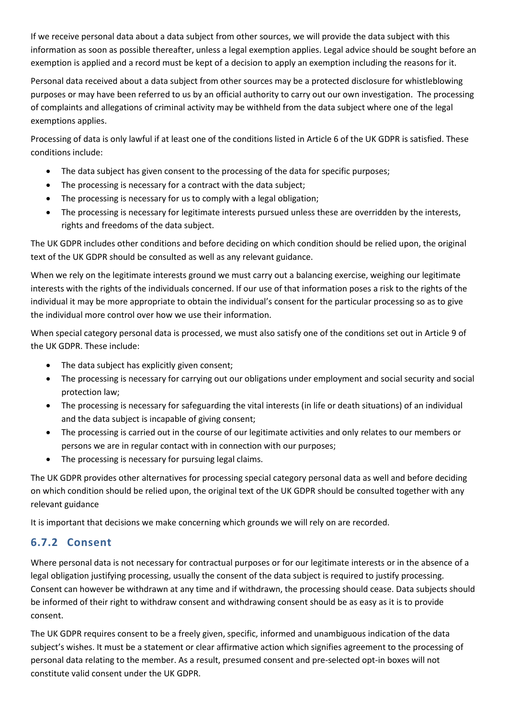If we receive personal data about a data subject from other sources, we will provide the data subject with this information as soon as possible thereafter, unless a legal exemption applies. Legal advice should be sought before an exemption is applied and a record must be kept of a decision to apply an exemption including the reasons for it.

Personal data received about a data subject from other sources may be a protected disclosure for whistleblowing purposes or may have been referred to us by an official authority to carry out our own investigation. The processing of complaints and allegations of criminal activity may be withheld from the data subject where one of the legal exemptions applies.

Processing of data is only lawful if at least one of the conditions listed in Article 6 of the UK GDPR is satisfied. These conditions include:

- The data subject has given consent to the processing of the data for specific purposes;
- The processing is necessary for a contract with the data subject;
- The processing is necessary for us to comply with a legal obligation;
- The processing is necessary for legitimate interests pursued unless these are overridden by the interests, rights and freedoms of the data subject.

The UK GDPR includes other conditions and before deciding on which condition should be relied upon, the original text of the UK GDPR should be consulted as well as any relevant guidance.

When we rely on the legitimate interests ground we must carry out a balancing exercise, weighing our legitimate interests with the rights of the individuals concerned. If our use of that information poses a risk to the rights of the individual it may be more appropriate to obtain the individual's consent for the particular processing so as to give the individual more control over how we use their information.

When special category personal data is processed, we must also satisfy one of the conditions set out in Article 9 of the UK GDPR. These include:

- The data subject has explicitly given consent;
- The processing is necessary for carrying out our obligations under employment and social security and social protection law;
- The processing is necessary for safeguarding the vital interests (in life or death situations) of an individual and the data subject is incapable of giving consent;
- The processing is carried out in the course of our legitimate activities and only relates to our members or persons we are in regular contact with in connection with our purposes;
- The processing is necessary for pursuing legal claims.

The UK GDPR provides other alternatives for processing special category personal data as well and before deciding on which condition should be relied upon, the original text of the UK GDPR should be consulted together with any relevant guidance

It is important that decisions we make concerning which grounds we will rely on are recorded.

## **6.7.2 Consent**

Where personal data is not necessary for contractual purposes or for our legitimate interests or in the absence of a legal obligation justifying processing, usually the consent of the data subject is required to justify processing. Consent can however be withdrawn at any time and if withdrawn, the processing should cease. Data subjects should be informed of their right to withdraw consent and withdrawing consent should be as easy as it is to provide consent.

The UK GDPR requires consent to be a freely given, specific, informed and unambiguous indication of the data subject's wishes. It must be a statement or clear affirmative action which signifies agreement to the processing of personal data relating to the member. As a result, presumed consent and pre-selected opt-in boxes will not constitute valid consent under the UK GDPR.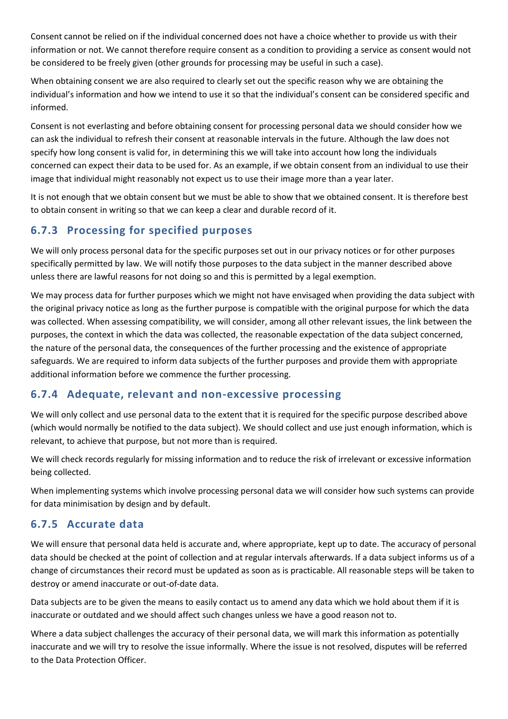Consent cannot be relied on if the individual concerned does not have a choice whether to provide us with their information or not. We cannot therefore require consent as a condition to providing a service as consent would not be considered to be freely given (other grounds for processing may be useful in such a case).

When obtaining consent we are also required to clearly set out the specific reason why we are obtaining the individual's information and how we intend to use it so that the individual's consent can be considered specific and informed.

Consent is not everlasting and before obtaining consent for processing personal data we should consider how we can ask the individual to refresh their consent at reasonable intervals in the future. Although the law does not specify how long consent is valid for, in determining this we will take into account how long the individuals concerned can expect their data to be used for. As an example, if we obtain consent from an individual to use their image that individual might reasonably not expect us to use their image more than a year later.

It is not enough that we obtain consent but we must be able to show that we obtained consent. It is therefore best to obtain consent in writing so that we can keep a clear and durable record of it.

## **6.7.3 Processing for specified purposes**

We will only process personal data for the specific purposes set out in our privacy notices or for other purposes specifically permitted by law. We will notify those purposes to the data subject in the manner described above unless there are lawful reasons for not doing so and this is permitted by a legal exemption.

We may process data for further purposes which we might not have envisaged when providing the data subject with the original privacy notice as long as the further purpose is compatible with the original purpose for which the data was collected. When assessing compatibility, we will consider, among all other relevant issues, the link between the purposes, the context in which the data was collected, the reasonable expectation of the data subject concerned, the nature of the personal data, the consequences of the further processing and the existence of appropriate safeguards. We are required to inform data subjects of the further purposes and provide them with appropriate additional information before we commence the further processing.

### **6.7.4 Adequate, relevant and non-excessive processing**

We will only collect and use personal data to the extent that it is required for the specific purpose described above (which would normally be notified to the data subject). We should collect and use just enough information, which is relevant, to achieve that purpose, but not more than is required.

We will check records regularly for missing information and to reduce the risk of irrelevant or excessive information being collected.

When implementing systems which involve processing personal data we will consider how such systems can provide for data minimisation by design and by default.

## **6.7.5 Accurate data**

We will ensure that personal data held is accurate and, where appropriate, kept up to date. The accuracy of personal data should be checked at the point of collection and at regular intervals afterwards. If a data subject informs us of a change of circumstances their record must be updated as soon as is practicable. All reasonable steps will be taken to destroy or amend inaccurate or out-of-date data.

Data subjects are to be given the means to easily contact us to amend any data which we hold about them if it is inaccurate or outdated and we should affect such changes unless we have a good reason not to.

Where a data subject challenges the accuracy of their personal data, we will mark this information as potentially inaccurate and we will try to resolve the issue informally. Where the issue is not resolved, disputes will be referred to the Data Protection Officer.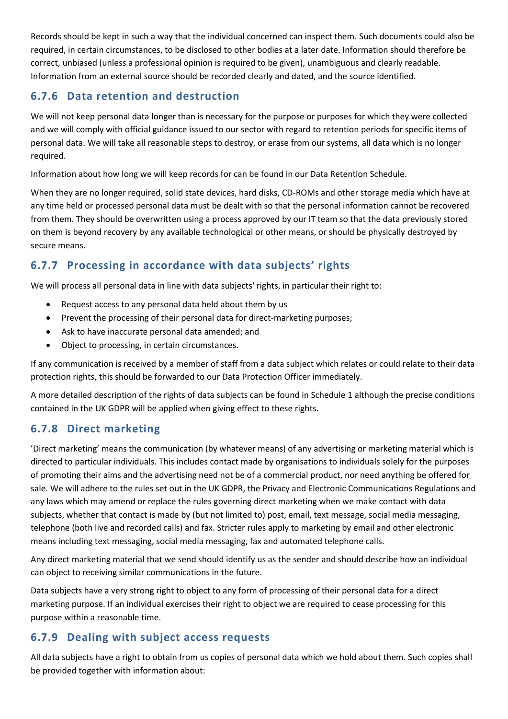Records should be kept in such a way that the individual concerned can inspect them. Such documents could also be required, in certain circumstances, to be disclosed to other bodies at a later date. Information should therefore be correct, unbiased (unless a professional opinion is required to be given), unambiguous and clearly readable. Information from an external source should be recorded clearly and dated, and the source identified.

## **6.7.6 Data retention and destruction**

We will not keep personal data longer than is necessary for the purpose or purposes for which they were collected and we will comply with official guidance issued to our sector with regard to retention periods for specific items of personal data. We will take all reasonable steps to destroy, or erase from our systems, all data which is no longer required.

Information about how long we will keep records for can be found in our Data Retention Schedule.

When they are no longer required, solid state devices, hard disks, CD-ROMs and other storage media which have at any time held or processed personal data must be dealt with so that the personal information cannot be recovered from them. They should be overwritten using a process approved by our IT team so that the data previously stored on them is beyond recovery by any available technological or other means, or should be physically destroyed by secure means.

## **6.7.7 Processing in accordance with data subjects' rights**

We will process all personal data in line with data subjects' rights, in particular their right to:

- Request access to any personal data held about them by us
- Prevent the processing of their personal data for direct-marketing purposes;
- Ask to have inaccurate personal data amended; and
- Object to processing, in certain circumstances.

If any communication is received by a member of staff from a data subject which relates or could relate to their data protection rights, this should be forwarded to our Data Protection Officer immediately.

A more detailed description of the rights of data subjects can be found in Schedule 1 although the precise conditions contained in the UK GDPR will be applied when giving effect to these rights.

## **6.7.8 Direct marketing**

'Direct marketing' means the communication (by whatever means) of any advertising or marketing material which is directed to particular individuals. This includes contact made by organisations to individuals solely for the purposes of promoting their aims and the advertising need not be of a commercial product, nor need anything be offered for sale. We will adhere to the rules set out in the UK GDPR, the Privacy and Electronic Communications Regulations and any laws which may amend or replace the rules governing direct marketing when we make contact with data subjects, whether that contact is made by (but not limited to) post, email, text message, social media messaging, telephone (both live and recorded calls) and fax. Stricter rules apply to marketing by email and other electronic means including text messaging, social media messaging, fax and automated telephone calls.

Any direct marketing material that we send should identify us as the sender and should describe how an individual can object to receiving similar communications in the future.

Data subjects have a very strong right to object to any form of processing of their personal data for a direct marketing purpose. If an individual exercises their right to object we are required to cease processing for this purpose within a reasonable time.

## **6.7.9 Dealing with subject access requests**

All data subjects have a right to obtain from us copies of personal data which we hold about them. Such copies shall be provided together with information about: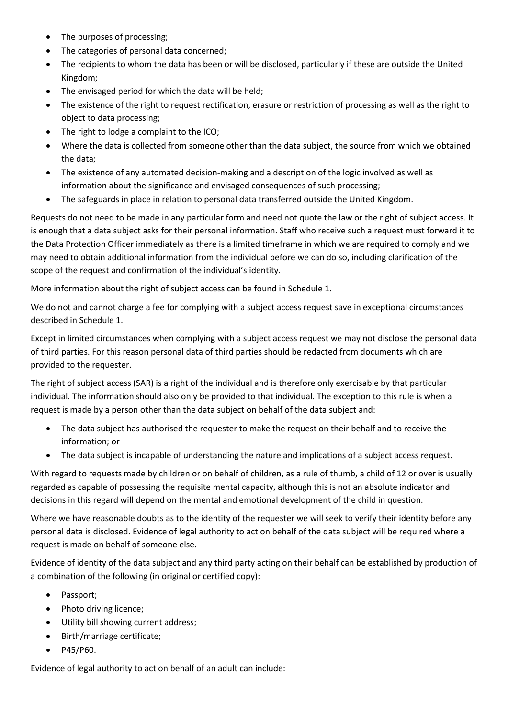- The purposes of processing;
- The categories of personal data concerned;
- The recipients to whom the data has been or will be disclosed, particularly if these are outside the United Kingdom;
- The envisaged period for which the data will be held;
- The existence of the right to request rectification, erasure or restriction of processing as well as the right to object to data processing;
- The right to lodge a complaint to the ICO;
- Where the data is collected from someone other than the data subject, the source from which we obtained the data;
- The existence of any automated decision-making and a description of the logic involved as well as information about the significance and envisaged consequences of such processing;
- The safeguards in place in relation to personal data transferred outside the United Kingdom.

Requests do not need to be made in any particular form and need not quote the law or the right of subject access. It is enough that a data subject asks for their personal information. Staff who receive such a request must forward it to the Data Protection Officer immediately as there is a limited timeframe in which we are required to comply and we may need to obtain additional information from the individual before we can do so, including clarification of the scope of the request and confirmation of the individual's identity.

More information about the right of subject access can be found in Schedule 1.

We do not and cannot charge a fee for complying with a subject access request save in exceptional circumstances described in Schedule 1.

Except in limited circumstances when complying with a subject access request we may not disclose the personal data of third parties. For this reason personal data of third parties should be redacted from documents which are provided to the requester.

The right of subject access (SAR) is a right of the individual and is therefore only exercisable by that particular individual. The information should also only be provided to that individual. The exception to this rule is when a request is made by a person other than the data subject on behalf of the data subject and:

- The data subject has authorised the requester to make the request on their behalf and to receive the information; or
- The data subject is incapable of understanding the nature and implications of a subject access request.

With regard to requests made by children or on behalf of children, as a rule of thumb, a child of 12 or over is usually regarded as capable of possessing the requisite mental capacity, although this is not an absolute indicator and decisions in this regard will depend on the mental and emotional development of the child in question.

Where we have reasonable doubts as to the identity of the requester we will seek to verify their identity before any personal data is disclosed. Evidence of legal authority to act on behalf of the data subject will be required where a request is made on behalf of someone else.

Evidence of identity of the data subject and any third party acting on their behalf can be established by production of a combination of the following (in original or certified copy):

- Passport;
- Photo driving licence;
- Utility bill showing current address;
- Birth/marriage certificate;
- P45/P60.

Evidence of legal authority to act on behalf of an adult can include: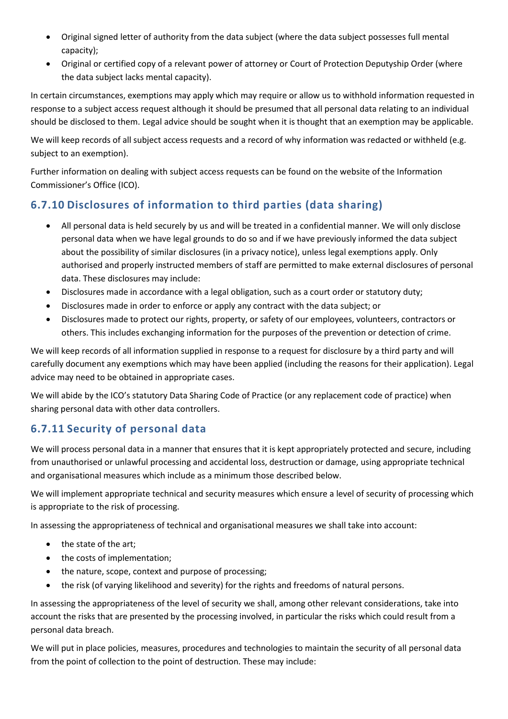- Original signed letter of authority from the data subject (where the data subject possesses full mental capacity);
- Original or certified copy of a relevant power of attorney or Court of Protection Deputyship Order (where the data subject lacks mental capacity).

In certain circumstances, exemptions may apply which may require or allow us to withhold information requested in response to a subject access request although it should be presumed that all personal data relating to an individual should be disclosed to them. Legal advice should be sought when it is thought that an exemption may be applicable.

We will keep records of all subject access requests and a record of why information was redacted or withheld (e.g. subject to an exemption).

Further information on dealing with subject access requests can be found on the website of the Information Commissioner's Office (ICO).

## **6.7.10 Disclosures of information to third parties (data sharing)**

- All personal data is held securely by us and will be treated in a confidential manner. We will only disclose personal data when we have legal grounds to do so and if we have previously informed the data subject about the possibility of similar disclosures (in a privacy notice), unless legal exemptions apply. Only authorised and properly instructed members of staff are permitted to make external disclosures of personal data. These disclosures may include:
- Disclosures made in accordance with a legal obligation, such as a court order or statutory duty;
- Disclosures made in order to enforce or apply any contract with the data subject; or
- Disclosures made to protect our rights, property, or safety of our employees, volunteers, contractors or others. This includes exchanging information for the purposes of the prevention or detection of crime.

We will keep records of all information supplied in response to a request for disclosure by a third party and will carefully document any exemptions which may have been applied (including the reasons for their application). Legal advice may need to be obtained in appropriate cases.

We will abide by the ICO's statutory Data Sharing Code of Practice (or any replacement code of practice) when sharing personal data with other data controllers.

## **6.7.11 Security of personal data**

We will process personal data in a manner that ensures that it is kept appropriately protected and secure, including from unauthorised or unlawful processing and accidental loss, destruction or damage, using appropriate technical and organisational measures which include as a minimum those described below.

We will implement appropriate technical and security measures which ensure a level of security of processing which is appropriate to the risk of processing.

In assessing the appropriateness of technical and organisational measures we shall take into account:

- the state of the art;
- the costs of implementation;
- the nature, scope, context and purpose of processing;
- the risk (of varying likelihood and severity) for the rights and freedoms of natural persons.

In assessing the appropriateness of the level of security we shall, among other relevant considerations, take into account the risks that are presented by the processing involved, in particular the risks which could result from a personal data breach.

We will put in place policies, measures, procedures and technologies to maintain the security of all personal data from the point of collection to the point of destruction. These may include: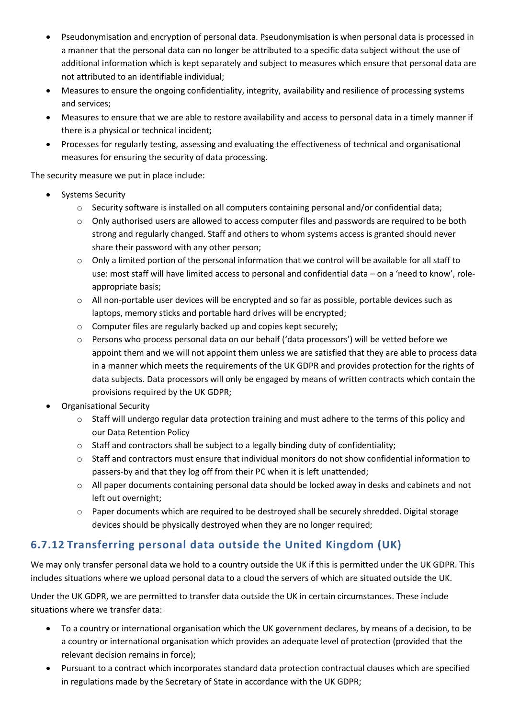- Pseudonymisation and encryption of personal data. Pseudonymisation is when personal data is processed in a manner that the personal data can no longer be attributed to a specific data subject without the use of additional information which is kept separately and subject to measures which ensure that personal data are not attributed to an identifiable individual;
- Measures to ensure the ongoing confidentiality, integrity, availability and resilience of processing systems and services;
- Measures to ensure that we are able to restore availability and access to personal data in a timely manner if there is a physical or technical incident;
- Processes for regularly testing, assessing and evaluating the effectiveness of technical and organisational measures for ensuring the security of data processing.

The security measure we put in place include:

- Systems Security
	- $\circ$  Security software is installed on all computers containing personal and/or confidential data;
	- $\circ$  Only authorised users are allowed to access computer files and passwords are required to be both strong and regularly changed. Staff and others to whom systems access is granted should never share their password with any other person;
	- o Only a limited portion of the personal information that we control will be available for all staff to use: most staff will have limited access to personal and confidential data – on a 'need to know', roleappropriate basis;
	- $\circ$  All non-portable user devices will be encrypted and so far as possible, portable devices such as laptops, memory sticks and portable hard drives will be encrypted;
	- o Computer files are regularly backed up and copies kept securely;
	- o Persons who process personal data on our behalf ('data processors') will be vetted before we appoint them and we will not appoint them unless we are satisfied that they are able to process data in a manner which meets the requirements of the UK GDPR and provides protection for the rights of data subjects. Data processors will only be engaged by means of written contracts which contain the provisions required by the UK GDPR;
- Organisational Security
	- $\circ$  Staff will undergo regular data protection training and must adhere to the terms of this policy and our Data Retention Policy
	- $\circ$  Staff and contractors shall be subject to a legally binding duty of confidentiality;
	- $\circ$  Staff and contractors must ensure that individual monitors do not show confidential information to passers-by and that they log off from their PC when it is left unattended;
	- $\circ$  All paper documents containing personal data should be locked away in desks and cabinets and not left out overnight;
	- $\circ$  Paper documents which are required to be destroyed shall be securely shredded. Digital storage devices should be physically destroyed when they are no longer required;

# **6.7.12 Transferring personal data outside the United Kingdom (UK)**

We may only transfer personal data we hold to a country outside the UK if this is permitted under the UK GDPR. This includes situations where we upload personal data to a cloud the servers of which are situated outside the UK.

Under the UK GDPR, we are permitted to transfer data outside the UK in certain circumstances. These include situations where we transfer data:

- To a country or international organisation which the UK government declares, by means of a decision, to be a country or international organisation which provides an adequate level of protection (provided that the relevant decision remains in force);
- Pursuant to a contract which incorporates standard data protection contractual clauses which are specified in regulations made by the Secretary of State in accordance with the UK GDPR;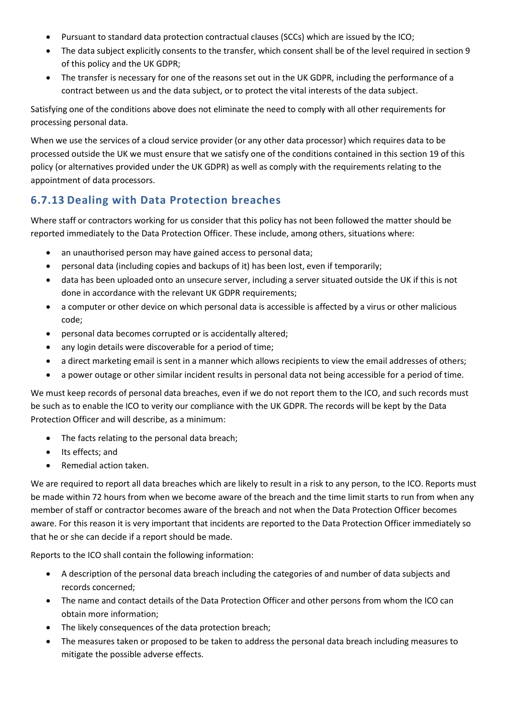- Pursuant to standard data protection contractual clauses (SCCs) which are issued by the ICO;
- The data subject explicitly consents to the transfer, which consent shall be of the level required in section 9 of this policy and the UK GDPR;
- The transfer is necessary for one of the reasons set out in the UK GDPR, including the performance of a contract between us and the data subject, or to protect the vital interests of the data subject.

Satisfying one of the conditions above does not eliminate the need to comply with all other requirements for processing personal data.

When we use the services of a cloud service provider (or any other data processor) which requires data to be processed outside the UK we must ensure that we satisfy one of the conditions contained in this section 19 of this policy (or alternatives provided under the UK GDPR) as well as comply with the requirements relating to the appointment of data processors.

# **6.7.13 Dealing with Data Protection breaches**

Where staff or contractors working for us consider that this policy has not been followed the matter should be reported immediately to the Data Protection Officer. These include, among others, situations where:

- an unauthorised person may have gained access to personal data;
- personal data (including copies and backups of it) has been lost, even if temporarily;
- data has been uploaded onto an unsecure server, including a server situated outside the UK if this is not done in accordance with the relevant UK GDPR requirements;
- a computer or other device on which personal data is accessible is affected by a virus or other malicious code;
- personal data becomes corrupted or is accidentally altered;
- any login details were discoverable for a period of time;
- a direct marketing email is sent in a manner which allows recipients to view the email addresses of others;
- a power outage or other similar incident results in personal data not being accessible for a period of time.

We must keep records of personal data breaches, even if we do not report them to the ICO, and such records must be such as to enable the ICO to verity our compliance with the UK GDPR. The records will be kept by the Data Protection Officer and will describe, as a minimum:

- The facts relating to the personal data breach;
- Its effects; and
- Remedial action taken.

We are required to report all data breaches which are likely to result in a risk to any person, to the ICO. Reports must be made within 72 hours from when we become aware of the breach and the time limit starts to run from when any member of staff or contractor becomes aware of the breach and not when the Data Protection Officer becomes aware. For this reason it is very important that incidents are reported to the Data Protection Officer immediately so that he or she can decide if a report should be made.

Reports to the ICO shall contain the following information:

- A description of the personal data breach including the categories of and number of data subjects and records concerned;
- The name and contact details of the Data Protection Officer and other persons from whom the ICO can obtain more information;
- The likely consequences of the data protection breach;
- The measures taken or proposed to be taken to address the personal data breach including measures to mitigate the possible adverse effects.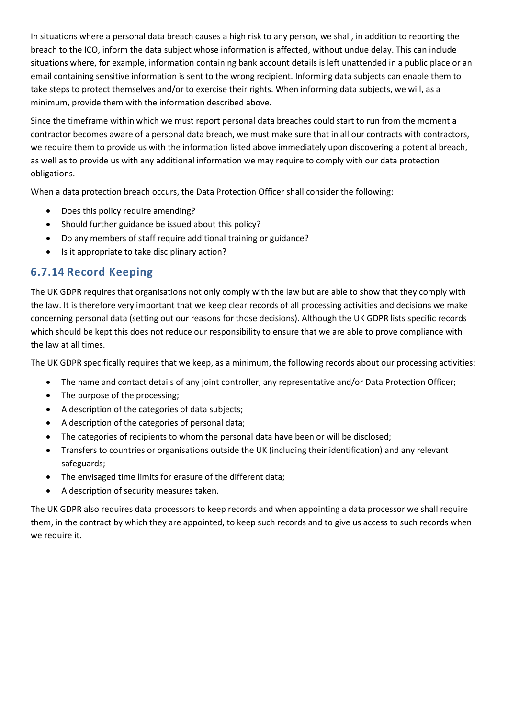In situations where a personal data breach causes a high risk to any person, we shall, in addition to reporting the breach to the ICO, inform the data subject whose information is affected, without undue delay. This can include situations where, for example, information containing bank account details is left unattended in a public place or an email containing sensitive information is sent to the wrong recipient. Informing data subjects can enable them to take steps to protect themselves and/or to exercise their rights. When informing data subjects, we will, as a minimum, provide them with the information described above.

Since the timeframe within which we must report personal data breaches could start to run from the moment a contractor becomes aware of a personal data breach, we must make sure that in all our contracts with contractors, we require them to provide us with the information listed above immediately upon discovering a potential breach, as well as to provide us with any additional information we may require to comply with our data protection obligations.

When a data protection breach occurs, the Data Protection Officer shall consider the following:

- Does this policy require amending?
- Should further guidance be issued about this policy?
- Do any members of staff require additional training or guidance?
- Is it appropriate to take disciplinary action?

### **6.7.14 Record Keeping**

The UK GDPR requires that organisations not only comply with the law but are able to show that they comply with the law. It is therefore very important that we keep clear records of all processing activities and decisions we make concerning personal data (setting out our reasons for those decisions). Although the UK GDPR lists specific records which should be kept this does not reduce our responsibility to ensure that we are able to prove compliance with the law at all times.

The UK GDPR specifically requires that we keep, as a minimum, the following records about our processing activities:

- The name and contact details of any joint controller, any representative and/or Data Protection Officer;
- The purpose of the processing;
- A description of the categories of data subjects;
- A description of the categories of personal data;
- The categories of recipients to whom the personal data have been or will be disclosed;
- Transfers to countries or organisations outside the UK (including their identification) and any relevant safeguards;
- The envisaged time limits for erasure of the different data;
- A description of security measures taken.

The UK GDPR also requires data processors to keep records and when appointing a data processor we shall require them, in the contract by which they are appointed, to keep such records and to give us access to such records when we require it.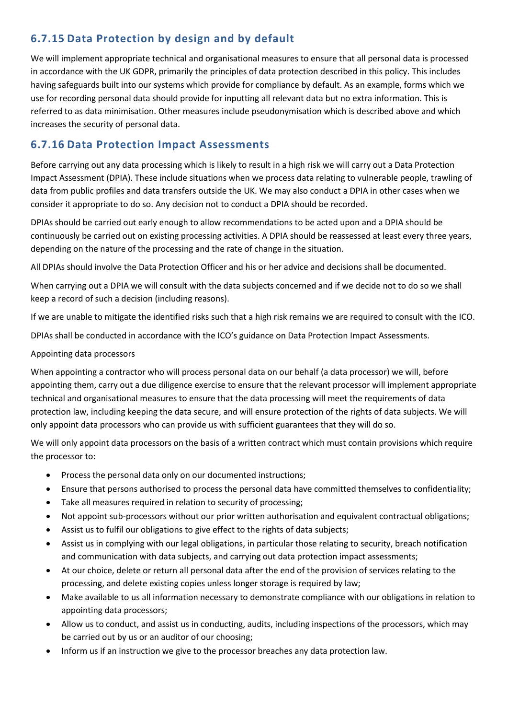# **6.7.15 Data Protection by design and by default**

We will implement appropriate technical and organisational measures to ensure that all personal data is processed in accordance with the UK GDPR, primarily the principles of data protection described in this policy. This includes having safeguards built into our systems which provide for compliance by default. As an example, forms which we use for recording personal data should provide for inputting all relevant data but no extra information. This is referred to as data minimisation. Other measures include pseudonymisation which is described above and which increases the security of personal data.

# **6.7.16 Data Protection Impact Assessments**

Before carrying out any data processing which is likely to result in a high risk we will carry out a Data Protection Impact Assessment (DPIA). These include situations when we process data relating to vulnerable people, trawling of data from public profiles and data transfers outside the UK. We may also conduct a DPIA in other cases when we consider it appropriate to do so. Any decision not to conduct a DPIA should be recorded.

DPIAs should be carried out early enough to allow recommendations to be acted upon and a DPIA should be continuously be carried out on existing processing activities. A DPIA should be reassessed at least every three years, depending on the nature of the processing and the rate of change in the situation.

All DPIAs should involve the Data Protection Officer and his or her advice and decisions shall be documented.

When carrying out a DPIA we will consult with the data subjects concerned and if we decide not to do so we shall keep a record of such a decision (including reasons).

If we are unable to mitigate the identified risks such that a high risk remains we are required to consult with the ICO.

DPIAs shall be conducted in accordance with the ICO's guidance on Data Protection Impact Assessments.

#### Appointing data processors

When appointing a contractor who will process personal data on our behalf (a data processor) we will, before appointing them, carry out a due diligence exercise to ensure that the relevant processor will implement appropriate technical and organisational measures to ensure that the data processing will meet the requirements of data protection law, including keeping the data secure, and will ensure protection of the rights of data subjects. We will only appoint data processors who can provide us with sufficient guarantees that they will do so.

We will only appoint data processors on the basis of a written contract which must contain provisions which require the processor to:

- Process the personal data only on our documented instructions;
- Ensure that persons authorised to process the personal data have committed themselves to confidentiality;
- Take all measures required in relation to security of processing;
- Not appoint sub-processors without our prior written authorisation and equivalent contractual obligations;
- Assist us to fulfil our obligations to give effect to the rights of data subjects;
- Assist us in complying with our legal obligations, in particular those relating to security, breach notification and communication with data subjects, and carrying out data protection impact assessments;
- At our choice, delete or return all personal data after the end of the provision of services relating to the processing, and delete existing copies unless longer storage is required by law;
- Make available to us all information necessary to demonstrate compliance with our obligations in relation to appointing data processors;
- Allow us to conduct, and assist us in conducting, audits, including inspections of the processors, which may be carried out by us or an auditor of our choosing;
- Inform us if an instruction we give to the processor breaches any data protection law.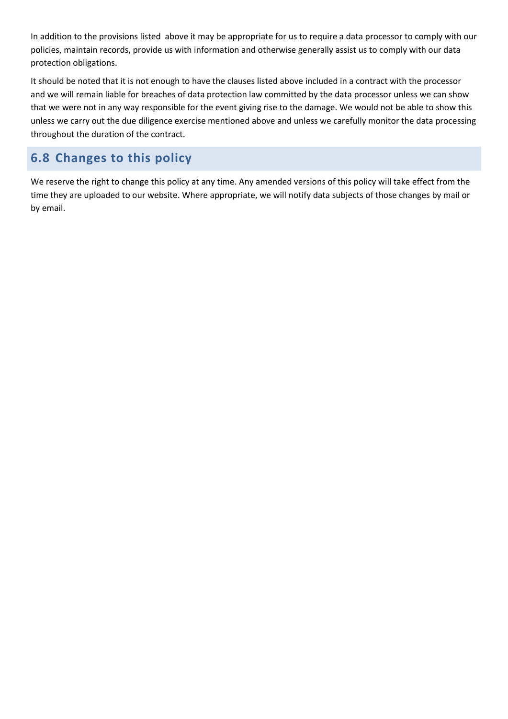In addition to the provisions listed above it may be appropriate for us to require a data processor to comply with our policies, maintain records, provide us with information and otherwise generally assist us to comply with our data protection obligations.

It should be noted that it is not enough to have the clauses listed above included in a contract with the processor and we will remain liable for breaches of data protection law committed by the data processor unless we can show that we were not in any way responsible for the event giving rise to the damage. We would not be able to show this unless we carry out the due diligence exercise mentioned above and unless we carefully monitor the data processing throughout the duration of the contract.

# **6.8 Changes to this policy**

We reserve the right to change this policy at any time. Any amended versions of this policy will take effect from the time they are uploaded to our website. Where appropriate, we will notify data subjects of those changes by mail or by email.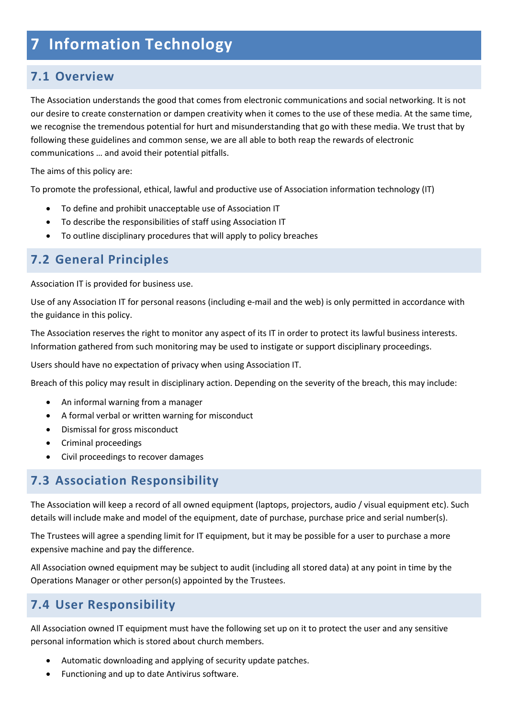# **7 Information Technology**

# **7.1 Overview**

The Association understands the good that comes from electronic communications and social networking. It is not our desire to create consternation or dampen creativity when it comes to the use of these media. At the same time, we recognise the tremendous potential for hurt and misunderstanding that go with these media. We trust that by following these guidelines and common sense, we are all able to both reap the rewards of electronic communications … and avoid their potential pitfalls.

The aims of this policy are:

To promote the professional, ethical, lawful and productive use of Association information technology (IT)

- To define and prohibit unacceptable use of Association IT
- To describe the responsibilities of staff using Association IT
- To outline disciplinary procedures that will apply to policy breaches

# **7.2 General Principles**

Association IT is provided for business use.

Use of any Association IT for personal reasons (including e-mail and the web) is only permitted in accordance with the guidance in this policy.

The Association reserves the right to monitor any aspect of its IT in order to protect its lawful business interests. Information gathered from such monitoring may be used to instigate or support disciplinary proceedings.

Users should have no expectation of privacy when using Association IT.

Breach of this policy may result in disciplinary action. Depending on the severity of the breach, this may include:

- An informal warning from a manager
- A formal verbal or written warning for misconduct
- Dismissal for gross misconduct
- Criminal proceedings
- Civil proceedings to recover damages

# **7.3 Association Responsibility**

The Association will keep a record of all owned equipment (laptops, projectors, audio / visual equipment etc). Such details will include make and model of the equipment, date of purchase, purchase price and serial number(s).

The Trustees will agree a spending limit for IT equipment, but it may be possible for a user to purchase a more expensive machine and pay the difference.

All Association owned equipment may be subject to audit (including all stored data) at any point in time by the Operations Manager or other person(s) appointed by the Trustees.

# **7.4 User Responsibility**

All Association owned IT equipment must have the following set up on it to protect the user and any sensitive personal information which is stored about church members.

- Automatic downloading and applying of security update patches.
- Functioning and up to date Antivirus software.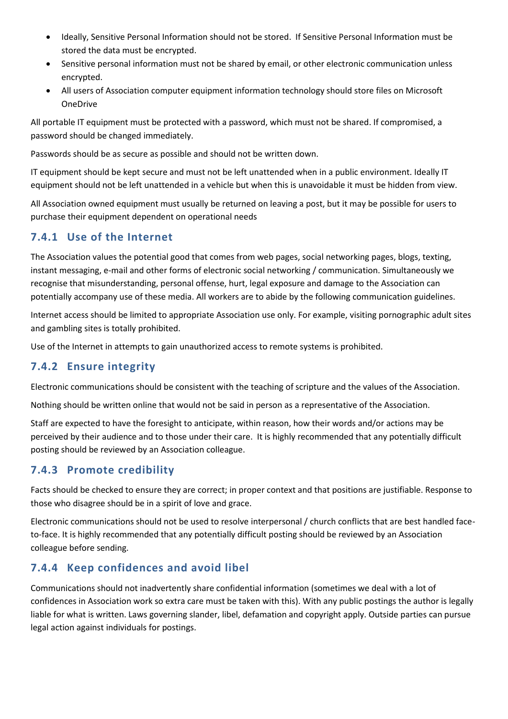- Ideally, Sensitive Personal Information should not be stored. If Sensitive Personal Information must be stored the data must be encrypted.
- Sensitive personal information must not be shared by email, or other electronic communication unless encrypted.
- All users of Association computer equipment information technology should store files on Microsoft OneDrive

All portable IT equipment must be protected with a password, which must not be shared. If compromised, a password should be changed immediately.

Passwords should be as secure as possible and should not be written down.

IT equipment should be kept secure and must not be left unattended when in a public environment. Ideally IT equipment should not be left unattended in a vehicle but when this is unavoidable it must be hidden from view.

All Association owned equipment must usually be returned on leaving a post, but it may be possible for users to purchase their equipment dependent on operational needs

### **7.4.1 Use of the Internet**

The Association values the potential good that comes from web pages, social networking pages, blogs, texting, instant messaging, e-mail and other forms of electronic social networking / communication. Simultaneously we recognise that misunderstanding, personal offense, hurt, legal exposure and damage to the Association can potentially accompany use of these media. All workers are to abide by the following communication guidelines.

Internet access should be limited to appropriate Association use only. For example, visiting pornographic adult sites and gambling sites is totally prohibited.

Use of the Internet in attempts to gain unauthorized access to remote systems is prohibited.

# **7.4.2 Ensure integrity**

Electronic communications should be consistent with the teaching of scripture and the values of the Association.

Nothing should be written online that would not be said in person as a representative of the Association.

Staff are expected to have the foresight to anticipate, within reason, how their words and/or actions may be perceived by their audience and to those under their care. It is highly recommended that any potentially difficult posting should be reviewed by an Association colleague.

# **7.4.3 Promote credibility**

Facts should be checked to ensure they are correct; in proper context and that positions are justifiable. Response to those who disagree should be in a spirit of love and grace.

Electronic communications should not be used to resolve interpersonal / church conflicts that are best handled faceto-face. It is highly recommended that any potentially difficult posting should be reviewed by an Association colleague before sending.

# **7.4.4 Keep confidences and avoid libel**

Communications should not inadvertently share confidential information (sometimes we deal with a lot of confidences in Association work so extra care must be taken with this). With any public postings the author is legally liable for what is written. Laws governing slander, libel, defamation and copyright apply. Outside parties can pursue legal action against individuals for postings.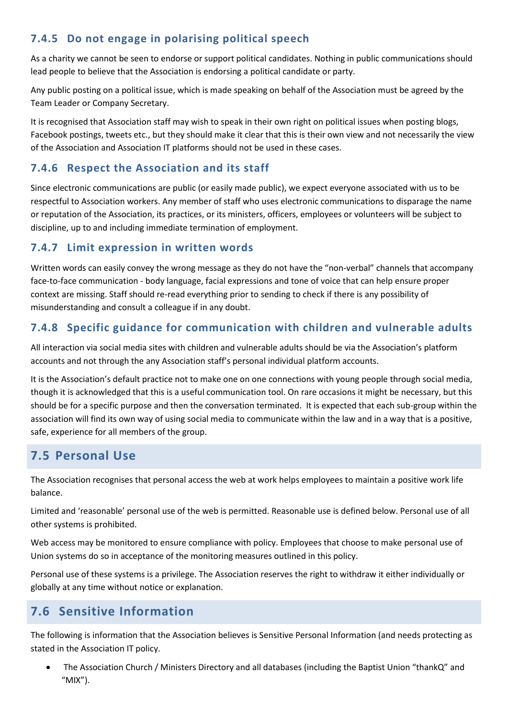# **7.4.5 Do not engage in polarising political speech**

As a charity we cannot be seen to endorse or support political candidates. Nothing in public communications should lead people to believe that the Association is endorsing a political candidate or party.

Any public posting on a political issue, which is made speaking on behalf of the Association must be agreed by the Team Leader or Company Secretary.

It is recognised that Association staff may wish to speak in their own right on political issues when posting blogs, Facebook postings, tweets etc., but they should make it clear that this is their own view and not necessarily the view of the Association and Association IT platforms should not be used in these cases.

### **7.4.6 Respect the Association and its staff**

Since electronic communications are public (or easily made public), we expect everyone associated with us to be respectful to Association workers. Any member of staff who uses electronic communications to disparage the name or reputation of the Association, its practices, or its ministers, officers, employees or volunteers will be subject to discipline, up to and including immediate termination of employment.

### **7.4.7 Limit expression in written words**

Written words can easily convey the wrong message as they do not have the "non-verbal" channels that accompany face-to-face communication - body language, facial expressions and tone of voice that can help ensure proper context are missing. Staff should re-read everything prior to sending to check if there is any possibility of misunderstanding and consult a colleague if in any doubt.

# **7.4.8 Specific guidance for communication with children and vulnerable adults**

All interaction via social media sites with children and vulnerable adults should be via the Association's platform accounts and not through the any Association staff's personal individual platform accounts.

It is the Association's default practice not to make one on one connections with young people through social media, though it is acknowledged that this is a useful communication tool. On rare occasions it might be necessary, but this should be for a specific purpose and then the conversation terminated. It is expected that each sub-group within the association will find its own way of using social media to communicate within the law and in a way that is a positive, safe, experience for all members of the group.

# **7.5 Personal Use**

The Association recognises that personal access the web at work helps employees to maintain a positive work life balance.

Limited and 'reasonable' personal use of the web is permitted. Reasonable use is defined below. Personal use of all other systems is prohibited.

Web access may be monitored to ensure compliance with policy. Employees that choose to make personal use of Union systems do so in acceptance of the monitoring measures outlined in this policy.

Personal use of these systems is a privilege. The Association reserves the right to withdraw it either individually or globally at any time without notice or explanation.

# **7.6 Sensitive Information**

The following is information that the Association believes is Sensitive Personal Information (and needs protecting as stated in the Association IT policy.

• The Association Church / Ministers Directory and all databases (including the Baptist Union "thankQ" and "MIX").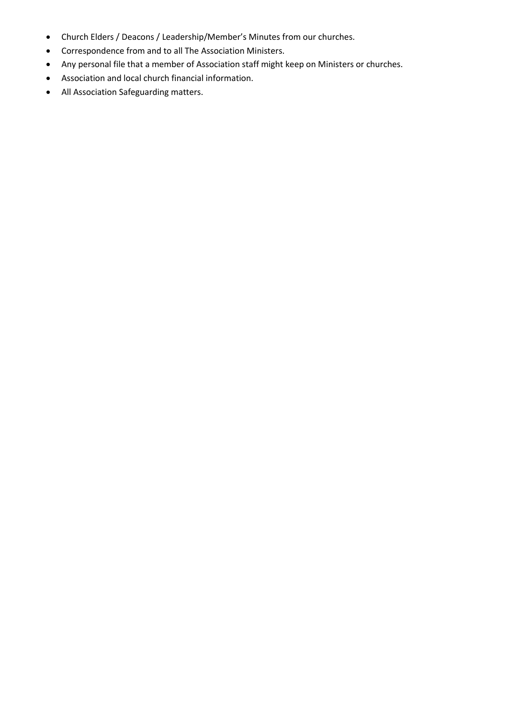- Church Elders / Deacons / Leadership/Member's Minutes from our churches.
- Correspondence from and to all The Association Ministers.
- Any personal file that a member of Association staff might keep on Ministers or churches.
- Association and local church financial information.
- All Association Safeguarding matters.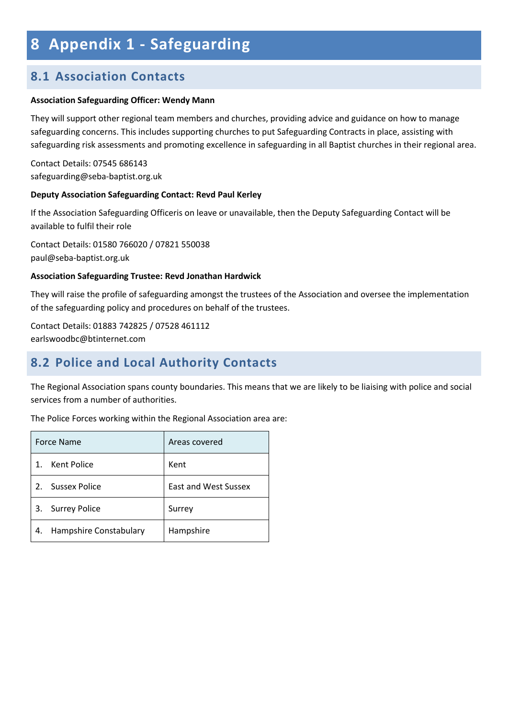# **8 Appendix 1 - Safeguarding**

# **8.1 Association Contacts**

#### **Association Safeguarding Officer: Wendy Mann**

They will support other regional team members and churches, providing advice and guidance on how to manage safeguarding concerns. This includes supporting churches to put Safeguarding Contracts in place, assisting with safeguarding risk assessments and promoting excellence in safeguarding in all Baptist churches in their regional area.

Contact Details: 07545 686143 safeguarding@seba-baptist.org.uk

#### **Deputy Association Safeguarding Contact: Revd Paul Kerley**

If the Association Safeguarding Officeris on leave or unavailable, then the Deputy Safeguarding Contact will be available to fulfil their role

Contact Details: 01580 766020 / 07821 550038 paul@seba-baptist.org.uk

#### **Association Safeguarding Trustee: Revd Jonathan Hardwick**

They will raise the profile of safeguarding amongst the trustees of the Association and oversee the implementation of the safeguarding policy and procedures on behalf of the trustees.

Contact Details: 01883 742825 / 07528 461112 earlswoodbc@btinternet.com

# **8.2 Police and Local Authority Contacts**

The Regional Association spans county boundaries. This means that we are likely to be liaising with police and social services from a number of authorities.

The Police Forces working within the Regional Association area are:

|                  | Force Name             | Areas covered               |
|------------------|------------------------|-----------------------------|
| $\mathbf 1$      | Kent Police            | Kent                        |
| $\overline{2}$ . | Sussex Police          | <b>East and West Sussex</b> |
| 3.               | <b>Surrey Police</b>   | Surrey                      |
| 4.               | Hampshire Constabulary | Hampshire                   |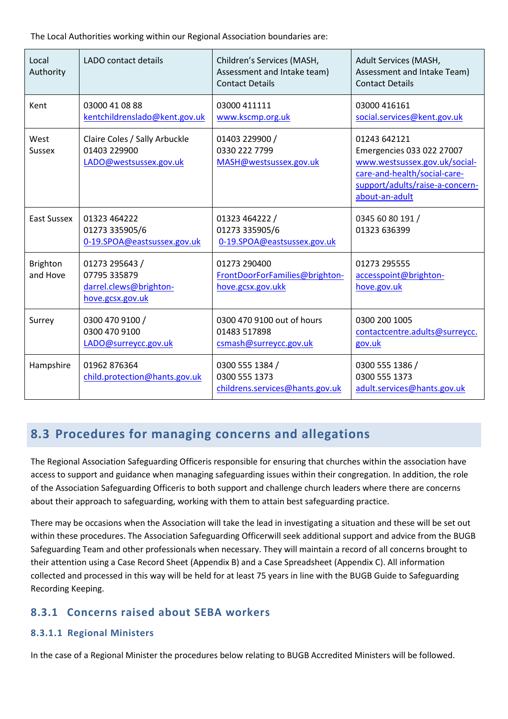The Local Authorities working within our Regional Association boundaries are:

| Local<br>Authority          | <b>LADO</b> contact details                                                  | Children's Services (MASH,<br>Assessment and Intake team)<br><b>Contact Details</b> | Adult Services (MASH,<br>Assessment and Intake Team)<br><b>Contact Details</b>                                                                                  |
|-----------------------------|------------------------------------------------------------------------------|-------------------------------------------------------------------------------------|-----------------------------------------------------------------------------------------------------------------------------------------------------------------|
| Kent                        | 03000 41 08 88<br>kentchildrenslado@kent.gov.uk                              | 03000 411111<br>www.kscmp.org.uk                                                    | 03000 416161<br>social.services@kent.gov.uk                                                                                                                     |
| West<br><b>Sussex</b>       | Claire Coles / Sally Arbuckle<br>01403 229900<br>LADO@westsussex.gov.uk      | 01403 229900 /<br>0330 222 7799<br>MASH@westsussex.gov.uk                           | 01243 642121<br>Emergencies 033 022 27007<br>www.westsussex.gov.uk/social-<br>care-and-health/social-care-<br>support/adults/raise-a-concern-<br>about-an-adult |
| East Sussex                 | 01323 464222<br>01273 335905/6<br>0-19.SPOA@eastsussex.gov.uk                | 01323 464222 /<br>01273 335905/6<br>0-19.SPOA@eastsussex.gov.uk                     | 0345 60 80 191 /<br>01323 636399                                                                                                                                |
| <b>Brighton</b><br>and Hove | 01273 295643 /<br>07795 335879<br>darrel.clews@brighton-<br>hove.gcsx.gov.uk | 01273 290400<br>FrontDoorForFamilies@brighton-<br>hove.gcsx.gov.ukk                 | 01273 295555<br>accesspoint@brighton-<br>hove.gov.uk                                                                                                            |
| Surrey                      | 0300 470 9100 /<br>0300 470 9100<br>LADO@surreycc.gov.uk                     | 0300 470 9100 out of hours<br>01483 517898<br>csmash@surreycc.gov.uk                | 0300 200 1005<br>contactcentre.adults@surreycc.<br>gov.uk                                                                                                       |
| Hampshire                   | 01962 876364<br>child.protection@hants.gov.uk                                | 0300 555 1384 /<br>0300 555 1373<br>childrens.services@hants.gov.uk                 | 0300 555 1386 /<br>0300 555 1373<br>adult.services@hants.gov.uk                                                                                                 |

# **8.3 Procedures for managing concerns and allegations**

The Regional Association Safeguarding Officeris responsible for ensuring that churches within the association have access to support and guidance when managing safeguarding issues within their congregation. In addition, the role of the Association Safeguarding Officeris to both support and challenge church leaders where there are concerns about their approach to safeguarding, working with them to attain best safeguarding practice.

There may be occasions when the Association will take the lead in investigating a situation and these will be set out within these procedures. The Association Safeguarding Officerwill seek additional support and advice from the BUGB Safeguarding Team and other professionals when necessary. They will maintain a record of all concerns brought to their attention using a Case Record Sheet (Appendix B) and a Case Spreadsheet (Appendix C). All information collected and processed in this way will be held for at least 75 years in line with the BUGB Guide to Safeguarding Recording Keeping.

# **8.3.1 Concerns raised about SEBA workers**

#### **8.3.1.1 Regional Ministers**

In the case of a Regional Minister the procedures below relating to BUGB Accredited Ministers will be followed.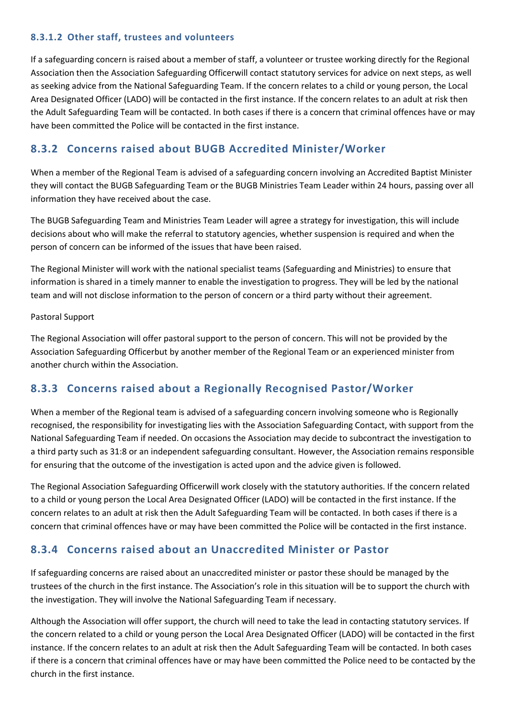#### **8.3.1.2 Other staff, trustees and volunteers**

If a safeguarding concern is raised about a member of staff, a volunteer or trustee working directly for the Regional Association then the Association Safeguarding Officerwill contact statutory services for advice on next steps, as well as seeking advice from the National Safeguarding Team. If the concern relates to a child or young person, the Local Area Designated Officer (LADO) will be contacted in the first instance. If the concern relates to an adult at risk then the Adult Safeguarding Team will be contacted. In both cases if there is a concern that criminal offences have or may have been committed the Police will be contacted in the first instance.

# **8.3.2 Concerns raised about BUGB Accredited Minister/Worker**

When a member of the Regional Team is advised of a safeguarding concern involving an Accredited Baptist Minister they will contact the BUGB Safeguarding Team or the BUGB Ministries Team Leader within 24 hours, passing over all information they have received about the case.

The BUGB Safeguarding Team and Ministries Team Leader will agree a strategy for investigation, this will include decisions about who will make the referral to statutory agencies, whether suspension is required and when the person of concern can be informed of the issues that have been raised.

The Regional Minister will work with the national specialist teams (Safeguarding and Ministries) to ensure that information is shared in a timely manner to enable the investigation to progress. They will be led by the national team and will not disclose information to the person of concern or a third party without their agreement.

#### Pastoral Support

The Regional Association will offer pastoral support to the person of concern. This will not be provided by the Association Safeguarding Officerbut by another member of the Regional Team or an experienced minister from another church within the Association.

### **8.3.3 Concerns raised about a Regionally Recognised Pastor/Worker**

When a member of the Regional team is advised of a safeguarding concern involving someone who is Regionally recognised, the responsibility for investigating lies with the Association Safeguarding Contact, with support from the National Safeguarding Team if needed. On occasions the Association may decide to subcontract the investigation to a third party such as 31:8 or an independent safeguarding consultant. However, the Association remains responsible for ensuring that the outcome of the investigation is acted upon and the advice given is followed.

The Regional Association Safeguarding Officerwill work closely with the statutory authorities. If the concern related to a child or young person the Local Area Designated Officer (LADO) will be contacted in the first instance. If the concern relates to an adult at risk then the Adult Safeguarding Team will be contacted. In both cases if there is a concern that criminal offences have or may have been committed the Police will be contacted in the first instance.

# **8.3.4 Concerns raised about an Unaccredited Minister or Pastor**

If safeguarding concerns are raised about an unaccredited minister or pastor these should be managed by the trustees of the church in the first instance. The Association's role in this situation will be to support the church with the investigation. They will involve the National Safeguarding Team if necessary.

Although the Association will offer support, the church will need to take the lead in contacting statutory services. If the concern related to a child or young person the Local Area Designated Officer (LADO) will be contacted in the first instance. If the concern relates to an adult at risk then the Adult Safeguarding Team will be contacted. In both cases if there is a concern that criminal offences have or may have been committed the Police need to be contacted by the church in the first instance.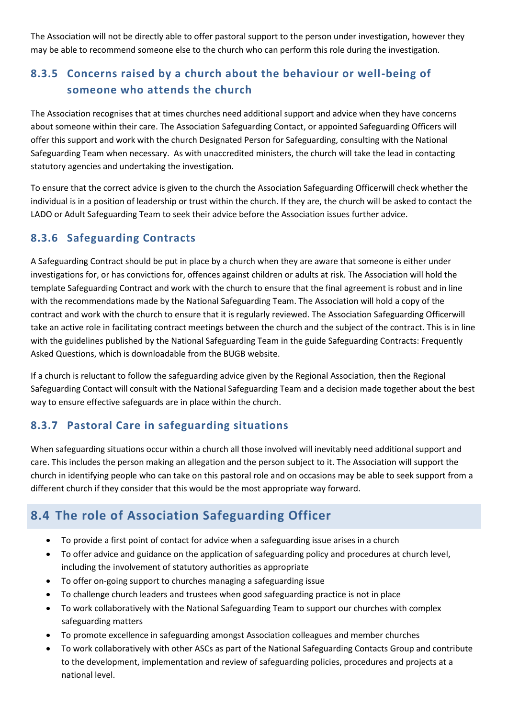The Association will not be directly able to offer pastoral support to the person under investigation, however they may be able to recommend someone else to the church who can perform this role during the investigation.

# **8.3.5 Concerns raised by a church about the behaviour or well-being of someone who attends the church**

The Association recognises that at times churches need additional support and advice when they have concerns about someone within their care. The Association Safeguarding Contact, or appointed Safeguarding Officers will offer this support and work with the church Designated Person for Safeguarding, consulting with the National Safeguarding Team when necessary. As with unaccredited ministers, the church will take the lead in contacting statutory agencies and undertaking the investigation.

To ensure that the correct advice is given to the church the Association Safeguarding Officerwill check whether the individual is in a position of leadership or trust within the church. If they are, the church will be asked to contact the LADO or Adult Safeguarding Team to seek their advice before the Association issues further advice.

# **8.3.6 Safeguarding Contracts**

A Safeguarding Contract should be put in place by a church when they are aware that someone is either under investigations for, or has convictions for, offences against children or adults at risk. The Association will hold the template Safeguarding Contract and work with the church to ensure that the final agreement is robust and in line with the recommendations made by the National Safeguarding Team. The Association will hold a copy of the contract and work with the church to ensure that it is regularly reviewed. The Association Safeguarding Officerwill take an active role in facilitating contract meetings between the church and the subject of the contract. This is in line with the guidelines published by the National Safeguarding Team in the guide Safeguarding Contracts: Frequently Asked Questions, which is downloadable from the BUGB website.

If a church is reluctant to follow the safeguarding advice given by the Regional Association, then the Regional Safeguarding Contact will consult with the National Safeguarding Team and a decision made together about the best way to ensure effective safeguards are in place within the church.

# **8.3.7 Pastoral Care in safeguarding situations**

When safeguarding situations occur within a church all those involved will inevitably need additional support and care. This includes the person making an allegation and the person subject to it. The Association will support the church in identifying people who can take on this pastoral role and on occasions may be able to seek support from a different church if they consider that this would be the most appropriate way forward.

# **8.4 The role of Association Safeguarding Officer**

- To provide a first point of contact for advice when a safeguarding issue arises in a church
- To offer advice and guidance on the application of safeguarding policy and procedures at church level, including the involvement of statutory authorities as appropriate
- To offer on-going support to churches managing a safeguarding issue
- To challenge church leaders and trustees when good safeguarding practice is not in place
- To work collaboratively with the National Safeguarding Team to support our churches with complex safeguarding matters
- To promote excellence in safeguarding amongst Association colleagues and member churches
- To work collaboratively with other ASCs as part of the National Safeguarding Contacts Group and contribute to the development, implementation and review of safeguarding policies, procedures and projects at a national level.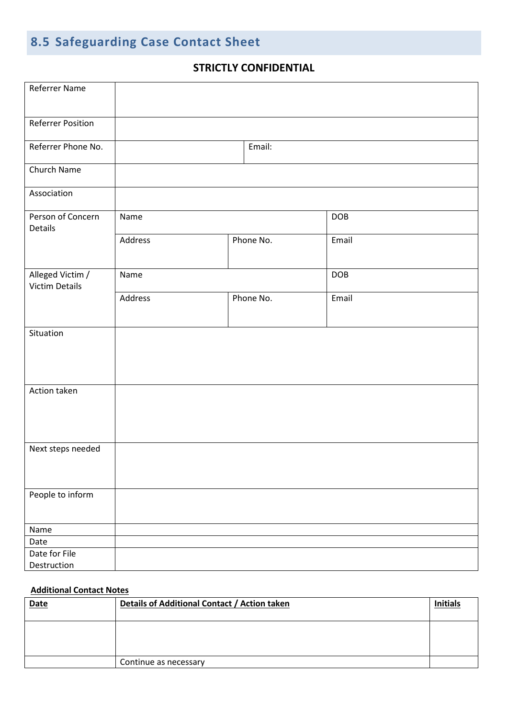# **8.5 Safeguarding Case Contact Sheet**

# **STRICTLY CONFIDENTIAL**

| <b>Referrer Name</b>                      |         |           |           |       |
|-------------------------------------------|---------|-----------|-----------|-------|
| <b>Referrer Position</b>                  |         |           |           |       |
| Referrer Phone No.                        |         |           | Email:    |       |
| Church Name                               |         |           |           |       |
| Association                               |         |           |           |       |
| Person of Concern<br>Details              | Name    |           |           | DOB   |
|                                           | Address |           | Phone No. | Email |
| Alleged Victim /<br><b>Victim Details</b> | Name    |           |           | DOB   |
|                                           | Address | Phone No. |           | Email |
| Situation                                 |         |           |           |       |
| Action taken                              |         |           |           |       |
| Next steps needed                         |         |           |           |       |
| People to inform                          |         |           |           |       |
| Name                                      |         |           |           |       |
| Date                                      |         |           |           |       |
| Date for File<br>Destruction              |         |           |           |       |

#### **Additional Contact Notes**

| <b>Date</b> | Details of Additional Contact / Action taken |  |
|-------------|----------------------------------------------|--|
|             |                                              |  |
|             |                                              |  |
|             |                                              |  |
|             |                                              |  |
|             | Continue as necessary                        |  |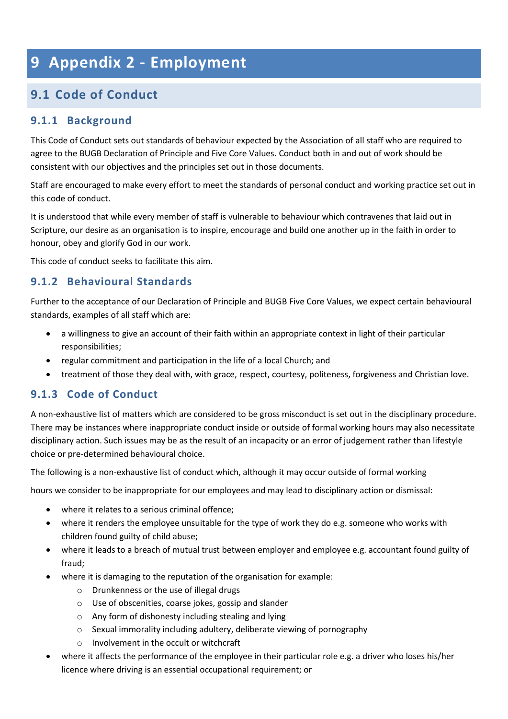# **9 Appendix 2 - Employment**

# **9.1 Code of Conduct**

# **9.1.1 Background**

This Code of Conduct sets out standards of behaviour expected by the Association of all staff who are required to agree to the BUGB Declaration of Principle and Five Core Values. Conduct both in and out of work should be consistent with our objectives and the principles set out in those documents.

Staff are encouraged to make every effort to meet the standards of personal conduct and working practice set out in this code of conduct.

It is understood that while every member of staff is vulnerable to behaviour which contravenes that laid out in Scripture, our desire as an organisation is to inspire, encourage and build one another up in the faith in order to honour, obey and glorify God in our work.

This code of conduct seeks to facilitate this aim.

# **9.1.2 Behavioural Standards**

Further to the acceptance of our Declaration of Principle and BUGB Five Core Values, we expect certain behavioural standards, examples of all staff which are:

- a willingness to give an account of their faith within an appropriate context in light of their particular responsibilities;
- regular commitment and participation in the life of a local Church; and
- treatment of those they deal with, with grace, respect, courtesy, politeness, forgiveness and Christian love.

# **9.1.3 Code of Conduct**

A non-exhaustive list of matters which are considered to be gross misconduct is set out in the disciplinary procedure. There may be instances where inappropriate conduct inside or outside of formal working hours may also necessitate disciplinary action. Such issues may be as the result of an incapacity or an error of judgement rather than lifestyle choice or pre-determined behavioural choice.

The following is a non-exhaustive list of conduct which, although it may occur outside of formal working

hours we consider to be inappropriate for our employees and may lead to disciplinary action or dismissal:

- where it relates to a serious criminal offence;
- where it renders the employee unsuitable for the type of work they do e.g. someone who works with children found guilty of child abuse;
- where it leads to a breach of mutual trust between employer and employee e.g. accountant found guilty of fraud;
- where it is damaging to the reputation of the organisation for example:
	- o Drunkenness or the use of illegal drugs
	- o Use of obscenities, coarse jokes, gossip and slander
	- o Any form of dishonesty including stealing and lying
	- o Sexual immorality including adultery, deliberate viewing of pornography
	- o Involvement in the occult or witchcraft
- where it affects the performance of the employee in their particular role e.g. a driver who loses his/her licence where driving is an essential occupational requirement; or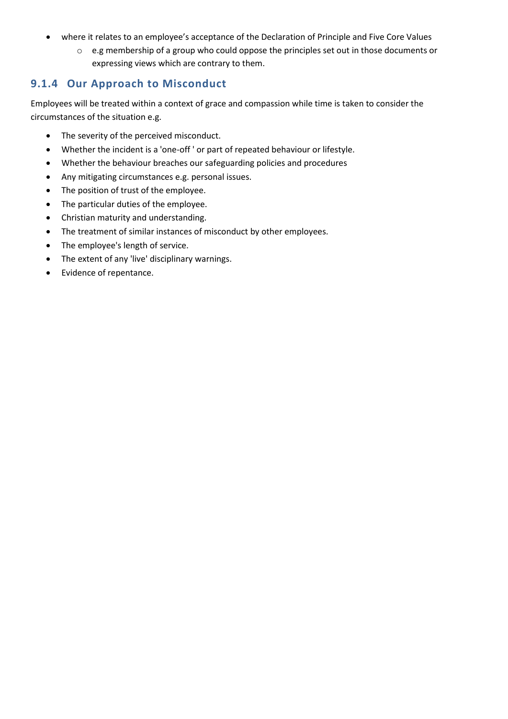- where it relates to an employee's acceptance of the Declaration of Principle and Five Core Values
	- o e.g membership of a group who could oppose the principles set out in those documents or expressing views which are contrary to them.

### **9.1.4 Our Approach to Misconduct**

Employees will be treated within a context of grace and compassion while time is taken to consider the circumstances of the situation e.g.

- The severity of the perceived misconduct.
- Whether the incident is a 'one-off ' or part of repeated behaviour or lifestyle.
- Whether the behaviour breaches our safeguarding policies and procedures
- Any mitigating circumstances e.g. personal issues.
- The position of trust of the employee.
- The particular duties of the employee.
- Christian maturity and understanding.
- The treatment of similar instances of misconduct by other employees.
- The employee's length of service.
- The extent of any 'live' disciplinary warnings.
- Evidence of repentance.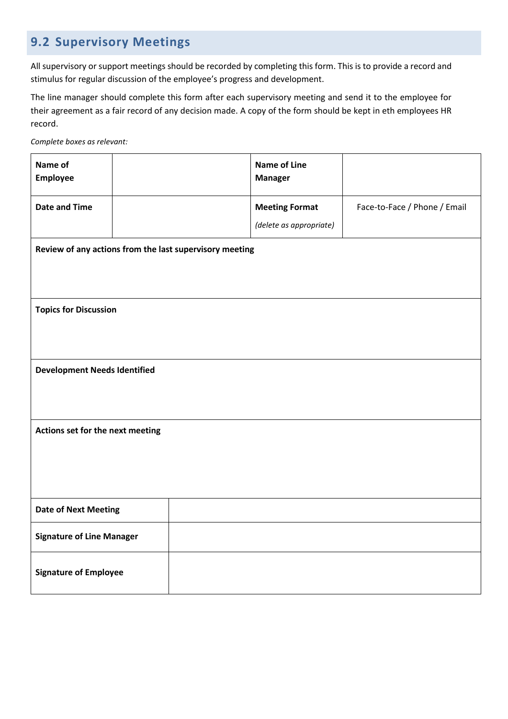# **9.2 Supervisory Meetings**

All supervisory or support meetings should be recorded by completing this form. This is to provide a record and stimulus for regular discussion of the employee's progress and development.

The line manager should complete this form after each supervisory meeting and send it to the employee for their agreement as a fair record of any decision made. A copy of the form should be kept in eth employees HR record.

*Complete boxes as relevant:*

| Name of<br><b>Employee</b>          |                                                         |  | <b>Name of Line</b><br><b>Manager</b> |                              |  |  |  |  |  |
|-------------------------------------|---------------------------------------------------------|--|---------------------------------------|------------------------------|--|--|--|--|--|
| <b>Date and Time</b>                |                                                         |  | <b>Meeting Format</b>                 | Face-to-Face / Phone / Email |  |  |  |  |  |
|                                     |                                                         |  | (delete as appropriate)               |                              |  |  |  |  |  |
|                                     | Review of any actions from the last supervisory meeting |  |                                       |                              |  |  |  |  |  |
|                                     |                                                         |  |                                       |                              |  |  |  |  |  |
| <b>Topics for Discussion</b>        |                                                         |  |                                       |                              |  |  |  |  |  |
|                                     |                                                         |  |                                       |                              |  |  |  |  |  |
| <b>Development Needs Identified</b> |                                                         |  |                                       |                              |  |  |  |  |  |
|                                     |                                                         |  |                                       |                              |  |  |  |  |  |
| Actions set for the next meeting    |                                                         |  |                                       |                              |  |  |  |  |  |
|                                     |                                                         |  |                                       |                              |  |  |  |  |  |
|                                     |                                                         |  |                                       |                              |  |  |  |  |  |
| <b>Date of Next Meeting</b>         |                                                         |  |                                       |                              |  |  |  |  |  |
|                                     | <b>Signature of Line Manager</b>                        |  |                                       |                              |  |  |  |  |  |
| <b>Signature of Employee</b>        |                                                         |  |                                       |                              |  |  |  |  |  |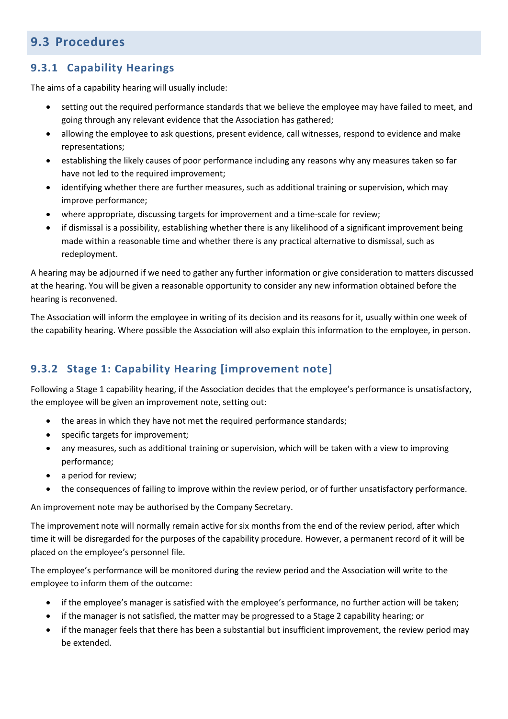# **9.3 Procedures**

# **9.3.1 Capability Hearings**

The aims of a capability hearing will usually include:

- setting out the required performance standards that we believe the employee may have failed to meet, and going through any relevant evidence that the Association has gathered;
- allowing the employee to ask questions, present evidence, call witnesses, respond to evidence and make representations;
- establishing the likely causes of poor performance including any reasons why any measures taken so far have not led to the required improvement;
- identifying whether there are further measures, such as additional training or supervision, which may improve performance;
- where appropriate, discussing targets for improvement and a time-scale for review;
- if dismissal is a possibility, establishing whether there is any likelihood of a significant improvement being made within a reasonable time and whether there is any practical alternative to dismissal, such as redeployment.

A hearing may be adjourned if we need to gather any further information or give consideration to matters discussed at the hearing. You will be given a reasonable opportunity to consider any new information obtained before the hearing is reconvened.

The Association will inform the employee in writing of its decision and its reasons for it, usually within one week of the capability hearing. Where possible the Association will also explain this information to the employee, in person.

# **9.3.2 Stage 1: Capability Hearing [improvement note]**

Following a Stage 1 capability hearing, if the Association decides that the employee's performance is unsatisfactory, the employee will be given an improvement note, setting out:

- the areas in which they have not met the required performance standards;
- specific targets for improvement;
- any measures, such as additional training or supervision, which will be taken with a view to improving performance;
- a period for review;
- the consequences of failing to improve within the review period, or of further unsatisfactory performance.

An improvement note may be authorised by the Company Secretary.

The improvement note will normally remain active for six months from the end of the review period, after which time it will be disregarded for the purposes of the capability procedure. However, a permanent record of it will be placed on the employee's personnel file.

The employee's performance will be monitored during the review period and the Association will write to the employee to inform them of the outcome:

- if the employee's manager is satisfied with the employee's performance, no further action will be taken;
- if the manager is not satisfied, the matter may be progressed to a Stage 2 capability hearing; or
- if the manager feels that there has been a substantial but insufficient improvement, the review period may be extended.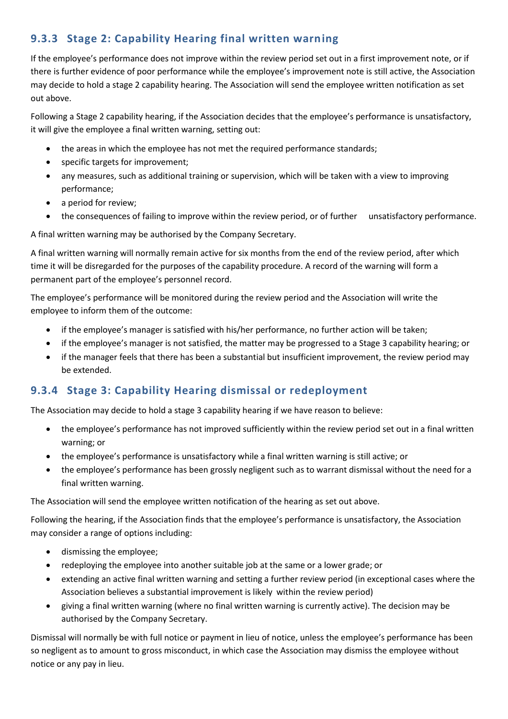# **9.3.3 Stage 2: Capability Hearing final written warning**

If the employee's performance does not improve within the review period set out in a first improvement note, or if there is further evidence of poor performance while the employee's improvement note is still active, the Association may decide to hold a stage 2 capability hearing. The Association will send the employee written notification as set out above.

Following a Stage 2 capability hearing, if the Association decides that the employee's performance is unsatisfactory, it will give the employee a final written warning, setting out:

- the areas in which the employee has not met the required performance standards;
- specific targets for improvement;
- any measures, such as additional training or supervision, which will be taken with a view to improving performance;
- a period for review:
- the consequences of failing to improve within the review period, or of further unsatisfactory performance.

A final written warning may be authorised by the Company Secretary.

A final written warning will normally remain active for six months from the end of the review period, after which time it will be disregarded for the purposes of the capability procedure. A record of the warning will form a permanent part of the employee's personnel record.

The employee's performance will be monitored during the review period and the Association will write the employee to inform them of the outcome:

- if the employee's manager is satisfied with his/her performance, no further action will be taken;
- if the employee's manager is not satisfied, the matter may be progressed to a Stage 3 capability hearing; or
- if the manager feels that there has been a substantial but insufficient improvement, the review period may be extended.

# **9.3.4 Stage 3: Capability Hearing dismissal or redeployment**

The Association may decide to hold a stage 3 capability hearing if we have reason to believe:

- the employee's performance has not improved sufficiently within the review period set out in a final written warning; or
- the employee's performance is unsatisfactory while a final written warning is still active; or
- the employee's performance has been grossly negligent such as to warrant dismissal without the need for a final written warning.

The Association will send the employee written notification of the hearing as set out above.

Following the hearing, if the Association finds that the employee's performance is unsatisfactory, the Association may consider a range of options including:

- dismissing the employee;
- redeploying the employee into another suitable job at the same or a lower grade; or
- extending an active final written warning and setting a further review period (in exceptional cases where the Association believes a substantial improvement is likely within the review period)
- giving a final written warning (where no final written warning is currently active). The decision may be authorised by the Company Secretary.

Dismissal will normally be with full notice or payment in lieu of notice, unless the employee's performance has been so negligent as to amount to gross misconduct, in which case the Association may dismiss the employee without notice or any pay in lieu.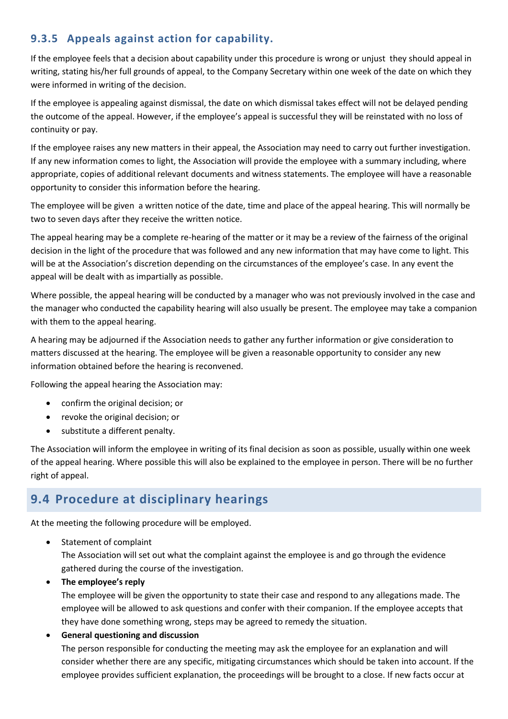# **9.3.5 Appeals against action for capability.**

If the employee feels that a decision about capability under this procedure is wrong or unjust they should appeal in writing, stating his/her full grounds of appeal, to the Company Secretary within one week of the date on which they were informed in writing of the decision.

If the employee is appealing against dismissal, the date on which dismissal takes effect will not be delayed pending the outcome of the appeal. However, if the employee's appeal is successful they will be reinstated with no loss of continuity or pay.

If the employee raises any new matters in their appeal, the Association may need to carry out further investigation. If any new information comes to light, the Association will provide the employee with a summary including, where appropriate, copies of additional relevant documents and witness statements. The employee will have a reasonable opportunity to consider this information before the hearing.

The employee will be given a written notice of the date, time and place of the appeal hearing. This will normally be two to seven days after they receive the written notice.

The appeal hearing may be a complete re-hearing of the matter or it may be a review of the fairness of the original decision in the light of the procedure that was followed and any new information that may have come to light. This will be at the Association's discretion depending on the circumstances of the employee's case. In any event the appeal will be dealt with as impartially as possible.

Where possible, the appeal hearing will be conducted by a manager who was not previously involved in the case and the manager who conducted the capability hearing will also usually be present. The employee may take a companion with them to the appeal hearing.

A hearing may be adjourned if the Association needs to gather any further information or give consideration to matters discussed at the hearing. The employee will be given a reasonable opportunity to consider any new information obtained before the hearing is reconvened.

Following the appeal hearing the Association may:

- confirm the original decision; or
- revoke the original decision; or
- substitute a different penalty.

The Association will inform the employee in writing of its final decision as soon as possible, usually within one week of the appeal hearing. Where possible this will also be explained to the employee in person. There will be no further right of appeal.

# **9.4 Procedure at disciplinary hearings**

At the meeting the following procedure will be employed.

• Statement of complaint

The Association will set out what the complaint against the employee is and go through the evidence gathered during the course of the investigation.

• **The employee's reply**

The employee will be given the opportunity to state their case and respond to any allegations made. The employee will be allowed to ask questions and confer with their companion. If the employee accepts that they have done something wrong, steps may be agreed to remedy the situation.

#### • **General questioning and discussion**

The person responsible for conducting the meeting may ask the employee for an explanation and will consider whether there are any specific, mitigating circumstances which should be taken into account. If the employee provides sufficient explanation, the proceedings will be brought to a close. If new facts occur at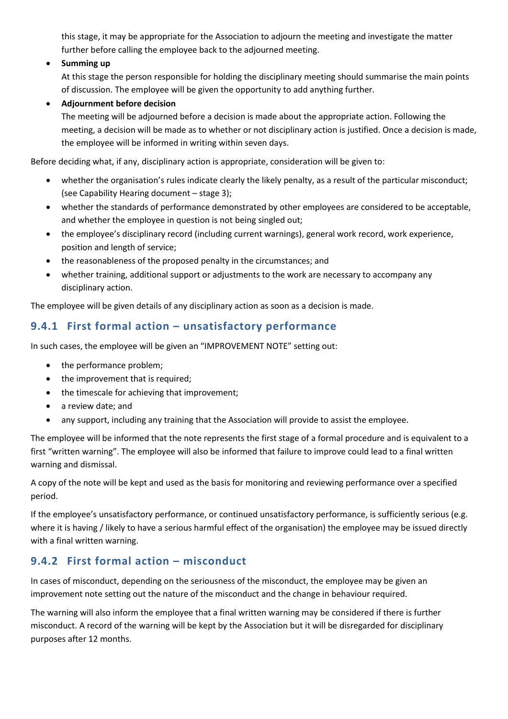this stage, it may be appropriate for the Association to adjourn the meeting and investigate the matter further before calling the employee back to the adjourned meeting.

#### • **Summing up**

At this stage the person responsible for holding the disciplinary meeting should summarise the main points of discussion. The employee will be given the opportunity to add anything further.

#### • **Adjournment before decision**

The meeting will be adjourned before a decision is made about the appropriate action. Following the meeting, a decision will be made as to whether or not disciplinary action is justified. Once a decision is made, the employee will be informed in writing within seven days.

Before deciding what, if any, disciplinary action is appropriate, consideration will be given to:

- whether the organisation's rules indicate clearly the likely penalty, as a result of the particular misconduct; (see Capability Hearing document – stage 3);
- whether the standards of performance demonstrated by other employees are considered to be acceptable, and whether the employee in question is not being singled out;
- the employee's disciplinary record (including current warnings), general work record, work experience, position and length of service;
- the reasonableness of the proposed penalty in the circumstances; and
- whether training, additional support or adjustments to the work are necessary to accompany any disciplinary action.

The employee will be given details of any disciplinary action as soon as a decision is made.

### **9.4.1 First formal action – unsatisfactory performance**

In such cases, the employee will be given an "IMPROVEMENT NOTE" setting out:

- the performance problem;
- the improvement that is required;
- the timescale for achieving that improvement;
- a review date; and
- any support, including any training that the Association will provide to assist the employee.

The employee will be informed that the note represents the first stage of a formal procedure and is equivalent to a first "written warning". The employee will also be informed that failure to improve could lead to a final written warning and dismissal.

A copy of the note will be kept and used as the basis for monitoring and reviewing performance over a specified period.

If the employee's unsatisfactory performance, or continued unsatisfactory performance, is sufficiently serious (e.g. where it is having / likely to have a serious harmful effect of the organisation) the employee may be issued directly with a final written warning.

### **9.4.2 First formal action – misconduct**

In cases of misconduct, depending on the seriousness of the misconduct, the employee may be given an improvement note setting out the nature of the misconduct and the change in behaviour required.

The warning will also inform the employee that a final written warning may be considered if there is further misconduct. A record of the warning will be kept by the Association but it will be disregarded for disciplinary purposes after 12 months.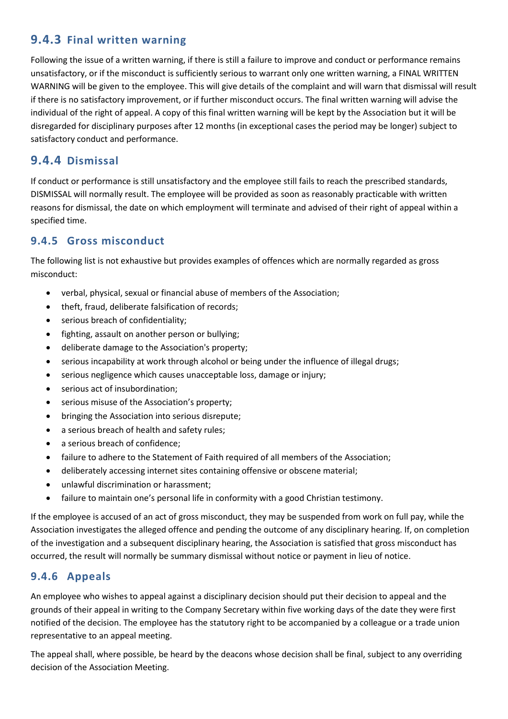# **9.4.3 Final written warning**

Following the issue of a written warning, if there is still a failure to improve and conduct or performance remains unsatisfactory, or if the misconduct is sufficiently serious to warrant only one written warning, a FINAL WRITTEN WARNING will be given to the employee. This will give details of the complaint and will warn that dismissal will result if there is no satisfactory improvement, or if further misconduct occurs. The final written warning will advise the individual of the right of appeal. A copy of this final written warning will be kept by the Association but it will be disregarded for disciplinary purposes after 12 months (in exceptional cases the period may be longer) subject to satisfactory conduct and performance.

# **9.4.4 Dismissal**

If conduct or performance is still unsatisfactory and the employee still fails to reach the prescribed standards, DISMISSAL will normally result. The employee will be provided as soon as reasonably practicable with written reasons for dismissal, the date on which employment will terminate and advised of their right of appeal within a specified time.

# **9.4.5 Gross misconduct**

The following list is not exhaustive but provides examples of offences which are normally regarded as gross misconduct:

- verbal, physical, sexual or financial abuse of members of the Association;
- theft, fraud, deliberate falsification of records;
- serious breach of confidentiality;
- fighting, assault on another person or bullying;
- deliberate damage to the Association's property;
- serious incapability at work through alcohol or being under the influence of illegal drugs;
- serious negligence which causes unacceptable loss, damage or injury;
- serious act of insubordination;
- serious misuse of the Association's property;
- bringing the Association into serious disrepute;
- a serious breach of health and safety rules;
- a serious breach of confidence:
- failure to adhere to the Statement of Faith required of all members of the Association;
- deliberately accessing internet sites containing offensive or obscene material;
- unlawful discrimination or harassment;
- failure to maintain one's personal life in conformity with a good Christian testimony.

If the employee is accused of an act of gross misconduct, they may be suspended from work on full pay, while the Association investigates the alleged offence and pending the outcome of any disciplinary hearing. If, on completion of the investigation and a subsequent disciplinary hearing, the Association is satisfied that gross misconduct has occurred, the result will normally be summary dismissal without notice or payment in lieu of notice.

# **9.4.6 Appeals**

An employee who wishes to appeal against a disciplinary decision should put their decision to appeal and the grounds of their appeal in writing to the Company Secretary within five working days of the date they were first notified of the decision. The employee has the statutory right to be accompanied by a colleague or a trade union representative to an appeal meeting.

The appeal shall, where possible, be heard by the deacons whose decision shall be final, subject to any overriding decision of the Association Meeting.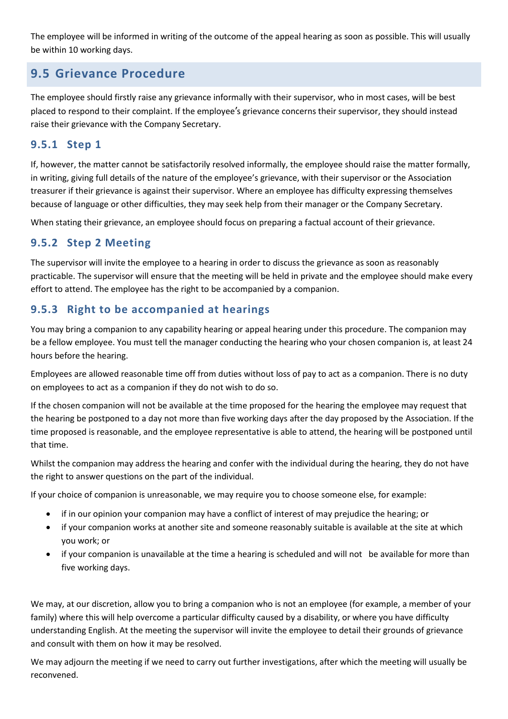The employee will be informed in writing of the outcome of the appeal hearing as soon as possible. This will usually be within 10 working days.

# **9.5 Grievance Procedure**

The employee should firstly raise any grievance informally with their supervisor, who in most cases, will be best placed to respond to their complaint. If the employee's grievance concerns their supervisor, they should instead raise their grievance with the Company Secretary.

### **9.5.1 Step 1**

If, however, the matter cannot be satisfactorily resolved informally, the employee should raise the matter formally, in writing, giving full details of the nature of the employee's grievance, with their supervisor or the Association treasurer if their grievance is against their supervisor. Where an employee has difficulty expressing themselves because of language or other difficulties, they may seek help from their manager or the Company Secretary.

When stating their grievance, an employee should focus on preparing a factual account of their grievance.

# **9.5.2 Step 2 Meeting**

The supervisor will invite the employee to a hearing in order to discuss the grievance as soon as reasonably practicable. The supervisor will ensure that the meeting will be held in private and the employee should make every effort to attend. The employee has the right to be accompanied by a companion.

# **9.5.3 Right to be accompanied at hearings**

You may bring a companion to any capability hearing or appeal hearing under this procedure. The companion may be a fellow employee. You must tell the manager conducting the hearing who your chosen companion is, at least 24 hours before the hearing.

Employees are allowed reasonable time off from duties without loss of pay to act as a companion. There is no duty on employees to act as a companion if they do not wish to do so.

If the chosen companion will not be available at the time proposed for the hearing the employee may request that the hearing be postponed to a day not more than five working days after the day proposed by the Association. If the time proposed is reasonable, and the employee representative is able to attend, the hearing will be postponed until that time.

Whilst the companion may address the hearing and confer with the individual during the hearing, they do not have the right to answer questions on the part of the individual.

If your choice of companion is unreasonable, we may require you to choose someone else, for example:

- if in our opinion your companion may have a conflict of interest of may prejudice the hearing; or
- if your companion works at another site and someone reasonably suitable is available at the site at which you work; or
- if your companion is unavailable at the time a hearing is scheduled and will not be available for more than five working days.

We may, at our discretion, allow you to bring a companion who is not an employee (for example, a member of your family) where this will help overcome a particular difficulty caused by a disability, or where you have difficulty understanding English. At the meeting the supervisor will invite the employee to detail their grounds of grievance and consult with them on how it may be resolved.

We may adjourn the meeting if we need to carry out further investigations, after which the meeting will usually be reconvened.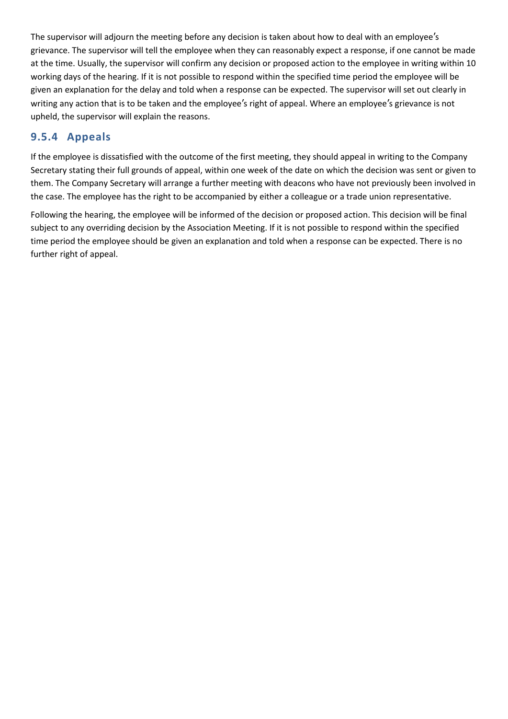The supervisor will adjourn the meeting before any decision is taken about how to deal with an employee's grievance. The supervisor will tell the employee when they can reasonably expect a response, if one cannot be made at the time. Usually, the supervisor will confirm any decision or proposed action to the employee in writing within 10 working days of the hearing. If it is not possible to respond within the specified time period the employee will be given an explanation for the delay and told when a response can be expected. The supervisor will set out clearly in writing any action that is to be taken and the employee's right of appeal. Where an employee's grievance is not upheld, the supervisor will explain the reasons.

### **9.5.4 Appeals**

If the employee is dissatisfied with the outcome of the first meeting, they should appeal in writing to the Company Secretary stating their full grounds of appeal, within one week of the date on which the decision was sent or given to them. The Company Secretary will arrange a further meeting with deacons who have not previously been involved in the case. The employee has the right to be accompanied by either a colleague or a trade union representative.

Following the hearing, the employee will be informed of the decision or proposed action. This decision will be final subject to any overriding decision by the Association Meeting. If it is not possible to respond within the specified time period the employee should be given an explanation and told when a response can be expected. There is no further right of appeal.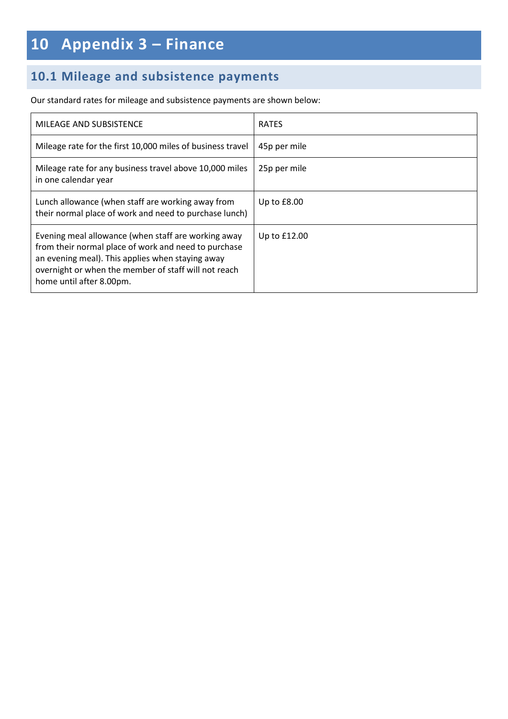# **10 Appendix 3 – Finance**

# **10.1 Mileage and subsistence payments**

Our standard rates for mileage and subsistence payments are shown below:

| MILEAGE AND SUBSISTENCE                                                                                                                                                                                                                             | <b>RATES</b>  |
|-----------------------------------------------------------------------------------------------------------------------------------------------------------------------------------------------------------------------------------------------------|---------------|
| Mileage rate for the first 10,000 miles of business travel                                                                                                                                                                                          | 45p per mile  |
| Mileage rate for any business travel above 10,000 miles<br>in one calendar year                                                                                                                                                                     | 25p per mile  |
| Lunch allowance (when staff are working away from<br>their normal place of work and need to purchase lunch)                                                                                                                                         | Up to $£8.00$ |
| Evening meal allowance (when staff are working away<br>from their normal place of work and need to purchase<br>an evening meal). This applies when staying away<br>overnight or when the member of staff will not reach<br>home until after 8.00pm. | Up to £12.00  |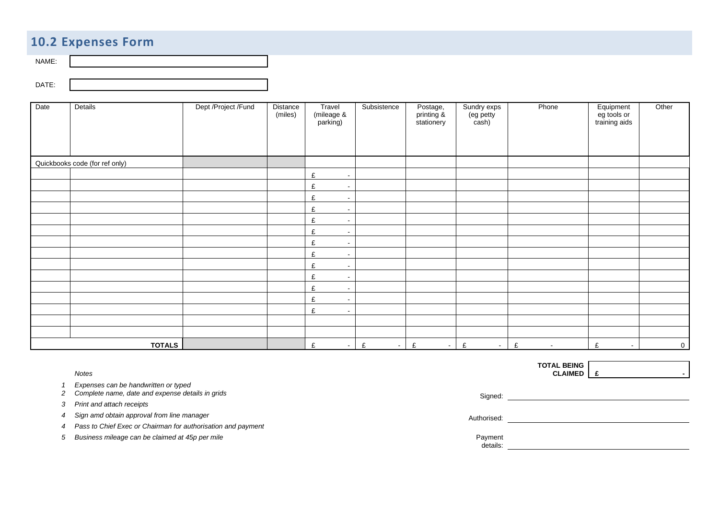# **10.2 Expenses Form**

NAME:

DATE:

| Date | Details                        | Dept /Project /Fund | Distance<br>(miles) | Travel<br>(mileage &<br>parking) | Subsistence | Postage,<br>printing &<br>stationery | Sundry exps<br>(eg petty<br>cash) | Phone       | Equipment<br>eg tools or<br>training aids | Other          |
|------|--------------------------------|---------------------|---------------------|----------------------------------|-------------|--------------------------------------|-----------------------------------|-------------|-------------------------------------------|----------------|
|      | Quickbooks code (for ref only) |                     |                     |                                  |             |                                      |                                   |             |                                           |                |
|      |                                |                     |                     | £<br>$\sim$                      |             |                                      |                                   |             |                                           |                |
|      |                                |                     |                     | £<br>$\sim$                      |             |                                      |                                   |             |                                           |                |
|      |                                |                     |                     | £<br>$\sim$                      |             |                                      |                                   |             |                                           |                |
|      |                                |                     |                     | £<br>$\sim$                      |             |                                      |                                   |             |                                           |                |
|      |                                |                     |                     | £<br>$\sim$                      |             |                                      |                                   |             |                                           |                |
|      |                                |                     |                     | $\pounds$<br>$\sim$              |             |                                      |                                   |             |                                           |                |
|      |                                |                     |                     | £<br>$\sim$                      |             |                                      |                                   |             |                                           |                |
|      |                                |                     |                     | £<br>$\sim$                      |             |                                      |                                   |             |                                           |                |
|      |                                |                     |                     | £<br>$\sim$                      |             |                                      |                                   |             |                                           |                |
|      |                                |                     |                     | $\pounds$<br>$\sim$              |             |                                      |                                   |             |                                           |                |
|      |                                |                     |                     | £<br>$\sim$                      |             |                                      |                                   |             |                                           |                |
|      |                                |                     |                     | $\pounds$<br>$\sim$              |             |                                      |                                   |             |                                           |                |
|      |                                |                     |                     | £<br>$\sim$                      |             |                                      |                                   |             |                                           |                |
|      |                                |                     |                     |                                  |             |                                      |                                   |             |                                           |                |
|      |                                |                     |                     |                                  |             |                                      |                                   |             |                                           |                |
|      | <b>TOTALS</b>                  |                     |                     | £<br>$\sim$                      | £<br>$\sim$ | £<br>$\sim$                          | £<br>$\sim 100$                   | £<br>$\sim$ | £<br>$\sim$                               | $\overline{0}$ |

*Notes*

*1 Expenses can be handwritten or typed* 

2 *Complete name, date and expense details in grids* Signed: Signed: Signed: Signed: Signed: Signed: Signed: Signed: Signed: Signed: Signed: Signed: Signed: Signed: Signed: Signed: Signed: Signed: Signed: Signed: Signed: S

*3 Print and attach receipts* 

A Sign amd obtain approval from line manager **Authorised:** Authorised: Authorised: Authorised: Authorised: Authorised: Authorised: Authorised: Authorised: Authorised: Authorised: Authorised: Authorised: Authorised: Authori

*4 Pass to Chief Exec or Chairman for authorisation and payment*

*5 Business mileage can be claimed at 45p per mile* Payment

**TOTAL BEING CLAIMED £ -** 

details: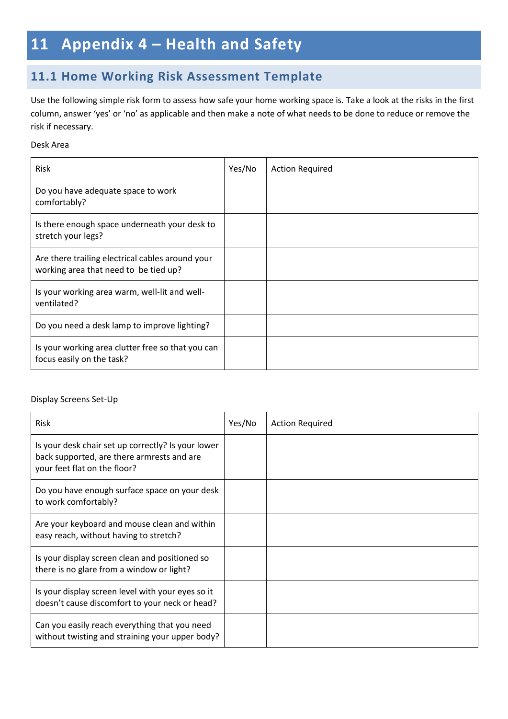# **11 Appendix 4 – Health and Safety**

# **11.1 Home Working Risk Assessment Template**

Use the following simple risk form to assess how safe your home working space is. Take a look at the risks in the first column, answer 'yes' or 'no' as applicable and then make a note of what needs to be done to reduce or remove the risk if necessary.

#### Desk Area

| <b>Risk</b>                                                                               | Yes/No | <b>Action Required</b> |
|-------------------------------------------------------------------------------------------|--------|------------------------|
| Do you have adequate space to work<br>comfortably?                                        |        |                        |
| Is there enough space underneath your desk to<br>stretch your legs?                       |        |                        |
| Are there trailing electrical cables around your<br>working area that need to be tied up? |        |                        |
| Is your working area warm, well-lit and well-<br>ventilated?                              |        |                        |
| Do you need a desk lamp to improve lighting?                                              |        |                        |
| Is your working area clutter free so that you can<br>focus easily on the task?            |        |                        |

#### Display Screens Set-Up

| <b>Risk</b>                                                                                                                      | Yes/No | <b>Action Required</b> |
|----------------------------------------------------------------------------------------------------------------------------------|--------|------------------------|
| Is your desk chair set up correctly? Is your lower<br>back supported, are there armrests and are<br>your feet flat on the floor? |        |                        |
| Do you have enough surface space on your desk<br>to work comfortably?                                                            |        |                        |
| Are your keyboard and mouse clean and within<br>easy reach, without having to stretch?                                           |        |                        |
| Is your display screen clean and positioned so<br>there is no glare from a window or light?                                      |        |                        |
| Is your display screen level with your eyes so it<br>doesn't cause discomfort to your neck or head?                              |        |                        |
| Can you easily reach everything that you need<br>without twisting and straining your upper body?                                 |        |                        |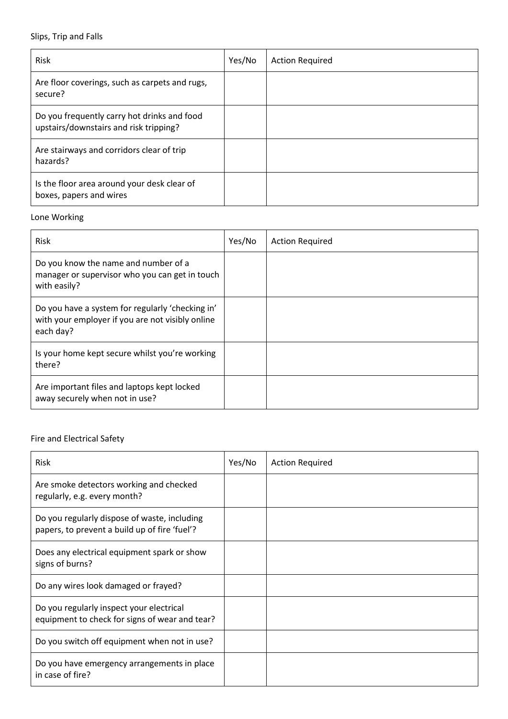#### Slips, Trip and Falls

| Risk                                                                                  | Yes/No | <b>Action Required</b> |
|---------------------------------------------------------------------------------------|--------|------------------------|
| Are floor coverings, such as carpets and rugs,<br>secure?                             |        |                        |
| Do you frequently carry hot drinks and food<br>upstairs/downstairs and risk tripping? |        |                        |
| Are stairways and corridors clear of trip<br>hazards?                                 |        |                        |
| Is the floor area around your desk clear of<br>boxes, papers and wires                |        |                        |

#### Lone Working

| Risk                                                                                                              | Yes/No | <b>Action Required</b> |
|-------------------------------------------------------------------------------------------------------------------|--------|------------------------|
| Do you know the name and number of a<br>manager or supervisor who you can get in touch<br>with easily?            |        |                        |
| Do you have a system for regularly 'checking in'<br>with your employer if you are not visibly online<br>each day? |        |                        |
| Is your home kept secure whilst you're working<br>there?                                                          |        |                        |
| Are important files and laptops kept locked<br>away securely when not in use?                                     |        |                        |

#### Fire and Electrical Safety

| <b>Risk</b>                                                                                   | Yes/No | <b>Action Required</b> |
|-----------------------------------------------------------------------------------------------|--------|------------------------|
| Are smoke detectors working and checked<br>regularly, e.g. every month?                       |        |                        |
| Do you regularly dispose of waste, including<br>papers, to prevent a build up of fire 'fuel'? |        |                        |
| Does any electrical equipment spark or show<br>signs of burns?                                |        |                        |
| Do any wires look damaged or frayed?                                                          |        |                        |
| Do you regularly inspect your electrical<br>equipment to check for signs of wear and tear?    |        |                        |
| Do you switch off equipment when not in use?                                                  |        |                        |
| Do you have emergency arrangements in place<br>in case of fire?                               |        |                        |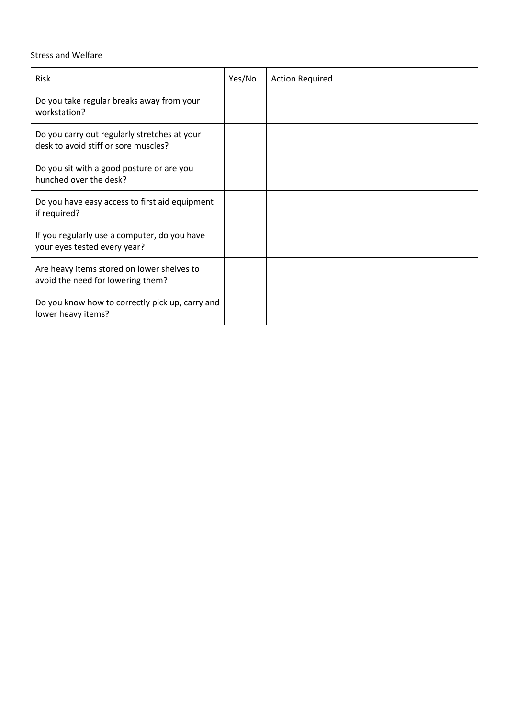#### Stress and Welfare

| Risk                                                                                 | Yes/No | <b>Action Required</b> |
|--------------------------------------------------------------------------------------|--------|------------------------|
| Do you take regular breaks away from your<br>workstation?                            |        |                        |
| Do you carry out regularly stretches at your<br>desk to avoid stiff or sore muscles? |        |                        |
| Do you sit with a good posture or are you<br>hunched over the desk?                  |        |                        |
| Do you have easy access to first aid equipment<br>if required?                       |        |                        |
| If you regularly use a computer, do you have<br>your eyes tested every year?         |        |                        |
| Are heavy items stored on lower shelves to<br>avoid the need for lowering them?      |        |                        |
| Do you know how to correctly pick up, carry and<br>lower heavy items?                |        |                        |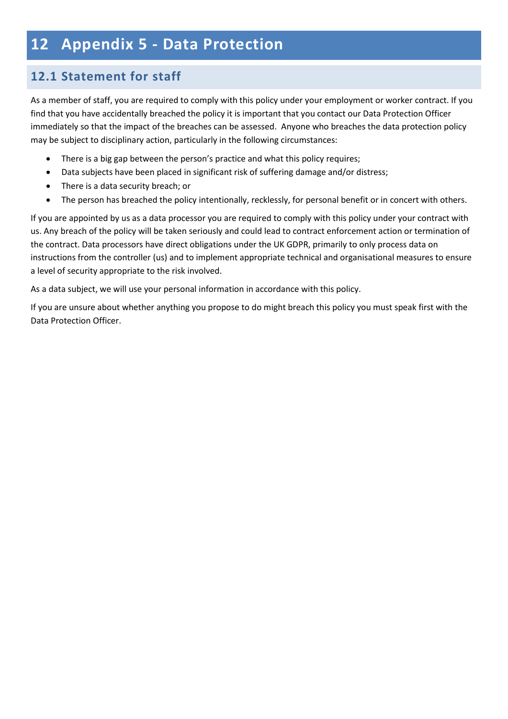# **12 Appendix 5 - Data Protection**

# **12.1 Statement for staff**

As a member of staff, you are required to comply with this policy under your employment or worker contract. If you find that you have accidentally breached the policy it is important that you contact our Data Protection Officer immediately so that the impact of the breaches can be assessed. Anyone who breaches the data protection policy may be subject to disciplinary action, particularly in the following circumstances:

- There is a big gap between the person's practice and what this policy requires;
- Data subjects have been placed in significant risk of suffering damage and/or distress;
- There is a data security breach; or
- The person has breached the policy intentionally, recklessly, for personal benefit or in concert with others.

If you are appointed by us as a data processor you are required to comply with this policy under your contract with us. Any breach of the policy will be taken seriously and could lead to contract enforcement action or termination of the contract. Data processors have direct obligations under the UK GDPR, primarily to only process data on instructions from the controller (us) and to implement appropriate technical and organisational measures to ensure a level of security appropriate to the risk involved.

As a data subject, we will use your personal information in accordance with this policy.

If you are unsure about whether anything you propose to do might breach this policy you must speak first with the Data Protection Officer.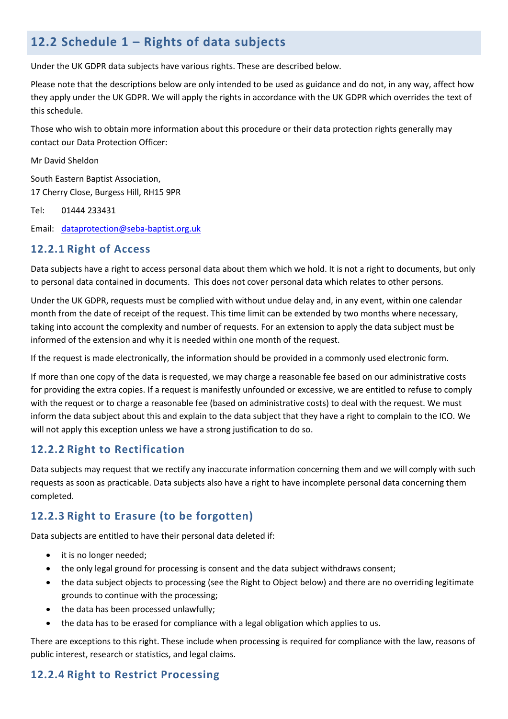# **12.2 Schedule 1 – Rights of data subjects**

Under the UK GDPR data subjects have various rights. These are described below.

Please note that the descriptions below are only intended to be used as guidance and do not, in any way, affect how they apply under the UK GDPR. We will apply the rights in accordance with the UK GDPR which overrides the text of this schedule.

Those who wish to obtain more information about this procedure or their data protection rights generally may contact our Data Protection Officer:

Mr David Sheldon

South Eastern Baptist Association, 17 Cherry Close, Burgess Hill, RH15 9PR

Tel: 01444 233431

Email: [dataprotection@seba-baptist.org.uk](mailto:dataprotection@seba-baptist.org.uk)

#### **12.2.1 Right of Access**

Data subjects have a right to access personal data about them which we hold. It is not a right to documents, but only to personal data contained in documents. This does not cover personal data which relates to other persons.

Under the UK GDPR, requests must be complied with without undue delay and, in any event, within one calendar month from the date of receipt of the request. This time limit can be extended by two months where necessary, taking into account the complexity and number of requests. For an extension to apply the data subject must be informed of the extension and why it is needed within one month of the request.

If the request is made electronically, the information should be provided in a commonly used electronic form.

If more than one copy of the data is requested, we may charge a reasonable fee based on our administrative costs for providing the extra copies. If a request is manifestly unfounded or excessive, we are entitled to refuse to comply with the request or to charge a reasonable fee (based on administrative costs) to deal with the request. We must inform the data subject about this and explain to the data subject that they have a right to complain to the ICO. We will not apply this exception unless we have a strong justification to do so.

### **12.2.2 Right to Rectification**

Data subjects may request that we rectify any inaccurate information concerning them and we will comply with such requests as soon as practicable. Data subjects also have a right to have incomplete personal data concerning them completed.

# **12.2.3 Right to Erasure (to be forgotten)**

Data subjects are entitled to have their personal data deleted if:

- it is no longer needed;
- the only legal ground for processing is consent and the data subject withdraws consent;
- the data subject objects to processing (see the Right to Object below) and there are no overriding legitimate grounds to continue with the processing;
- the data has been processed unlawfully;
- the data has to be erased for compliance with a legal obligation which applies to us.

There are exceptions to this right. These include when processing is required for compliance with the law, reasons of public interest, research or statistics, and legal claims.

# **12.2.4 Right to Restrict Processing**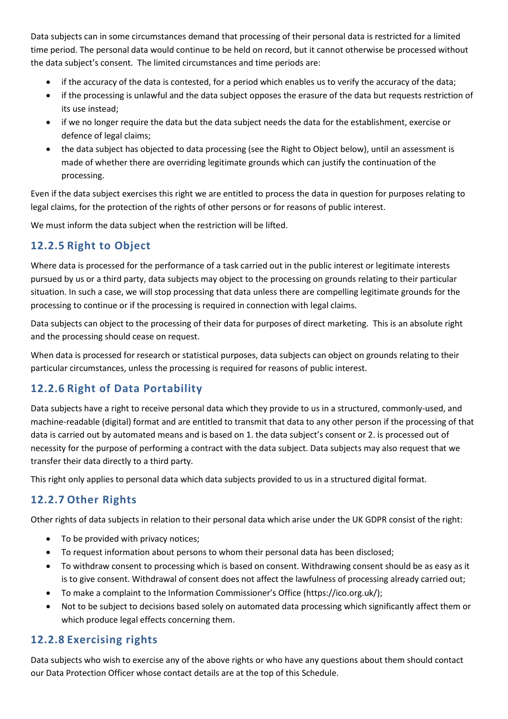Data subjects can in some circumstances demand that processing of their personal data is restricted for a limited time period. The personal data would continue to be held on record, but it cannot otherwise be processed without the data subject's consent. The limited circumstances and time periods are:

- if the accuracy of the data is contested, for a period which enables us to verify the accuracy of the data;
- if the processing is unlawful and the data subject opposes the erasure of the data but requests restriction of its use instead;
- if we no longer require the data but the data subject needs the data for the establishment, exercise or defence of legal claims;
- the data subject has objected to data processing (see the Right to Object below), until an assessment is made of whether there are overriding legitimate grounds which can justify the continuation of the processing.

Even if the data subject exercises this right we are entitled to process the data in question for purposes relating to legal claims, for the protection of the rights of other persons or for reasons of public interest.

We must inform the data subject when the restriction will be lifted.

# **12.2.5 Right to Object**

Where data is processed for the performance of a task carried out in the public interest or legitimate interests pursued by us or a third party, data subjects may object to the processing on grounds relating to their particular situation. In such a case, we will stop processing that data unless there are compelling legitimate grounds for the processing to continue or if the processing is required in connection with legal claims.

Data subjects can object to the processing of their data for purposes of direct marketing. This is an absolute right and the processing should cease on request.

When data is processed for research or statistical purposes, data subjects can object on grounds relating to their particular circumstances, unless the processing is required for reasons of public interest.

# **12.2.6 Right of Data Portability**

Data subjects have a right to receive personal data which they provide to us in a structured, commonly-used, and machine-readable (digital) format and are entitled to transmit that data to any other person if the processing of that data is carried out by automated means and is based on 1. the data subject's consent or 2. is processed out of necessity for the purpose of performing a contract with the data subject. Data subjects may also request that we transfer their data directly to a third party.

This right only applies to personal data which data subjects provided to us in a structured digital format.

# **12.2.7 Other Rights**

Other rights of data subjects in relation to their personal data which arise under the UK GDPR consist of the right:

- To be provided with privacy notices;
- To request information about persons to whom their personal data has been disclosed;
- To withdraw consent to processing which is based on consent. Withdrawing consent should be as easy as it is to give consent. Withdrawal of consent does not affect the lawfulness of processing already carried out;
- To make a complaint to the Information Commissioner's Office [\(https://ico.org.uk/\)](https://ico.org.uk/);
- Not to be subject to decisions based solely on automated data processing which significantly affect them or which produce legal effects concerning them.

### **12.2.8 Exercising rights**

Data subjects who wish to exercise any of the above rights or who have any questions about them should contact our Data Protection Officer whose contact details are at the top of this Schedule.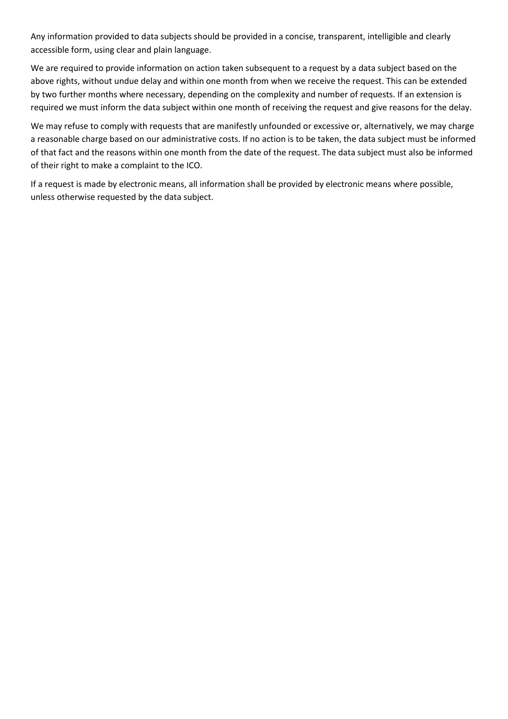Any information provided to data subjects should be provided in a concise, transparent, intelligible and clearly accessible form, using clear and plain language.

We are required to provide information on action taken subsequent to a request by a data subject based on the above rights, without undue delay and within one month from when we receive the request. This can be extended by two further months where necessary, depending on the complexity and number of requests. If an extension is required we must inform the data subject within one month of receiving the request and give reasons for the delay.

We may refuse to comply with requests that are manifestly unfounded or excessive or, alternatively, we may charge a reasonable charge based on our administrative costs. If no action is to be taken, the data subject must be informed of that fact and the reasons within one month from the date of the request. The data subject must also be informed of their right to make a complaint to the ICO.

If a request is made by electronic means, all information shall be provided by electronic means where possible, unless otherwise requested by the data subject.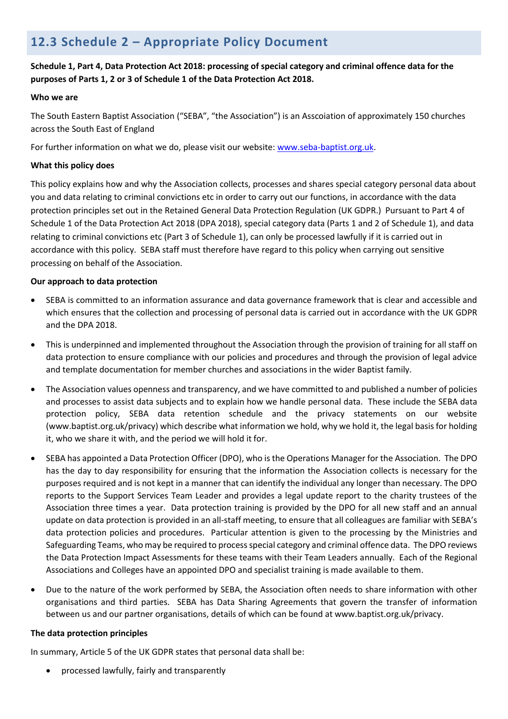# **12.3 Schedule 2 – Appropriate Policy Document**

#### **Schedule 1, Part 4, Data Protection Act 2018: processing of special category and criminal offence data for the purposes of Parts 1, 2 or 3 of Schedule 1 of the Data Protection Act 2018.**

#### **Who we are**

The South Eastern Baptist Association ("SEBA", "the Association") is an Asscoiation of approximately 150 churches across the South East of England

For further information on what we do, please visit our website: [www.seba-baptist.org.uk.](http://www.seba-baptist.org.uk/)

#### **What this policy does**

This policy explains how and why the Association collects, processes and shares special category personal data about you and data relating to criminal convictions etc in order to carry out our functions, in accordance with the data protection principles set out in the Retained General Data Protection Regulation (UK GDPR.) Pursuant to Part 4 of Schedule 1 of the Data Protection Act 2018 (DPA 2018), special category data (Parts 1 and 2 of Schedule 1), and data relating to criminal convictions etc (Part 3 of Schedule 1), can only be processed lawfully if it is carried out in accordance with this policy. SEBA staff must therefore have regard to this policy when carrying out sensitive processing on behalf of the Association.

#### **Our approach to data protection**

- SEBA is committed to an information assurance and data governance framework that is clear and accessible and which ensures that the collection and processing of personal data is carried out in accordance with the UK GDPR and the DPA 2018.
- This is underpinned and implemented throughout the Association through the provision of training for all staff on data protection to ensure compliance with our policies and procedures and through the provision of legal advice and template documentation for member churches and associations in the wider Baptist family.
- The Association values openness and transparency, and we have committed to and published a number of policies and processes to assist data subjects and to explain how we handle personal data. These include the SEBA data protection policy, SEBA data retention schedule and the privacy statements on our website (www.baptist.org.uk/privacy) which describe what information we hold, why we hold it, the legal basis for holding it, who we share it with, and the period we will hold it for.
- SEBA has appointed a Data Protection Officer (DPO), who is the Operations Manager for the Association. The DPO has the day to day responsibility for ensuring that the information the Association collects is necessary for the purposes required and is not kept in a manner that can identify the individual any longer than necessary. The DPO reports to the Support Services Team Leader and provides a legal update report to the charity trustees of the Association three times a year. Data protection training is provided by the DPO for all new staff and an annual update on data protection is provided in an all-staff meeting, to ensure that all colleagues are familiar with SEBA's data protection policies and procedures. Particular attention is given to the processing by the Ministries and Safeguarding Teams, who may be required to process special category and criminal offence data. The DPO reviews the Data Protection Impact Assessments for these teams with their Team Leaders annually. Each of the Regional Associations and Colleges have an appointed DPO and specialist training is made available to them.
- Due to the nature of the work performed by SEBA, the Association often needs to share information with other organisations and third parties. SEBA has Data Sharing Agreements that govern the transfer of information between us and our partner organisations, details of which can be found at www.baptist.org.uk/privacy.

#### **The data protection principles**

In summary, Article 5 of the UK GDPR states that personal data shall be:

• processed lawfully, fairly and transparently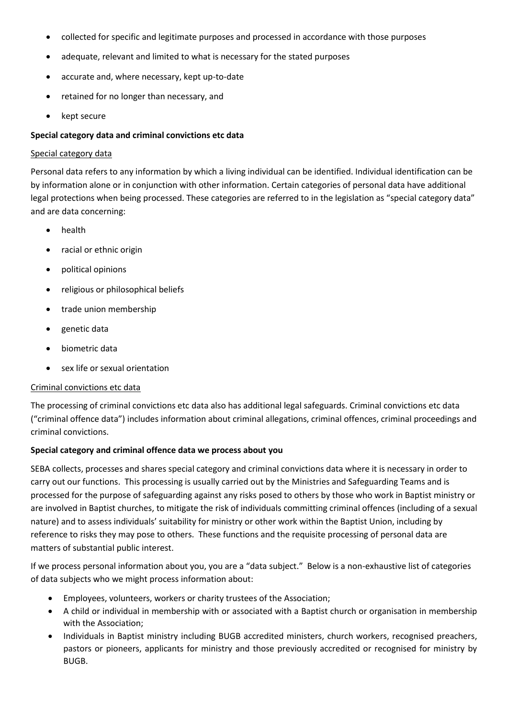- collected for specific and legitimate purposes and processed in accordance with those purposes
- adequate, relevant and limited to what is necessary for the stated purposes
- accurate and, where necessary, kept up-to-date
- retained for no longer than necessary, and
- kept secure

#### **Special category data and criminal convictions etc data**

#### Special category data

Personal data refers to any information by which a living individual can be identified. Individual identification can be by information alone or in conjunction with other information. Certain categories of personal data have additional legal protections when being processed. These categories are referred to in the legislation as "special category data" and are data concerning:

- health
- racial or ethnic origin
- political opinions
- religious or philosophical beliefs
- trade union membership
- genetic data
- biometric data
- sex life or sexual orientation

#### Criminal convictions etc data

The processing of criminal convictions etc data also has additional legal safeguards. Criminal convictions etc data ("criminal offence data") includes information about criminal allegations, criminal offences, criminal proceedings and criminal convictions.

#### **Special category and criminal offence data we process about you**

SEBA collects, processes and shares special category and criminal convictions data where it is necessary in order to carry out our functions. This processing is usually carried out by the Ministries and Safeguarding Teams and is processed for the purpose of safeguarding against any risks posed to others by those who work in Baptist ministry or are involved in Baptist churches, to mitigate the risk of individuals committing criminal offences (including of a sexual nature) and to assess individuals' suitability for ministry or other work within the Baptist Union, including by reference to risks they may pose to others. These functions and the requisite processing of personal data are matters of substantial public interest.

If we process personal information about you, you are a "data subject." Below is a non-exhaustive list of categories of data subjects who we might process information about:

- Employees, volunteers, workers or charity trustees of the Association;
- A child or individual in membership with or associated with a Baptist church or organisation in membership with the Association;
- Individuals in Baptist ministry including BUGB accredited ministers, church workers, recognised preachers, pastors or pioneers, applicants for ministry and those previously accredited or recognised for ministry by BUGB.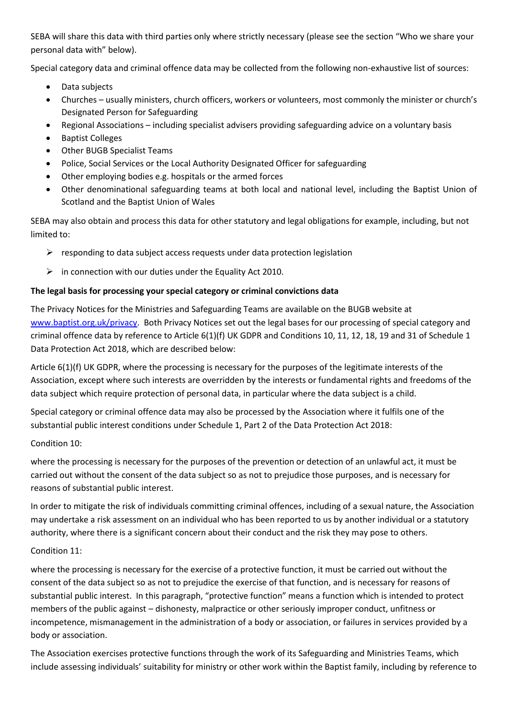SEBA will share this data with third parties only where strictly necessary (please see the section "Who we share your personal data with" below).

Special category data and criminal offence data may be collected from the following non-exhaustive list of sources:

- Data subjects
- Churches usually ministers, church officers, workers or volunteers, most commonly the minister or church's Designated Person for Safeguarding
- Regional Associations including specialist advisers providing safeguarding advice on a voluntary basis
- Baptist Colleges
- Other BUGB Specialist Teams
- Police, Social Services or the Local Authority Designated Officer for safeguarding
- Other employing bodies e.g. hospitals or the armed forces
- Other denominational safeguarding teams at both local and national level, including the Baptist Union of Scotland and the Baptist Union of Wales

SEBA may also obtain and process this data for other statutory and legal obligations for example, including, but not limited to:

- $\triangleright$  responding to data subject access requests under data protection legislation
- $\triangleright$  in connection with our duties under the Equality Act 2010.

#### **The legal basis for processing your special category or criminal convictions data**

The Privacy Notices for the Ministries and Safeguarding Teams are available on the BUGB website at [www.baptist.org.uk/privacy.](http://www.baptist.org.uk/privacy) Both Privacy Notices set out the legal bases for our processing of special category and criminal offence data by reference to Article 6(1)(f) UK GDPR and Conditions 10, 11, 12, 18, 19 and 31 of Schedule 1 Data Protection Act 2018, which are described below:

Article 6(1)(f) UK GDPR, where the processing is necessary for the purposes of the legitimate interests of the Association, except where such interests are overridden by the interests or fundamental rights and freedoms of the data subject which require protection of personal data, in particular where the data subject is a child.

Special category or criminal offence data may also be processed by the Association where it fulfils one of the substantial public interest conditions under Schedule 1, Part 2 of the Data Protection Act 2018:

Condition 10:

where the processing is necessary for the purposes of the prevention or detection of an unlawful act, it must be carried out without the consent of the data subject so as not to prejudice those purposes, and is necessary for reasons of substantial public interest.

In order to mitigate the risk of individuals committing criminal offences, including of a sexual nature, the Association may undertake a risk assessment on an individual who has been reported to us by another individual or a statutory authority, where there is a significant concern about their conduct and the risk they may pose to others.

#### Condition 11:

where the processing is necessary for the exercise of a protective function, it must be carried out without the consent of the data subject so as not to prejudice the exercise of that function, and is necessary for reasons of substantial public interest. In this paragraph, "protective function" means a function which is intended to protect members of the public against – dishonesty, malpractice or other seriously improper conduct, unfitness or incompetence, mismanagement in the administration of a body or association, or failures in services provided by a body or association.

The Association exercises protective functions through the work of its Safeguarding and Ministries Teams, which include assessing individuals' suitability for ministry or other work within the Baptist family, including by reference to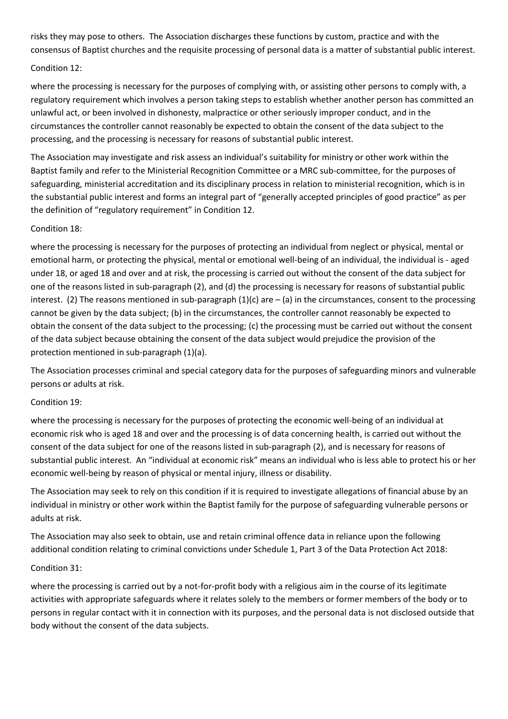risks they may pose to others. The Association discharges these functions by custom, practice and with the consensus of Baptist churches and the requisite processing of personal data is a matter of substantial public interest.

# Condition 12:

where the processing is necessary for the purposes of complying with, or assisting other persons to comply with, a regulatory requirement which involves a person taking steps to establish whether another person has committed an unlawful act, or been involved in dishonesty, malpractice or other seriously improper conduct, and in the circumstances the controller cannot reasonably be expected to obtain the consent of the data subject to the processing, and the processing is necessary for reasons of substantial public interest.

The Association may investigate and risk assess an individual's suitability for ministry or other work within the Baptist family and refer to the Ministerial Recognition Committee or a MRC sub-committee, for the purposes of safeguarding, ministerial accreditation and its disciplinary process in relation to ministerial recognition, which is in the substantial public interest and forms an integral part of "generally accepted principles of good practice" as per the definition of "regulatory requirement" in Condition 12.

# Condition 18:

where the processing is necessary for the purposes of protecting an individual from neglect or physical, mental or emotional harm, or protecting the physical, mental or emotional well-being of an individual, the individual is - aged under 18, or aged 18 and over and at risk, the processing is carried out without the consent of the data subject for one of the reasons listed in sub-paragraph (2), and (d) the processing is necessary for reasons of substantial public interest. (2) The reasons mentioned in sub-paragraph  $(1)(c)$  are  $-$  (a) in the circumstances, consent to the processing cannot be given by the data subject; (b) in the circumstances, the controller cannot reasonably be expected to obtain the consent of the data subject to the processing; (c) the processing must be carried out without the consent of the data subject because obtaining the consent of the data subject would prejudice the provision of the protection mentioned in sub-paragraph (1)(a).

The Association processes criminal and special category data for the purposes of safeguarding minors and vulnerable persons or adults at risk.

# Condition 19:

where the processing is necessary for the purposes of protecting the economic well-being of an individual at economic risk who is aged 18 and over and the processing is of data concerning health, is carried out without the consent of the data subject for one of the reasons listed in sub-paragraph (2), and is necessary for reasons of substantial public interest. An "individual at economic risk" means an individual who is less able to protect his or her economic well-being by reason of physical or mental injury, illness or disability.

The Association may seek to rely on this condition if it is required to investigate allegations of financial abuse by an individual in ministry or other work within the Baptist family for the purpose of safeguarding vulnerable persons or adults at risk.

The Association may also seek to obtain, use and retain criminal offence data in reliance upon the following additional condition relating to criminal convictions under Schedule 1, Part 3 of the Data Protection Act 2018:

# Condition 31:

where the processing is carried out by a not-for-profit body with a religious aim in the course of its legitimate activities with appropriate safeguards where it relates solely to the members or former members of the body or to persons in regular contact with it in connection with its purposes, and the personal data is not disclosed outside that body without the consent of the data subjects.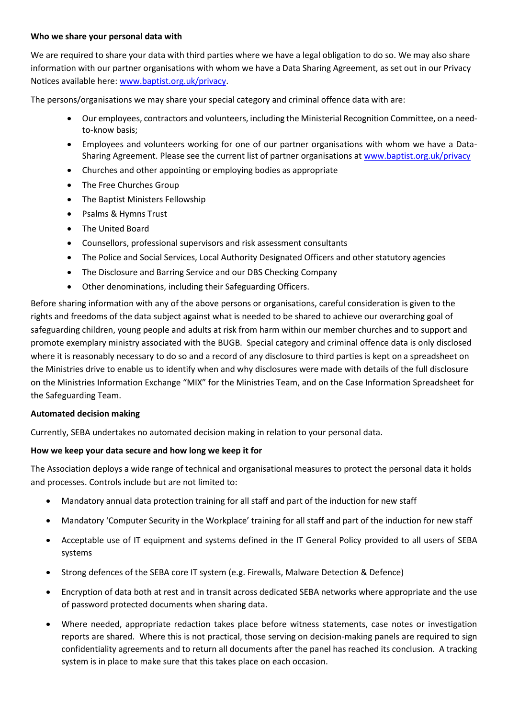#### **Who we share your personal data with**

We are required to share your data with third parties where we have a legal obligation to do so. We may also share information with our partner organisations with whom we have a Data Sharing Agreement, as set out in our Privacy Notices available here: [www.baptist.org.uk/privacy.](http://www.baptist.org.uk/privacy)

The persons/organisations we may share your special category and criminal offence data with are:

- Our employees, contractors and volunteers, including the Ministerial Recognition Committee, on a needto-know basis;
- Employees and volunteers working for one of our partner organisations with whom we have a Data-Sharing Agreement. Please see the current list of partner organisations at [www.baptist.org.uk/privacy](http://www.baptist.org.uk/privacy)
- Churches and other appointing or employing bodies as appropriate
- The Free Churches Group
- The Baptist Ministers Fellowship
- Psalms & Hymns Trust
- The United Board
- Counsellors, professional supervisors and risk assessment consultants
- The Police and Social Services, Local Authority Designated Officers and other statutory agencies
- The Disclosure and Barring Service and our DBS Checking Company
- Other denominations, including their Safeguarding Officers.

Before sharing information with any of the above persons or organisations, careful consideration is given to the rights and freedoms of the data subject against what is needed to be shared to achieve our overarching goal of safeguarding children, young people and adults at risk from harm within our member churches and to support and promote exemplary ministry associated with the BUGB. Special category and criminal offence data is only disclosed where it is reasonably necessary to do so and a record of any disclosure to third parties is kept on a spreadsheet on the Ministries drive to enable us to identify when and why disclosures were made with details of the full disclosure on the Ministries Information Exchange "MIX" for the Ministries Team, and on the Case Information Spreadsheet for the Safeguarding Team.

#### **Automated decision making**

Currently, SEBA undertakes no automated decision making in relation to your personal data.

# **How we keep your data secure and how long we keep it for**

The Association deploys a wide range of technical and organisational measures to protect the personal data it holds and processes. Controls include but are not limited to:

- Mandatory annual data protection training for all staff and part of the induction for new staff
- Mandatory 'Computer Security in the Workplace' training for all staff and part of the induction for new staff
- Acceptable use of IT equipment and systems defined in the IT General Policy provided to all users of SEBA systems
- Strong defences of the SEBA core IT system (e.g. Firewalls, Malware Detection & Defence)
- Encryption of data both at rest and in transit across dedicated SEBA networks where appropriate and the use of password protected documents when sharing data.
- Where needed, appropriate redaction takes place before witness statements, case notes or investigation reports are shared. Where this is not practical, those serving on decision-making panels are required to sign confidentiality agreements and to return all documents after the panel has reached its conclusion. A tracking system is in place to make sure that this takes place on each occasion.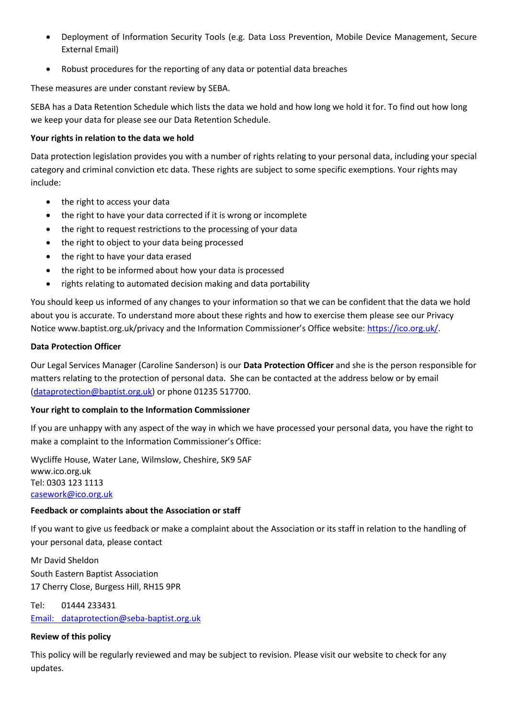- Deployment of Information Security Tools (e.g. Data Loss Prevention, Mobile Device Management, Secure External Email)
- Robust procedures for the reporting of any data or potential data breaches

These measures are under constant review by SEBA.

SEBA has a Data Retention Schedule which lists the data we hold and how long we hold it for. To find out how long we keep your data for please see our Data Retention Schedule.

#### **Your rights in relation to the data we hold**

Data protection legislation provides you with a number of rights relating to your personal data, including your special category and criminal conviction etc data. These rights are subject to some specific exemptions. Your rights may include:

- the right to access your data
- the right to have your data corrected if it is wrong or incomplete
- the right to request restrictions to the processing of your data
- the right to object to your data being processed
- the right to have your data erased
- the right to be informed about how your data is processed
- rights relating to automated decision making and data portability

You should keep us informed of any changes to your information so that we can be confident that the data we hold about you is accurate. To understand more about these rights and how to exercise them please see our Privacy Notice www.baptist.org.uk/privacy and the Information Commissioner's Office website: [https://ico.org.uk/.](https://ico.org.uk/)

#### **Data Protection Officer**

Our Legal Services Manager (Caroline Sanderson) is our **Data Protection Officer** and she is the person responsible for matters relating to the protection of personal data. She can be contacted at the address below or by email [\(dataprotection@baptist.org.uk\)](mailto:dataprotection@baptist.org.uk) or phone 01235 517700.

# **Your right to complain to the Information Commissioner**

If you are unhappy with any aspect of the way in which we have processed your personal data, you have the right to make a complaint to the Information Commissioner's Office:

Wycliffe House, Water Lane, Wilmslow, Cheshire, SK9 5AF www.ico.org.uk Tel: 0303 123 1113 [casework@ico.org.uk](mailto:casework@ico.org.uk)

# **Feedback or complaints about the Association or staff**

If you want to give us feedback or make a complaint about the Association or its staff in relation to the handling of your personal data, please contact

Mr David Sheldon South Eastern Baptist Association 17 Cherry Close, Burgess Hill, RH15 9PR

Tel: 01444 233431 Email: [dataprotection@seba-baptist.org.uk](mailto:dataprotection@seba-baptist.org.uk)

# **Review of this policy**

This policy will be regularly reviewed and may be subject to revision. Please visit our website to check for any updates.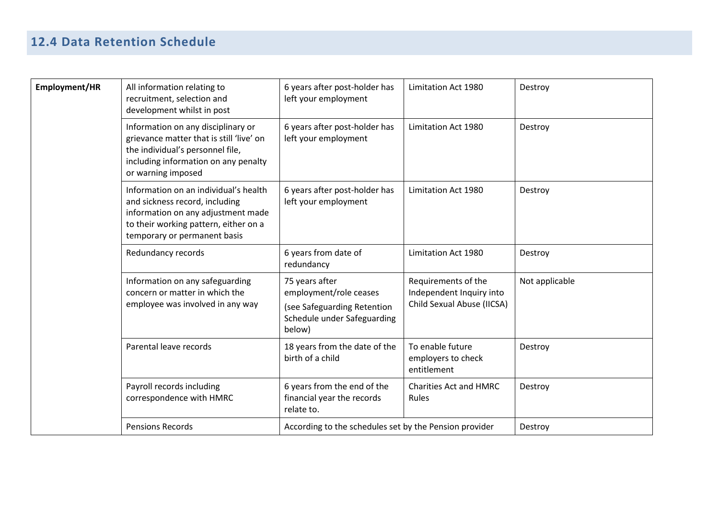# **12.4 Data Retention Schedule**

| Employment/HR | All information relating to<br>recruitment, selection and<br>development whilst in post                                                                                                | 6 years after post-holder has<br>left your employment                                                            | Limitation Act 1980                                                           | Destroy        |
|---------------|----------------------------------------------------------------------------------------------------------------------------------------------------------------------------------------|------------------------------------------------------------------------------------------------------------------|-------------------------------------------------------------------------------|----------------|
|               | Information on any disciplinary or<br>grievance matter that is still 'live' on<br>the individual's personnel file,<br>including information on any penalty<br>or warning imposed       | 6 years after post-holder has<br>left your employment                                                            | Limitation Act 1980                                                           | Destroy        |
|               | Information on an individual's health<br>and sickness record, including<br>information on any adjustment made<br>to their working pattern, either on a<br>temporary or permanent basis | 6 years after post-holder has<br>left your employment                                                            | Limitation Act 1980                                                           | Destroy        |
|               | Redundancy records                                                                                                                                                                     | 6 years from date of<br>redundancy                                                                               | Limitation Act 1980                                                           | Destroy        |
|               | Information on any safeguarding<br>concern or matter in which the<br>employee was involved in any way                                                                                  | 75 years after<br>employment/role ceases<br>(see Safeguarding Retention<br>Schedule under Safeguarding<br>below) | Requirements of the<br>Independent Inquiry into<br>Child Sexual Abuse (IICSA) | Not applicable |
|               | Parental leave records                                                                                                                                                                 | 18 years from the date of the<br>birth of a child                                                                | To enable future<br>employers to check<br>entitlement                         | Destroy        |
|               | Payroll records including<br>correspondence with HMRC                                                                                                                                  | 6 years from the end of the<br>financial year the records<br>relate to.                                          | <b>Charities Act and HMRC</b><br>Rules                                        | Destroy        |
|               | <b>Pensions Records</b>                                                                                                                                                                | According to the schedules set by the Pension provider                                                           |                                                                               | Destroy        |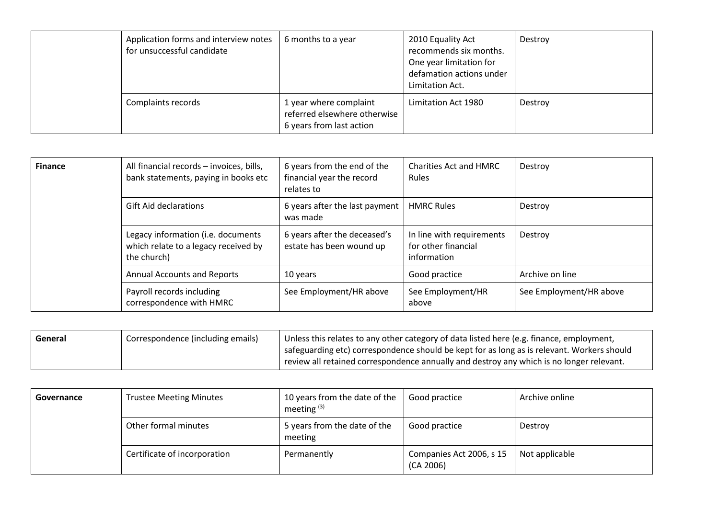|  | Application forms and interview notes<br>for unsuccessful candidate | 6 months to a year                                                                 | 2010 Equality Act<br>recommends six months.<br>One year limitation for<br>defamation actions under<br>Limitation Act. | Destroy |
|--|---------------------------------------------------------------------|------------------------------------------------------------------------------------|-----------------------------------------------------------------------------------------------------------------------|---------|
|  | Complaints records                                                  | 1 year where complaint<br>referred elsewhere otherwise<br>6 years from last action | Limitation Act 1980                                                                                                   | Destroy |

| <b>Finance</b> | All financial records - invoices, bills,<br>bank statements, paying in books etc          | 6 years from the end of the<br>financial year the record<br>relates to | <b>Charities Act and HMRC</b><br><b>Rules</b>                   | Destroy                 |
|----------------|-------------------------------------------------------------------------------------------|------------------------------------------------------------------------|-----------------------------------------------------------------|-------------------------|
|                | <b>Gift Aid declarations</b>                                                              | 6 years after the last payment<br>was made                             | <b>HMRC Rules</b>                                               | Destroy                 |
|                | Legacy information (i.e. documents<br>which relate to a legacy received by<br>the church) | 6 years after the deceased's<br>estate has been wound up               | In line with requirements<br>for other financial<br>information | Destroy                 |
|                | <b>Annual Accounts and Reports</b>                                                        | 10 years                                                               | Good practice                                                   | Archive on line         |
|                | Payroll records including<br>correspondence with HMRC                                     | See Employment/HR above                                                | See Employment/HR<br>above                                      | See Employment/HR above |

| General | Correspondence (including emails) | Unless this relates to any other category of data listed here (e.g. finance, employment,     |
|---------|-----------------------------------|----------------------------------------------------------------------------------------------|
|         |                                   | I safeguarding etc) correspondence should be kept for as long as is relevant. Workers should |
|         |                                   | review all retained correspondence annually and destroy any which is no longer relevant.     |

| Governance | <b>Trustee Meeting Minutes</b> | 10 years from the date of the<br>meeting $(3)$ | Good practice                         | Archive online |
|------------|--------------------------------|------------------------------------------------|---------------------------------------|----------------|
|            | Other formal minutes           | 5 years from the date of the<br>meeting        | Good practice                         | Destroy        |
|            | Certificate of incorporation   | Permanently                                    | Companies Act 2006, s 15<br>(CA 2006) | Not applicable |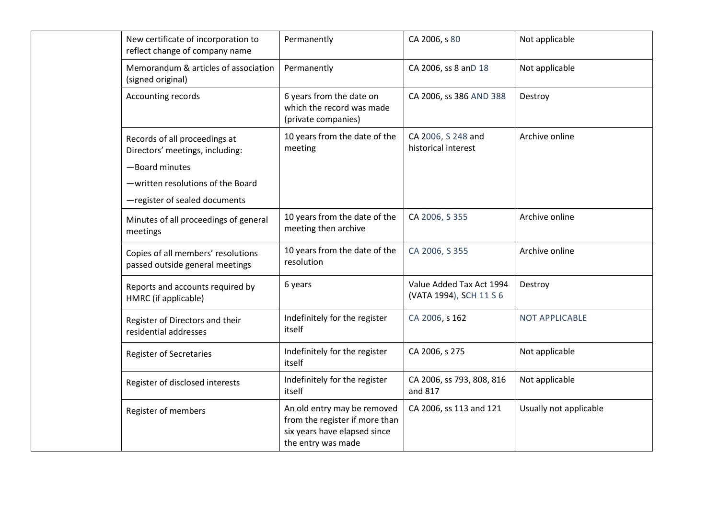| New certificate of incorporation to<br>reflect change of company name | Permanently                                                                                                         | CA 2006, s 80                                       | Not applicable         |
|-----------------------------------------------------------------------|---------------------------------------------------------------------------------------------------------------------|-----------------------------------------------------|------------------------|
| Memorandum & articles of association<br>(signed original)             | Permanently                                                                                                         | CA 2006, ss 8 anD 18                                | Not applicable         |
| Accounting records                                                    | 6 years from the date on<br>which the record was made<br>(private companies)                                        | CA 2006, ss 386 AND 388                             | Destroy                |
| Records of all proceedings at<br>Directors' meetings, including:      | 10 years from the date of the<br>meeting                                                                            | CA 2006, S 248 and<br>historical interest           | Archive online         |
| -Board minutes                                                        |                                                                                                                     |                                                     |                        |
| -written resolutions of the Board                                     |                                                                                                                     |                                                     |                        |
| -register of sealed documents                                         |                                                                                                                     |                                                     |                        |
| Minutes of all proceedings of general<br>meetings                     | 10 years from the date of the<br>meeting then archive                                                               | CA 2006, S 355                                      | Archive online         |
| Copies of all members' resolutions<br>passed outside general meetings | 10 years from the date of the<br>resolution                                                                         | CA 2006, S 355                                      | Archive online         |
| Reports and accounts required by<br>HMRC (if applicable)              | 6 years                                                                                                             | Value Added Tax Act 1994<br>(VATA 1994), SCH 11 S 6 | Destroy                |
| Register of Directors and their<br>residential addresses              | Indefinitely for the register<br>itself                                                                             | CA 2006, s 162                                      | <b>NOT APPLICABLE</b>  |
| <b>Register of Secretaries</b>                                        | Indefinitely for the register<br>itself                                                                             | CA 2006, s 275                                      | Not applicable         |
| Register of disclosed interests                                       | Indefinitely for the register<br>itself                                                                             | CA 2006, ss 793, 808, 816<br>and 817                | Not applicable         |
| Register of members                                                   | An old entry may be removed<br>from the register if more than<br>six years have elapsed since<br>the entry was made | CA 2006, ss 113 and 121                             | Usually not applicable |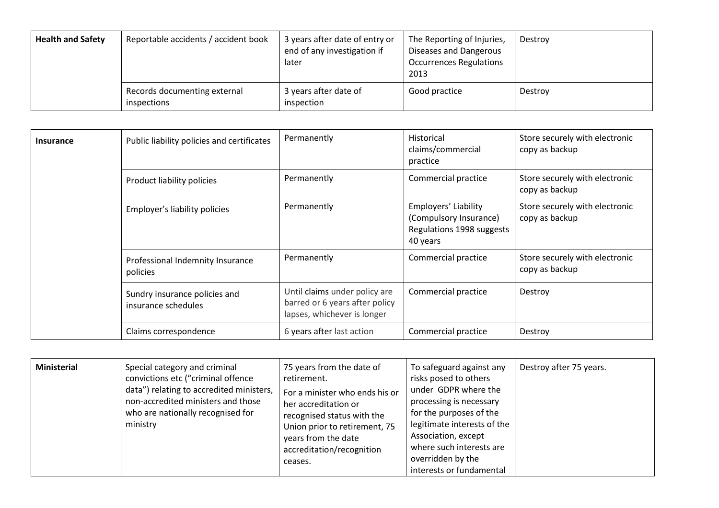| <b>Health and Safety</b> | Reportable accidents / accident book        | 3 years after date of entry or<br>end of any investigation if<br>later | The Reporting of Injuries,<br>Diseases and Dangerous<br><b>Occurrences Regulations</b><br>2013 | Destroy |
|--------------------------|---------------------------------------------|------------------------------------------------------------------------|------------------------------------------------------------------------------------------------|---------|
|                          | Records documenting external<br>inspections | 3 years after date of<br>inspection                                    | Good practice                                                                                  | Destroy |

| <b>Insurance</b> | Public liability policies and certificates           | Permanently                                                                                    | Historical<br>claims/commercial<br>practice                                             | Store securely with electronic<br>copy as backup |
|------------------|------------------------------------------------------|------------------------------------------------------------------------------------------------|-----------------------------------------------------------------------------------------|--------------------------------------------------|
|                  | Product liability policies                           | Permanently                                                                                    | Commercial practice                                                                     | Store securely with electronic<br>copy as backup |
|                  | Employer's liability policies                        | Permanently                                                                                    | Employers' Liability<br>(Compulsory Insurance)<br>Regulations 1998 suggests<br>40 years | Store securely with electronic<br>copy as backup |
|                  | Professional Indemnity Insurance<br>policies         | Permanently                                                                                    | Commercial practice                                                                     | Store securely with electronic<br>copy as backup |
|                  | Sundry insurance policies and<br>insurance schedules | Until claims under policy are<br>barred or 6 years after policy<br>lapses, whichever is longer | Commercial practice                                                                     | Destroy                                          |
|                  | Claims correspondence                                | 6 years after last action                                                                      | Commercial practice                                                                     | Destroy                                          |

| <b>Ministerial</b> | Special category and criminal<br>convictions etc ("criminal offence<br>data") relating to accredited ministers,<br>non-accredited ministers and those<br>who are nationally recognised for<br>ministry | 75 years from the date of<br>retirement.<br>For a minister who ends his or<br>her accreditation or<br>recognised status with the<br>Union prior to retirement, 75<br>years from the date<br>accreditation/recognition<br>ceases. | To safeguard against any<br>risks posed to others<br>under GDPR where the<br>processing is necessary<br>for the purposes of the<br>legitimate interests of the<br>Association, except<br>where such interests are<br>overridden by the<br>interests or fundamental | Destroy after 75 years. |
|--------------------|--------------------------------------------------------------------------------------------------------------------------------------------------------------------------------------------------------|----------------------------------------------------------------------------------------------------------------------------------------------------------------------------------------------------------------------------------|--------------------------------------------------------------------------------------------------------------------------------------------------------------------------------------------------------------------------------------------------------------------|-------------------------|
|--------------------|--------------------------------------------------------------------------------------------------------------------------------------------------------------------------------------------------------|----------------------------------------------------------------------------------------------------------------------------------------------------------------------------------------------------------------------------------|--------------------------------------------------------------------------------------------------------------------------------------------------------------------------------------------------------------------------------------------------------------------|-------------------------|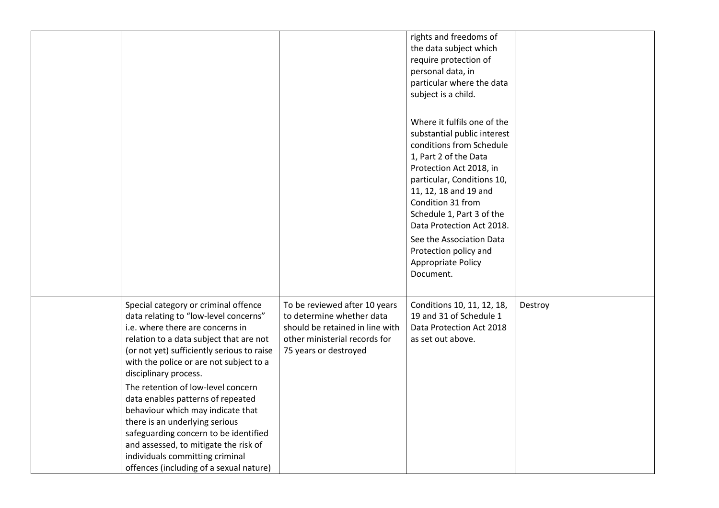|                                                                                                                                                                                                                                                                                                                                                                                                                                                                                                                                                                                                  |                                                                                                                                                         | rights and freedoms of<br>the data subject which<br>require protection of<br>personal data, in<br>particular where the data<br>subject is a child.<br>Where it fulfils one of the<br>substantial public interest<br>conditions from Schedule<br>1, Part 2 of the Data<br>Protection Act 2018, in<br>particular, Conditions 10,<br>11, 12, 18 and 19 and<br>Condition 31 from<br>Schedule 1, Part 3 of the<br>Data Protection Act 2018.<br>See the Association Data<br>Protection policy and<br>Appropriate Policy<br>Document. |         |
|--------------------------------------------------------------------------------------------------------------------------------------------------------------------------------------------------------------------------------------------------------------------------------------------------------------------------------------------------------------------------------------------------------------------------------------------------------------------------------------------------------------------------------------------------------------------------------------------------|---------------------------------------------------------------------------------------------------------------------------------------------------------|--------------------------------------------------------------------------------------------------------------------------------------------------------------------------------------------------------------------------------------------------------------------------------------------------------------------------------------------------------------------------------------------------------------------------------------------------------------------------------------------------------------------------------|---------|
| Special category or criminal offence<br>data relating to "low-level concerns"<br>i.e. where there are concerns in<br>relation to a data subject that are not<br>(or not yet) sufficiently serious to raise<br>with the police or are not subject to a<br>disciplinary process.<br>The retention of low-level concern<br>data enables patterns of repeated<br>behaviour which may indicate that<br>there is an underlying serious<br>safeguarding concern to be identified<br>and assessed, to mitigate the risk of<br>individuals committing criminal<br>offences (including of a sexual nature) | To be reviewed after 10 years<br>to determine whether data<br>should be retained in line with<br>other ministerial records for<br>75 years or destroyed | Conditions 10, 11, 12, 18,<br>19 and 31 of Schedule 1<br>Data Protection Act 2018<br>as set out above.                                                                                                                                                                                                                                                                                                                                                                                                                         | Destroy |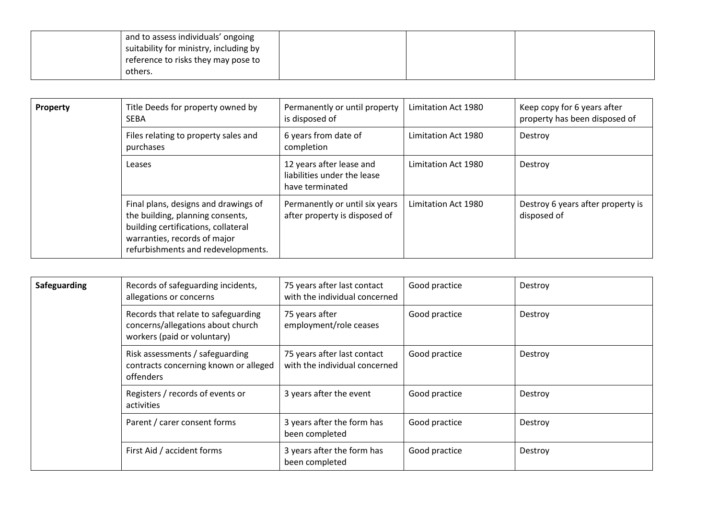| and to assess individuals' ongoing     |  |  |
|----------------------------------------|--|--|
| suitability for ministry, including by |  |  |
| reference to risks they may pose to    |  |  |
| others.                                |  |  |

| <b>Property</b> | Title Deeds for property owned by<br><b>SEBA</b>                                                                                                                                      | Permanently or until property<br>is disposed of                            | Limitation Act 1980 | Keep copy for 6 years after<br>property has been disposed of |
|-----------------|---------------------------------------------------------------------------------------------------------------------------------------------------------------------------------------|----------------------------------------------------------------------------|---------------------|--------------------------------------------------------------|
|                 | Files relating to property sales and<br>purchases                                                                                                                                     | 6 years from date of<br>completion                                         | Limitation Act 1980 | Destroy                                                      |
|                 | Leases                                                                                                                                                                                | 12 years after lease and<br>liabilities under the lease<br>have terminated | Limitation Act 1980 | Destroy                                                      |
|                 | Final plans, designs and drawings of<br>the building, planning consents,<br>building certifications, collateral<br>warranties, records of major<br>refurbishments and redevelopments. | Permanently or until six years<br>after property is disposed of            | Limitation Act 1980 | Destroy 6 years after property is<br>disposed of             |

| <b>Safeguarding</b> | Records of safeguarding incidents,<br>allegations or concerns                                           | 75 years after last contact<br>with the individual concerned | Good practice | Destroy |
|---------------------|---------------------------------------------------------------------------------------------------------|--------------------------------------------------------------|---------------|---------|
|                     | Records that relate to safeguarding<br>concerns/allegations about church<br>workers (paid or voluntary) | 75 years after<br>employment/role ceases                     | Good practice | Destroy |
|                     | Risk assessments / safeguarding<br>contracts concerning known or alleged<br>offenders                   | 75 years after last contact<br>with the individual concerned | Good practice | Destroy |
|                     | Registers / records of events or<br>activities                                                          | 3 years after the event                                      | Good practice | Destroy |
|                     | Parent / carer consent forms                                                                            | 3 years after the form has<br>been completed                 | Good practice | Destroy |
|                     | First Aid / accident forms                                                                              | 3 years after the form has<br>been completed                 | Good practice | Destroy |